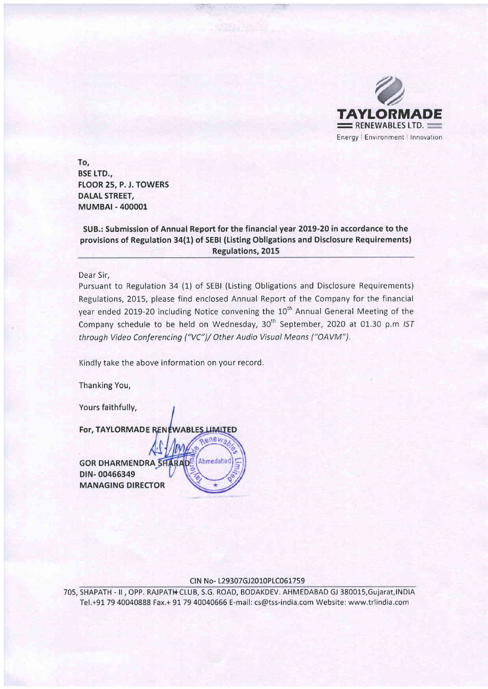

To, BSE LTD., FLOOR 25, P. J. TOWERS DALAL STREET, MUMBAT - 400001

SUB.: Submission of Annual Report for the financial year 2019-20 in accordance to the provisions of Regulation 3a(1) of SEBt (Listing Obligations and Disclosure Requirements) Regulations, 2015

Dear Sir.

Pursuant to Regulation 34 (1) of SEBI (Listing Obligations and Disclosure Requirements) Regulations, 2015, please find enclosed Annual Report of the Company for the financial year ended 2019-20 including Notice convening the 10<sup>th</sup> Annual General Meeting of the Company schedule to be held on Wednesday, 30<sup>th</sup> September, 2020 at 01.30 p.m IST throuqh Video Conferencing ('VC")/ Other Audio Visuol Meons ("OAVM").

Kindly take the above information on your record.

onew

Ahmedabad

Thanking You,

Yours faithfully,

For, TAYLORMADE RENEWABLES LIMITED

**GOR DHARMENDRA SHARADE** DIN-00466349 MANAGING DIRECTOR

#### CIN No- L29307GJ2010PLC061759

705, SHAPATH - II, OPP. RAJPATH CLUB, S.G. ROAD, BODAKDEV. AHMEDABAD GJ 380015,Gujarat,INDIA Tel.+91. 79 40040888 Fax.+ 91 79 40040666 E-mail: cs@tss-india.com Website: www,trlindia.com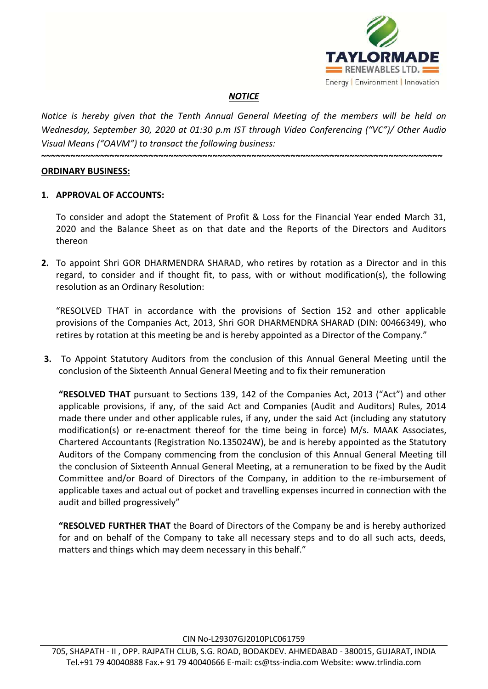

# *NOTICE*

*Notice is hereby given that the Tenth Annual General Meeting of the members will be held on Wednesday, September 30, 2020 at 01:30 p.m IST through Video Conferencing ("VC")/ Other Audio Visual Means ("OAVM") to transact the following business:*

**~~~~~~~~~~~~~~~~~~~~~~~~~~~~~~~~~~~~~~~~~~~~~~~~~~~~~~~~~~~~~~~~~~~~~~~~~~~~~~~~~~**

### **ORDINARY BUSINESS:**

## **1. APPROVAL OF ACCOUNTS:**

To consider and adopt the Statement of Profit & Loss for the Financial Year ended March 31, 2020 and the Balance Sheet as on that date and the Reports of the Directors and Auditors thereon

**2.** To appoint Shri GOR DHARMENDRA SHARAD, who retires by rotation as a Director and in this regard, to consider and if thought fit, to pass, with or without modification(s), the following resolution as an Ordinary Resolution:

"RESOLVED THAT in accordance with the provisions of Section 152 and other applicable provisions of the Companies Act, 2013, Shri GOR DHARMENDRA SHARAD (DIN: 00466349), who retires by rotation at this meeting be and is hereby appointed as a Director of the Company."

**3.** To Appoint Statutory Auditors from the conclusion of this Annual General Meeting until the conclusion of the Sixteenth Annual General Meeting and to fix their remuneration

**"RESOLVED THAT** pursuant to Sections 139, 142 of the Companies Act, 2013 ("Act") and other applicable provisions, if any, of the said Act and Companies (Audit and Auditors) Rules, 2014 made there under and other applicable rules, if any, under the said Act (including any statutory modification(s) or re-enactment thereof for the time being in force) M/s. MAAK Associates, Chartered Accountants (Registration No.135024W), be and is hereby appointed as the Statutory Auditors of the Company commencing from the conclusion of this Annual General Meeting till the conclusion of Sixteenth Annual General Meeting, at a remuneration to be fixed by the Audit Committee and/or Board of Directors of the Company, in addition to the re-imbursement of applicable taxes and actual out of pocket and travelling expenses incurred in connection with the audit and billed progressively"

**"RESOLVED FURTHER THAT** the Board of Directors of the Company be and is hereby authorized for and on behalf of the Company to take all necessary steps and to do all such acts, deeds, matters and things which may deem necessary in this behalf."

CIN No-L29307GJ2010PLC061759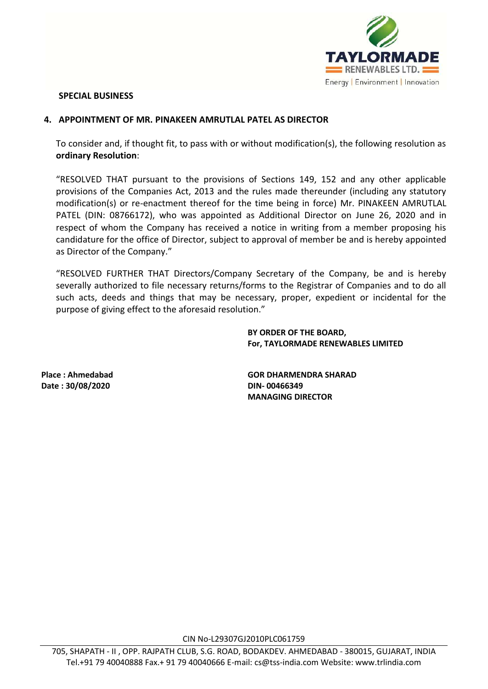

### **SPECIAL BUSINESS**

### **4. APPOINTMENT OF MR. PINAKEEN AMRUTLAL PATEL AS DIRECTOR**

To consider and, if thought fit, to pass with or without modification(s), the following resolution as **ordinary Resolution**:

"RESOLVED THAT pursuant to the provisions of Sections 149, 152 and any other applicable provisions of the Companies Act, 2013 and the rules made thereunder (including any statutory modification(s) or re-enactment thereof for the time being in force) Mr. PINAKEEN AMRUTLAL PATEL (DIN: 08766172), who was appointed as Additional Director on June 26, 2020 and in respect of whom the Company has received a notice in writing from a member proposing his candidature for the office of Director, subject to approval of member be and is hereby appointed as Director of the Company."

"RESOLVED FURTHER THAT Directors/Company Secretary of the Company, be and is hereby severally authorized to file necessary returns/forms to the Registrar of Companies and to do all such acts, deeds and things that may be necessary, proper, expedient or incidental for the purpose of giving effect to the aforesaid resolution."

> **BY ORDER OF THE BOARD, For, TAYLORMADE RENEWABLES LIMITED**

**Date : 30/08/2020 DIN- 00466349**

**Place : Ahmedabad GOR DHARMENDRA SHARAD MANAGING DIRECTOR**

CIN No-L29307GJ2010PLC061759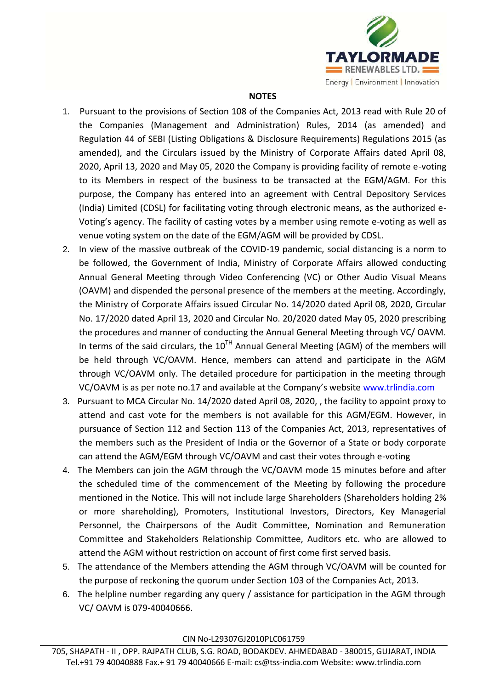

### **NOTES**

- 1. Pursuant to the provisions of Section 108 of the Companies Act, 2013 read with Rule 20 of the Companies (Management and Administration) Rules, 2014 (as amended) and Regulation 44 of SEBI (Listing Obligations & Disclosure Requirements) Regulations 2015 (as amended), and the Circulars issued by the Ministry of Corporate Affairs dated April 08, 2020, April 13, 2020 and May 05, 2020 the Company is providing facility of remote e-voting to its Members in respect of the business to be transacted at the EGM/AGM. For this purpose, the Company has entered into an agreement with Central Depository Services (India) Limited (CDSL) for facilitating voting through electronic means, as the authorized e-Voting's agency. The facility of casting votes by a member using remote e-voting as well as venue voting system on the date of the EGM/AGM will be provided by CDSL.
- 2. In view of the massive outbreak of the COVID-19 pandemic, social distancing is a norm to be followed, the Government of India, Ministry of Corporate Affairs allowed conducting Annual General Meeting through Video Conferencing (VC) or Other Audio Visual Means (OAVM) and dispended the personal presence of the members at the meeting. Accordingly, the Ministry of Corporate Affairs issued Circular No. 14/2020 dated April 08, 2020, Circular No. 17/2020 dated April 13, 2020 and Circular No. 20/2020 dated May 05, 2020 prescribing the procedures and manner of conducting the Annual General Meeting through VC/ OAVM. In terms of the said circulars, the  $10^{TH}$  Annual General Meeting (AGM) of the members will be held through VC/OAVM. Hence, members can attend and participate in the AGM through VC/OAVM only. The detailed procedure for participation in the meeting through VC/OAVM is as per note no.17 and available at the Company's website [www.trlindia.com](http://www.surajgroup.com/)
- 3. Pursuant to MCA Circular No. 14/2020 dated April 08, 2020, , the facility to appoint proxy to attend and cast vote for the members is not available for this AGM/EGM. However, in pursuance of Section 112 and Section 113 of the Companies Act, 2013, representatives of the members such as the President of India or the Governor of a State or body corporate can attend the AGM/EGM through VC/OAVM and cast their votes through e-voting
- 4. The Members can join the AGM through the VC/OAVM mode 15 minutes before and after the scheduled time of the commencement of the Meeting by following the procedure mentioned in the Notice. This will not include large Shareholders (Shareholders holding 2% or more shareholding), Promoters, Institutional Investors, Directors, Key Managerial Personnel, the Chairpersons of the Audit Committee, Nomination and Remuneration Committee and Stakeholders Relationship Committee, Auditors etc. who are allowed to attend the AGM without restriction on account of first come first served basis.
- 5. The attendance of the Members attending the AGM through VC/OAVM will be counted for the purpose of reckoning the quorum under Section 103 of the Companies Act, 2013.
- 6. The helpline number regarding any query / assistance for participation in the AGM through VC/ OAVM is 079-40040666.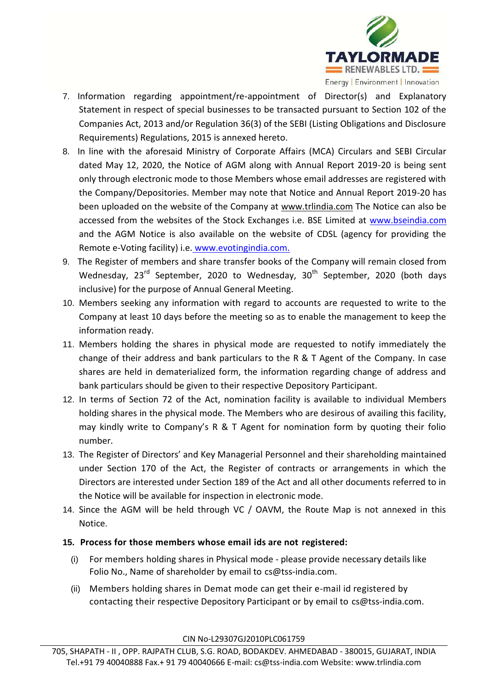

- 7. Information regarding appointment/re-appointment of Director(s) and Explanatory Statement in respect of special businesses to be transacted pursuant to Section 102 of the Companies Act, 2013 and/or Regulation 36(3) of the SEBI (Listing Obligations and Disclosure Requirements) Regulations, 2015 is annexed hereto.
- 8. In line with the aforesaid Ministry of Corporate Affairs (MCA) Circulars and SEBI Circular dated May 12, 2020, the Notice of AGM along with Annual Report 2019-20 is being sent only through electronic mode to those Members whose email addresses are registered with the Company/Depositories. Member may note that Notice and Annual Report 2019-20 has been uploaded on the website of the Company at www.trlindia.com The Notice can also be accessed from the websites of the Stock Exchanges i.e. BSE Limited at [www.bseindia.com](http://www.bseindia.com/)  and the AGM Notice is also available on the website of CDSL (agency for providing the Remote e-Voting facility) i.e. [www.evotingindia.com.](http://www.evotingindia.com/)
- 9. The Register of members and share transfer books of the Company will remain closed from Wednesday,  $23^{rd}$  September, 2020 to Wednesday,  $30^{th}$  September, 2020 (both days inclusive) for the purpose of Annual General Meeting.
- 10. Members seeking any information with regard to accounts are requested to write to the Company at least 10 days before the meeting so as to enable the management to keep the information ready.
- 11. Members holding the shares in physical mode are requested to notify immediately the change of their address and bank particulars to the R & T Agent of the Company. In case shares are held in dematerialized form, the information regarding change of address and bank particulars should be given to their respective Depository Participant.
- 12. In terms of Section 72 of the Act, nomination facility is available to individual Members holding shares in the physical mode. The Members who are desirous of availing this facility, may kindly write to Company's R & T Agent for nomination form by quoting their folio number.
- 13. The Register of Directors' and Key Managerial Personnel and their shareholding maintained under Section 170 of the Act, the Register of contracts or arrangements in which the Directors are interested under Section 189 of the Act and all other documents referred to in the Notice will be available for inspection in electronic mode.
- 14. Since the AGM will be held through VC / OAVM, the Route Map is not annexed in this Notice.

# **15. Process for those members whose email ids are not registered:**

- (i) For members holding shares in Physical mode please provide necessary details like Folio No., Name of shareholder by email to [cs@tss-india.com.](mailto:secretary@surajgroup.com)
- (ii) Members holding shares in Demat mode can get their e-mail id registered by contacting their respective Depository Participant or by email to [cs@tss-india.com.](mailto:secretary@surajgroup.com)

CIN No-L29307GJ2010PLC061759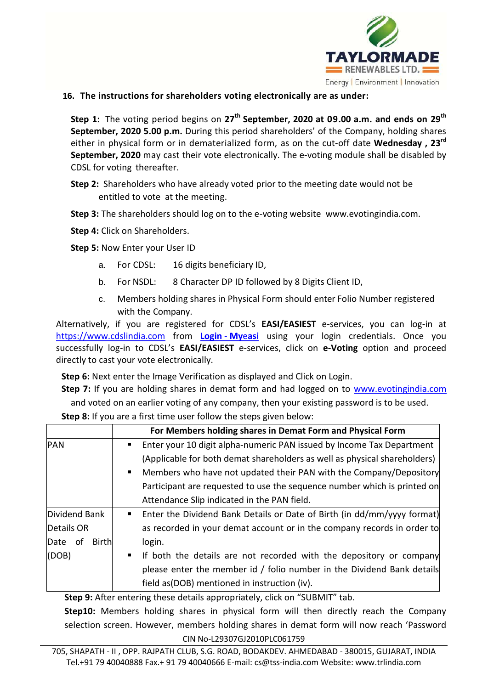

# **16. The instructions for shareholders voting electronically are as under:**

**Step 1:** The voting period begins on **27th September, 2020 at 09.00 a.m. and ends on 29th September, 2020 5.00 p.m.** During this period shareholders' of the Company, holding shares either in physical form or in dematerialized form, as on the cut-off date **Wednesday , 23rd September, 2020** may cast their vote electronically. The e-voting module shall be disabled by CDSL for voting thereafter.

**Step 2:** Shareholders who have already voted prior to the meeting date would not be entitled to vote at the meeting.

**Step 3:** The shareholders should log on to the e-voting website [www.evotingindia.com.](http://www.evotingindia.com/)

**Step 4:** Click on Shareholders.

**Step 5:** Now Enter your User ID

- a. For CDSL: 16 digits beneficiary ID,
- b. For NSDL: 8 Character DP ID followed by 8 Digits Client ID,
- c. Members holding shares in Physical Form should enter Folio Number registered with the Company.

Alternatively, if you are registered for CDSL's **EASI/EASIEST** e-services, you can log-in at [https://www.cdslindia.com](https://www.cdslindia.com/) from **[Login](file:///C:\Users\UTPAL\Downloads\Login�-�Myeasi)** - **My**e**asi** using your login credentials. Once you successfully log-in to CDSL's **EASI/EASIEST** e-services, click on **e-Voting** option and proceed directly to cast your vote electronically.

**Step 6:** Next enter the Image Verification as displayed and Click on Login.

Step 7: If you are holding shares in demat form and had logged on to www.evotingindia.com and voted on an earlier voting of any company, then your existing password is to be used.

**Step 8:** If you are a first time user follow the steps given below:

|                         | For Members holding shares in Demat Form and Physical Form                                |
|-------------------------|-------------------------------------------------------------------------------------------|
| <b>PAN</b>              | Enter your 10 digit alpha-numeric PAN issued by Income Tax Department<br>$\blacksquare$   |
|                         | (Applicable for both demat shareholders as well as physical shareholders)                 |
|                         | Members who have not updated their PAN with the Company/Depository<br>$\blacksquare$      |
|                         | Participant are requested to use the sequence number which is printed on                  |
|                         | Attendance Slip indicated in the PAN field.                                               |
| Dividend Bank           | Enter the Dividend Bank Details or Date of Birth (in dd/mm/yyyy format)<br>$\blacksquare$ |
| Details OR              | as recorded in your demat account or in the company records in order to                   |
| Date of<br><b>Birth</b> | login.                                                                                    |
| (DOB)                   | If both the details are not recorded with the depository or company<br>$\blacksquare$     |
|                         | please enter the member id / folio number in the Dividend Bank details                    |
|                         | field as (DOB) mentioned in instruction (iv).                                             |

**Step 9:** After entering these details appropriately, click on "SUBMIT" tab.

**Step10:** Members holding shares in physical form will then directly reach the Company selection screen. However, members holding shares in demat form will now reach 'Password

CIN No-L29307GJ2010PLC061759

705, SHAPATH - II , OPP. RAJPATH CLUB, S.G. ROAD, BODAKDEV. AHMEDABAD - 380015, GUJARAT, INDIA Tel.+91 79 40040888 Fax.+ 91 79 40040666 E-mail: cs@tss-india.com Website: www.trlindia.com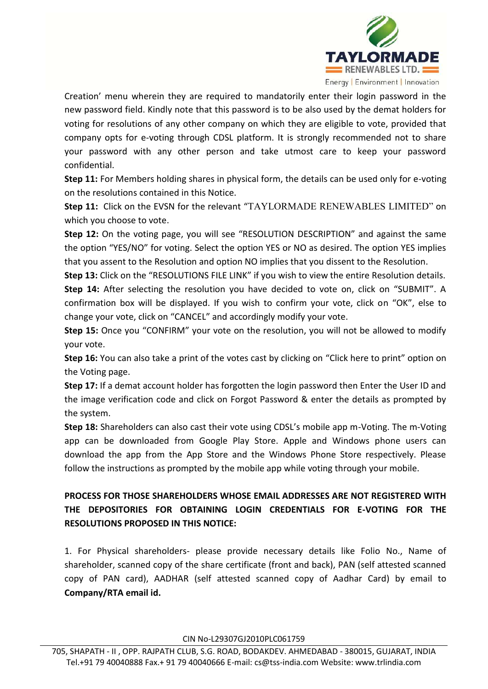

Creation' menu wherein they are required to mandatorily enter their login password in the new password field. Kindly note that this password is to be also used by the demat holders for voting for resolutions of any other company on which they are eligible to vote, provided that company opts for e-voting through CDSL platform. It is strongly recommended not to share your password with any other person and take utmost care to keep your password confidential.

**Step 11:** For Members holding shares in physical form, the details can be used only for e-voting on the resolutions contained in this Notice.

**Step 11:** Click on the EVSN for the relevant "TAYLORMADE RENEWABLES LIMITED" on which you choose to vote.

**Step 12:** On the voting page, you will see "RESOLUTION DESCRIPTION" and against the same the option "YES/NO" for voting. Select the option YES or NO as desired. The option YES implies that you assent to the Resolution and option NO implies that you dissent to the Resolution.

**Step 13:** Click on the "RESOLUTIONS FILE LINK" if you wish to view the entire Resolution details. **Step 14:** After selecting the resolution you have decided to vote on, click on "SUBMIT". A confirmation box will be displayed. If you wish to confirm your vote, click on "OK", else to change your vote, click on "CANCEL" and accordingly modify your vote.

**Step 15:** Once you "CONFIRM" your vote on the resolution, you will not be allowed to modify your vote.

**Step 16:** You can also take a print of the votes cast by clicking on "Click here to print" option on the Voting page.

**Step 17:** If a demat account holder has forgotten the login password then Enter the User ID and the image verification code and click on Forgot Password & enter the details as prompted by the system.

**Step 18:** Shareholders can also cast their vote using CDSL's mobile app m-Voting. The m-Voting app can be downloaded from Google Play Store. Apple and Windows phone users can download the app from the App Store and the Windows Phone Store respectively. Please follow the instructions as prompted by the mobile app while voting through your mobile.

# **PROCESS FOR THOSE SHAREHOLDERS WHOSE EMAIL ADDRESSES ARE NOT REGISTERED WITH THE DEPOSITORIES FOR OBTAINING LOGIN CREDENTIALS FOR E-VOTING FOR THE RESOLUTIONS PROPOSED IN THIS NOTICE:**

1. For Physical shareholders- please provide necessary details like Folio No., Name of shareholder, scanned copy of the share certificate (front and back), PAN (self attested scanned copy of PAN card), AADHAR (self attested scanned copy of Aadhar Card) by email to **Company/RTA email id.**

CIN No-L29307GJ2010PLC061759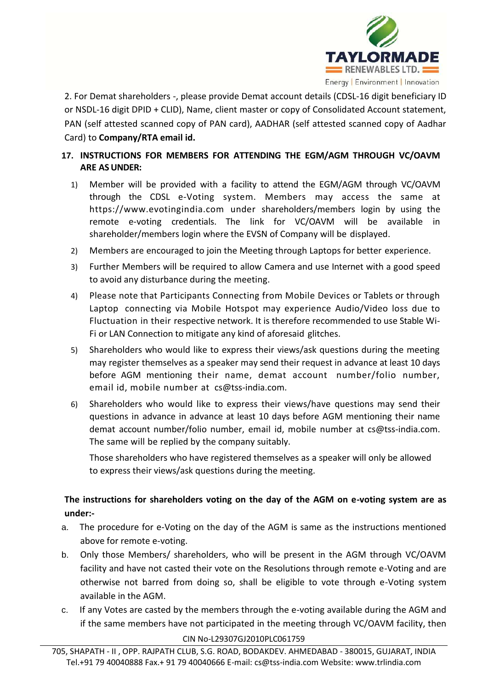

2. For Demat shareholders -, please provide Demat account details (CDSL-16 digit beneficiary ID or NSDL-16 digit DPID + CLID), Name, client master or copy of Consolidated Account statement, PAN (self attested scanned copy of PAN card), AADHAR (self attested scanned copy of Aadhar Card) to **Company/RTA email id.**

# **17. INSTRUCTIONS FOR MEMBERS FOR ATTENDING THE EGM/AGM THROUGH VC/OAVM ARE ASUNDER:**

- 1) Member will be provided with a facility to attend the EGM/AGM through VC/OAVM through the CDSL e-Voting system. Members may access the same at [https://www](https://ww/).evotingindia.com under shareholders/members login by using the remote e-voting credentials. The link for VC/OAVM will be available in shareholder/members login where the EVSN of Company will be displayed.
- 2) Members are encouraged to join the Meeting through Laptops for better experience.
- 3) Further Members will be required to allow Camera and use Internet with a good speed to avoid any disturbance during the meeting.
- 4) Please note that Participants Connecting from Mobile Devices or Tablets or through Laptop connecting via Mobile Hotspot may experience Audio/Video loss due to Fluctuation in their respective network. It is therefore recommended to use Stable Wi-Fi or LAN Connection to mitigate any kind of aforesaid glitches.
- 5) Shareholders who would like to express their views/ask questions during the meeting may register themselves as a speaker may send their request in advance at least 10 days before AGM mentioning their name, demat account number/folio number, email id, mobile number at [cs@tss-india.com.](mailto:secretary@surajgroup.com)
- 6) Shareholders who would like to express their views/have questions may send their questions in advance in advance at least 10 days before AGM mentioning their name demat account number/folio number, email id, mobile number at [cs@tss-india.com.](mailto:secretary@surajgroup.com)  The same will be replied by the company suitably.

Those shareholders who have registered themselves as a speaker will only be allowed to express their views/ask questions during the meeting.

# **The instructions for shareholders voting on the day of the AGM on e-voting system are as under:-**

- a. The procedure for e-Voting on the day of the AGM is same as the instructions mentioned above for remote e-voting.
- b. Only those Members/ shareholders, who will be present in the AGM through VC/OAVM facility and have not casted their vote on the Resolutions through remote e-Voting and are otherwise not barred from doing so, shall be eligible to vote through e-Voting system available in the AGM.
- c. If any Votes are casted by the members through the e-voting available during the AGM and if the same members have not participated in the meeting through VC/OAVM facility, then

### CIN No-L29307GJ2010PLC061759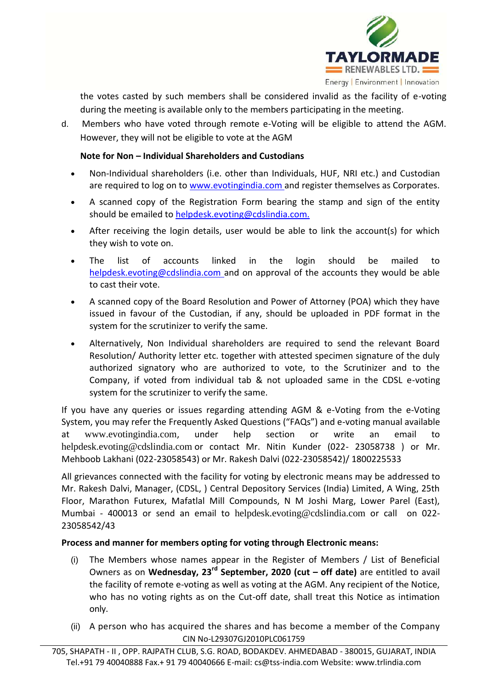

the votes casted by such members shall be considered invalid as the facility of e-voting during the meeting is available only to the members participating in the meeting.

d. Members who have voted through remote e-Voting will be eligible to attend the AGM. However, they will not be eligible to vote at the AGM

# **Note for Non – Individual Shareholders and Custodians**

- Non-Individual shareholders (i.e. other than Individuals, HUF, NRI etc.) and Custodian are required to log on to [www.evotingindia.com a](http://www.evotingindia.com/)nd register themselves as Corporates.
- A scanned copy of the Registration Form bearing the stamp and sign of the entity should be emailed to [helpdesk.evoting@cdslindia.com.](mailto:helpdesk.evoting@cdslindia.com)
- After receiving the login details, user would be able to link the account(s) for which they wish to vote on.
- The list of accounts linked in the login should be mailed to [helpdesk.evoting@cdslindia.com a](mailto:helpdesk.evoting@cdslindia.com)nd on approval of the accounts they would be able to cast their vote.
- A scanned copy of the Board Resolution and Power of Attorney (POA) which they have issued in favour of the Custodian, if any, should be uploaded in PDF format in the system for the scrutinizer to verify the same.
- Alternatively, Non Individual shareholders are required to send the relevant Board Resolution/ Authority letter etc. together with attested specimen signature of the duly authorized signatory who are authorized to vote, to the Scrutinizer and to the Company, if voted from individual tab & not uploaded same in the CDSL e-voting system for the scrutinizer to verify the same.

If you have any queries or issues regarding attending AGM & e-Voting from the e-Voting System, you may refer the Frequently Asked Questions ("FAQs") and e-voting manual available at [www.evotingindia.com](http://www.evotingindia.com/), under help section or write an email to [helpdesk.evoting@cdslindia.com](mailto:helpdesk.evoting@cdslindia.com) or contact Mr. Nitin Kunder (022- 23058738 ) or Mr. Mehboob Lakhani (022-23058543) or Mr. Rakesh Dalvi (022-23058542)/ 1800225533

All grievances connected with the facility for voting by electronic means may be addressed to Mr. Rakesh Dalvi, Manager, (CDSL, ) Central Depository Services (India) Limited, A Wing, 25th Floor, Marathon Futurex, Mafatlal Mill Compounds, N M Joshi Marg, Lower Parel (East), Mumbai - 400013 or send an email to [helpdesk.evoting@cdslindia.com](mailto:helpdesk.evoting@cdslindia.com) or call on 022- 23058542/43

# **Process and manner for members opting for voting through Electronic means:**

- (i) The Members whose names appear in the Register of Members / List of Beneficial Owners as on **Wednesday, 23rd September, 2020 (cut – off date)** are entitled to avail the facility of remote e-voting as well as voting at the AGM. Any recipient of the Notice, who has no voting rights as on the Cut-off date, shall treat this Notice as intimation only.
- CIN No-L29307GJ2010PLC061759 (ii) A person who has acquired the shares and has become a member of the Company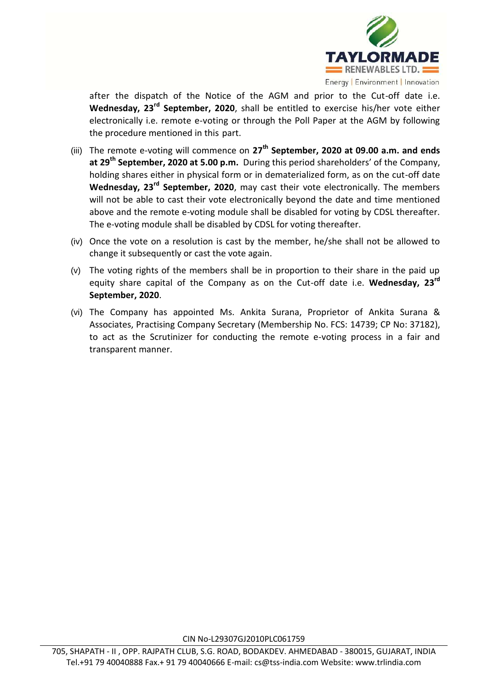

after the dispatch of the Notice of the AGM and prior to the Cut-off date i.e. **Wednesday, 23rd September, 2020**, shall be entitled to exercise his/her vote either electronically i.e. remote e-voting or through the Poll Paper at the AGM by following the procedure mentioned in this part.

- (iii) The remote e-voting will commence on **27th September, 2020 at 09.00 a.m. and ends at 29th September, 2020 at 5.00 p.m.** During this period shareholders' of the Company, holding shares either in physical form or in dematerialized form, as on the cut-off date **Wednesday, 23rd September, 2020**, may cast their vote electronically. The members will not be able to cast their vote electronically beyond the date and time mentioned above and the remote e-voting module shall be disabled for voting by CDSL thereafter. The e-voting module shall be disabled by CDSL for voting thereafter.
- (iv) Once the vote on a resolution is cast by the member, he/she shall not be allowed to change it subsequently or cast the vote again.
- (v) The voting rights of the members shall be in proportion to their share in the paid up equity share capital of the Company as on the Cut-off date i.e. **Wednesday, 23rd September, 2020**.
- (vi) The Company has appointed Ms. Ankita Surana, Proprietor of Ankita Surana & Associates, Practising Company Secretary (Membership No. FCS: 14739; CP No: 37182), to act as the Scrutinizer for conducting the remote e-voting process in a fair and transparent manner.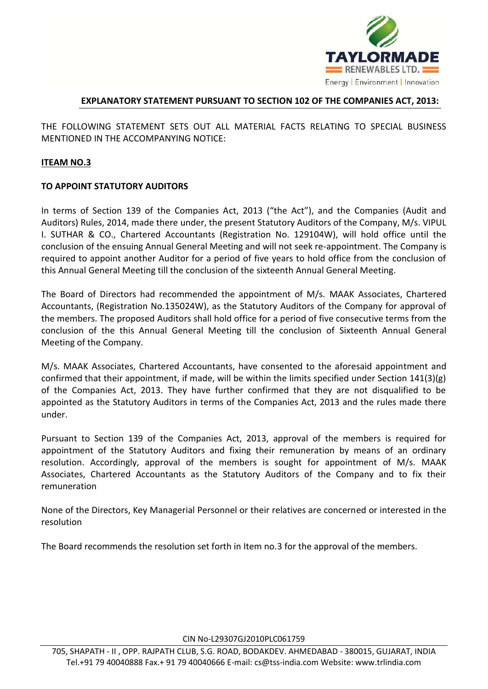

# **EXPLANATORY STATEMENT PURSUANT TO SECTION 102 OF THE COMPANIES ACT, 2013:**

THE FOLLOWING STATEMENT SETS OUT ALL MATERIAL FACTS RELATING TO SPECIAL BUSINESS MENTIONED IN THE ACCOMPANYING NOTICE:

# **ITEAM NO.3**

# **TO APPOINT STATUTORY AUDITORS**

In terms of Section 139 of the Companies Act, 2013 ("the Act"), and the Companies (Audit and Auditors) Rules, 2014, made there under, the present Statutory Auditors of the Company, M/s. VIPUL I. SUTHAR & CO., Chartered Accountants (Registration No. 129104W), will hold office until the conclusion of the ensuing Annual General Meeting and will not seek re-appointment. The Company is required to appoint another Auditor for a period of five years to hold office from the conclusion of this Annual General Meeting till the conclusion of the sixteenth Annual General Meeting.

The Board of Directors had recommended the appointment of M/s. MAAK Associates, Chartered Accountants, (Registration No.135024W), as the Statutory Auditors of the Company for approval of the members. The proposed Auditors shall hold office for a period of five consecutive terms from the conclusion of the this Annual General Meeting till the conclusion of Sixteenth Annual General Meeting of the Company.

M/s. MAAK Associates, Chartered Accountants, have consented to the aforesaid appointment and confirmed that their appointment, if made, will be within the limits specified under Section 141(3)(g) of the Companies Act, 2013. They have further confirmed that they are not disqualified to be appointed as the Statutory Auditors in terms of the Companies Act, 2013 and the rules made there under.

Pursuant to Section 139 of the Companies Act, 2013, approval of the members is required for appointment of the Statutory Auditors and fixing their remuneration by means of an ordinary resolution. Accordingly, approval of the members is sought for appointment of M/s. MAAK Associates, Chartered Accountants as the Statutory Auditors of the Company and to fix their remuneration

None of the Directors, Key Managerial Personnel or their relatives are concerned or interested in the resolution

The Board recommends the resolution set forth in Item no.3 for the approval of the members.

CIN No-L29307GJ2010PLC061759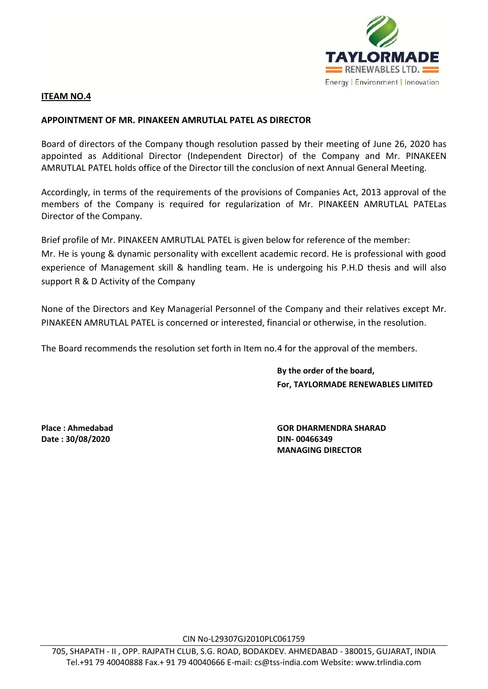

# **ITEAM NO.4**

### **APPOINTMENT OF MR. PINAKEEN AMRUTLAL PATEL AS DIRECTOR**

Board of directors of the Company though resolution passed by their meeting of June 26, 2020 has appointed as Additional Director (Independent Director) of the Company and Mr. PINAKEEN AMRUTLAL PATEL holds office of the Director till the conclusion of next Annual General Meeting.

Accordingly, in terms of the requirements of the provisions of Companies Act, 2013 approval of the members of the Company is required for regularization of Mr. PINAKEEN AMRUTLAL PATELas Director of the Company.

Brief profile of Mr. PINAKEEN AMRUTLAL PATEL is given below for reference of the member: Mr. He is young & dynamic personality with excellent academic record. He is professional with good experience of Management skill & handling team. He is undergoing his P.H.D thesis and will also support R & D Activity of the Company

None of the Directors and Key Managerial Personnel of the Company and their relatives except Mr. PINAKEEN AMRUTLAL PATEL is concerned or interested, financial or otherwise, in the resolution.

The Board recommends the resolution set forth in Item no.4 for the approval of the members.

**By the order of the board, For, TAYLORMADE RENEWABLES LIMITED**

**Date : 30/08/2020 DIN- 00466349**

**Place : Ahmedabad GOR DHARMENDRA SHARAD MANAGING DIRECTOR**

CIN No-L29307GJ2010PLC061759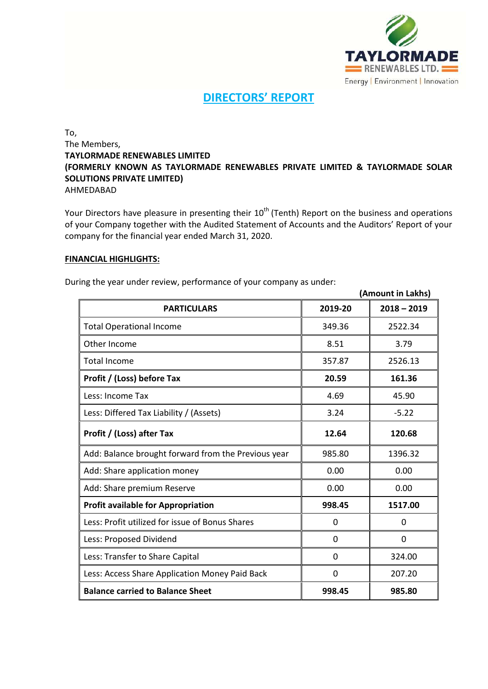

# **DIRECTORS' REPORT**

To, The Members, **TAYLORMADE RENEWABLES LIMITED (FORMERLY KNOWN AS TAYLORMADE RENEWABLES PRIVATE LIMITED & TAYLORMADE SOLAR SOLUTIONS PRIVATE LIMITED)** AHMEDABAD

Your Directors have pleasure in presenting their 10<sup>th</sup> (Tenth) Report on the business and operations of your Company together with the Audited Statement of Accounts and the Auditors' Report of your company for the financial year ended March 31, 2020.

### **FINANCIAL HIGHLIGHTS:**

|                                                     |             | (Amount in Lakhs) |
|-----------------------------------------------------|-------------|-------------------|
| <b>PARTICULARS</b>                                  | 2019-20     | $2018 - 2019$     |
| <b>Total Operational Income</b>                     | 349.36      | 2522.34           |
| Other Income                                        | 8.51        | 3.79              |
| Total Income                                        | 357.87      | 2526.13           |
| Profit / (Loss) before Tax                          | 20.59       | 161.36            |
| Less: Income Tax                                    | 4.69        | 45.90             |
| Less: Differed Tax Liability / (Assets)             | 3.24        | $-5.22$           |
| Profit / (Loss) after Tax                           | 12.64       | 120.68            |
| Add: Balance brought forward from the Previous year | 985.80      | 1396.32           |
| Add: Share application money                        | 0.00        | 0.00              |
| Add: Share premium Reserve                          | 0.00        | 0.00              |
| <b>Profit available for Appropriation</b>           | 998.45      | 1517.00           |
| Less: Profit utilized for issue of Bonus Shares     | $\mathbf 0$ | 0                 |
| Less: Proposed Dividend                             | 0           | 0                 |
| Less: Transfer to Share Capital                     | 0           | 324.00            |
| Less: Access Share Application Money Paid Back      | $\mathbf 0$ | 207.20            |
| <b>Balance carried to Balance Sheet</b>             | 998.45      | 985.80            |

During the year under review, performance of your company as under: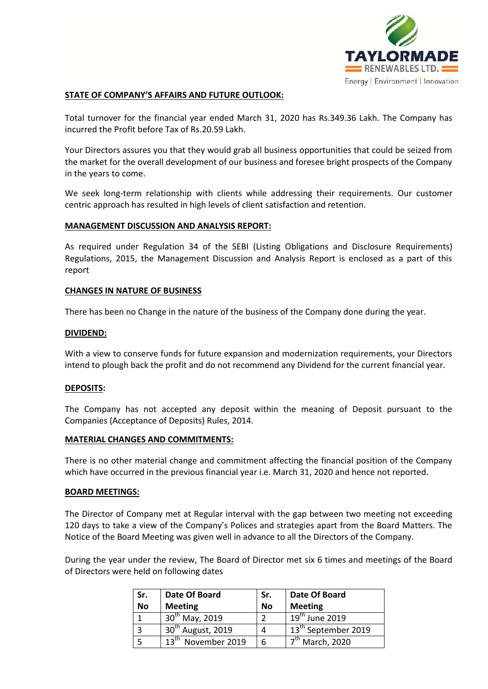

### **STATE OF COMPANY'S AFFAIRS AND FUTURE OUTLOOK:**

Total turnover for the financial year ended March 31, 2020 has Rs.349.36 Lakh. The Company has incurred the Profit before Tax of Rs.20.59 Lakh.

Your Directors assures you that they would grab all business opportunities that could be seized from the market for the overall development of our business and foresee bright prospects of the Company in the years to come.

We seek long-term relationship with clients while addressing their requirements. Our customer centric approach has resulted in high levels of client satisfaction and retention.

### **MANAGEMENT DISCUSSION AND ANALYSIS REPORT:**

As required under Regulation 34 of the SEBI (Listing Obligations and Disclosure Requirements) Regulations, 2015, the Management Discussion and Analysis Report is enclosed as a part of this report

#### **CHANGES IN NATURE OF BUSINESS**

There has been no Change in the nature of the business of the Company done during the year.

#### **DIVIDEND:**

With a view to conserve funds for future expansion and modernization requirements, your Directors intend to plough back the profit and do not recommend any Dividend for the current financial year.

### **DEPOSITS:**

The Company has not accepted any deposit within the meaning of Deposit pursuant to the Companies (Acceptance of Deposits) Rules, 2014.

#### **MATERIAL CHANGES AND COMMITMENTS:**

There is no other material change and commitment affecting the financial position of the Company which have occurred in the previous financial year i.e. March 31, 2020 and hence not reported.

### **BOARD MEETINGS:**

The Director of Company met at Regular interval with the gap between two meeting not exceeding 120 days to take a view of the Company's Polices and strategies apart from the Board Matters. The Notice of the Board Meeting was given well in advance to all the Directors of the Company.

During the year under the review, The Board of Director met six 6 times and meetings of the Board of Directors were held on following dates

| Sr.       | Date Of Board                     | Sr.       | Date Of Board                   |
|-----------|-----------------------------------|-----------|---------------------------------|
| <b>No</b> | <b>Meeting</b>                    | <b>No</b> | <b>Meeting</b>                  |
|           | 30 <sup>th</sup> May, 2019        |           | $19th$ June 2019                |
| 3         | 30 <sup>th</sup> August, 2019     |           | 13 <sup>th</sup> September 2019 |
|           | $13^{\text{th}}$<br>November 2019 |           | $7th$ March, 2020               |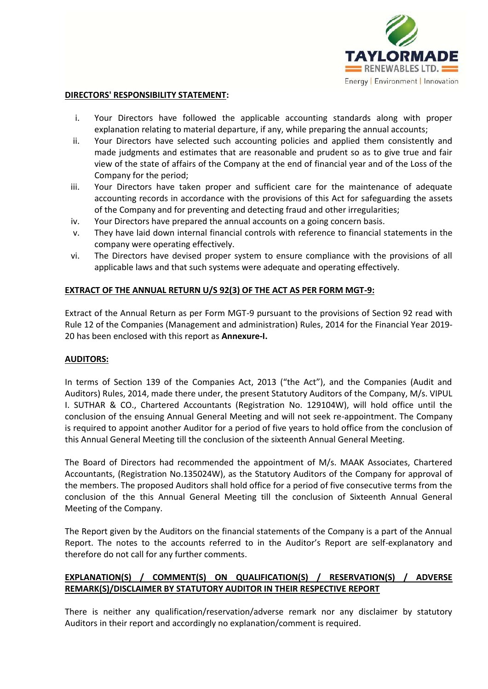

### **DIRECTORS' RESPONSIBILITY STATEMENT:**

- i. Your Directors have followed the applicable accounting standards along with proper explanation relating to material departure, if any, while preparing the annual accounts;
- ii. Your Directors have selected such accounting policies and applied them consistently and made judgments and estimates that are reasonable and prudent so as to give true and fair view of the state of affairs of the Company at the end of financial year and of the Loss of the Company for the period;
- iii. Your Directors have taken proper and sufficient care for the maintenance of adequate accounting records in accordance with the provisions of this Act for safeguarding the assets of the Company and for preventing and detecting fraud and other irregularities;
- iv. Your Directors have prepared the annual accounts on a going concern basis.
- v. They have laid down internal financial controls with reference to financial statements in the company were operating effectively.
- vi. The Directors have devised proper system to ensure compliance with the provisions of all applicable laws and that such systems were adequate and operating effectively.

# **EXTRACT OF THE ANNUAL RETURN U/S 92(3) OF THE ACT AS PER FORM MGT-9:**

Extract of the Annual Return as per Form MGT-9 pursuant to the provisions of Section 92 read with Rule 12 of the Companies (Management and administration) Rules, 2014 for the Financial Year 2019- 20 has been enclosed with this report as **Annexure-I.**

## **AUDITORS:**

In terms of Section 139 of the Companies Act, 2013 ("the Act"), and the Companies (Audit and Auditors) Rules, 2014, made there under, the present Statutory Auditors of the Company, M/s. VIPUL I. SUTHAR & CO., Chartered Accountants (Registration No. 129104W), will hold office until the conclusion of the ensuing Annual General Meeting and will not seek re-appointment. The Company is required to appoint another Auditor for a period of five years to hold office from the conclusion of this Annual General Meeting till the conclusion of the sixteenth Annual General Meeting.

The Board of Directors had recommended the appointment of M/s. MAAK Associates, Chartered Accountants, (Registration No.135024W), as the Statutory Auditors of the Company for approval of the members. The proposed Auditors shall hold office for a period of five consecutive terms from the conclusion of the this Annual General Meeting till the conclusion of Sixteenth Annual General Meeting of the Company.

The Report given by the Auditors on the financial statements of the Company is a part of the Annual Report. The notes to the accounts referred to in the Auditor's Report are self-explanatory and therefore do not call for any further comments.

# **EXPLANATION(S) / COMMENT(S) ON QUALIFICATION(S) / RESERVATION(S) / ADVERSE REMARK(S)/DISCLAIMER BY STATUTORY AUDITOR IN THEIR RESPECTIVE REPORT**

There is neither any qualification/reservation/adverse remark nor any disclaimer by statutory Auditors in their report and accordingly no explanation/comment is required.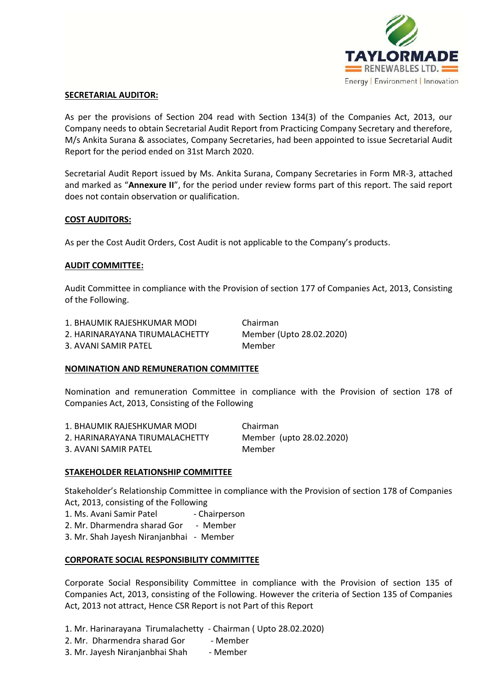

### **SECRETARIAL AUDITOR:**

As per the provisions of Section 204 read with Section 134(3) of the Companies Act, 2013, our Company needs to obtain Secretarial Audit Report from Practicing Company Secretary and therefore, M/s Ankita Surana & associates, Company Secretaries, had been appointed to issue Secretarial Audit Report for the period ended on 31st March 2020.

Secretarial Audit Report issued by Ms. Ankita Surana, Company Secretaries in Form MR-3, attached and marked as "**Annexure II**", for the period under review forms part of this report. The said report does not contain observation or qualification.

### **COST AUDITORS:**

As per the Cost Audit Orders, Cost Audit is not applicable to the Company's products.

### **AUDIT COMMITTEE:**

Audit Committee in compliance with the Provision of section 177 of Companies Act, 2013, Consisting of the Following.

| 1. BHAUMIK RAJESHKUMAR MODI    |  |
|--------------------------------|--|
| 2. HARINARAYANA TIRUMALACHETTY |  |

3. AVANI SAMIR PATEL Member

**Chairman** Member (Upto 28.02.2020)

## **NOMINATION AND REMUNERATION COMMITTEE**

Nomination and remuneration Committee in compliance with the Provision of section 178 of Companies Act, 2013, Consisting of the Following

| 1. BHAUMIK RAJESHKUMAR MODI    | Chairman                 |
|--------------------------------|--------------------------|
| 2. HARINARAYANA TIRUMALACHETTY | Member (upto 28.02.2020) |
| 3. AVANI SAMIR PATEL           | Member                   |

## **STAKEHOLDER RELATIONSHIP COMMITTEE**

Stakeholder's Relationship Committee in compliance with the Provision of section 178 of Companies Act, 2013, consisting of the Following

- 1. Ms. Avani Samir Patel Chairperson
- 2. Mr. Dharmendra sharad Gor Member
- 3. Mr. Shah Jayesh Niranjanbhai Member

## **CORPORATE SOCIAL RESPONSIBILITY COMMITTEE**

Corporate Social Responsibility Committee in compliance with the Provision of section 135 of Companies Act, 2013, consisting of the Following. However the criteria of Section 135 of Companies Act, 2013 not attract, Hence CSR Report is not Part of this Report

- 1. Mr. Harinarayana Tirumalachetty Chairman ( Upto 28.02.2020)
- 2. Mr. Dharmendra sharad Gor Member
- 3. Mr. Jayesh Niranjanbhai Shah Member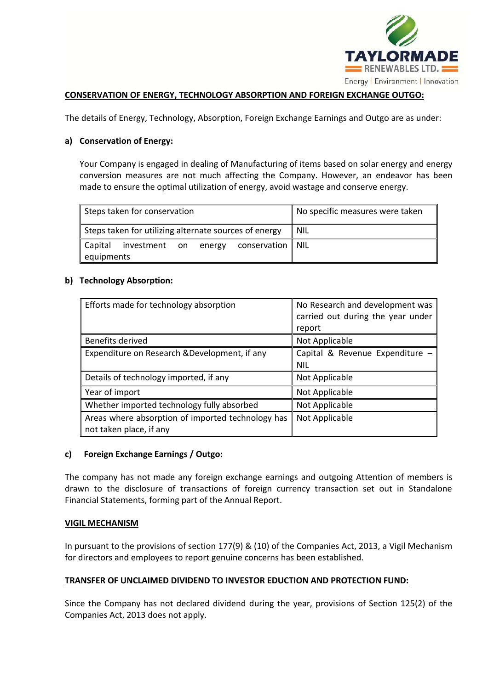

### **CONSERVATION OF ENERGY, TECHNOLOGY ABSORPTION AND FOREIGN EXCHANGE OUTGO:**

The details of Energy, Technology, Absorption, Foreign Exchange Earnings and Outgo are as under:

### **a) Conservation of Energy:**

Your Company is engaged in dealing of Manufacturing of items based on solar energy and energy conversion measures are not much affecting the Company. However, an endeavor has been made to ensure the optimal utilization of energy, avoid wastage and conserve energy.

| Steps taken for conservation                                               |  |  | No specific measures were taken |       |
|----------------------------------------------------------------------------|--|--|---------------------------------|-------|
| Steps taken for utilizing alternate sources of energy                      |  |  |                                 | I NIL |
| Capital<br>investment on energy conservation $\parallel$ NIL<br>equipments |  |  |                                 |       |

### **b) Technology Absorption:**

| Efforts made for technology absorption                                       | No Research and development was<br>carried out during the year under<br>report |
|------------------------------------------------------------------------------|--------------------------------------------------------------------------------|
| Benefits derived                                                             | Not Applicable                                                                 |
| Expenditure on Research & Development, if any                                | Capital & Revenue Expenditure -<br><b>NIL</b>                                  |
| Details of technology imported, if any                                       | Not Applicable                                                                 |
| Year of import                                                               | Not Applicable                                                                 |
| Whether imported technology fully absorbed                                   | Not Applicable                                                                 |
| Areas where absorption of imported technology has<br>not taken place, if any | Not Applicable                                                                 |

### **c) Foreign Exchange Earnings / Outgo:**

The company has not made any foreign exchange earnings and outgoing Attention of members is drawn to the disclosure of transactions of foreign currency transaction set out in Standalone Financial Statements, forming part of the Annual Report.

### **VIGIL MECHANISM**

In pursuant to the provisions of section 177(9) & (10) of the Companies Act, 2013, a Vigil Mechanism for directors and employees to report genuine concerns has been established.

### **TRANSFER OF UNCLAIMED DIVIDEND TO INVESTOR EDUCTION AND PROTECTION FUND:**

Since the Company has not declared dividend during the year, provisions of Section 125(2) of the Companies Act, 2013 does not apply.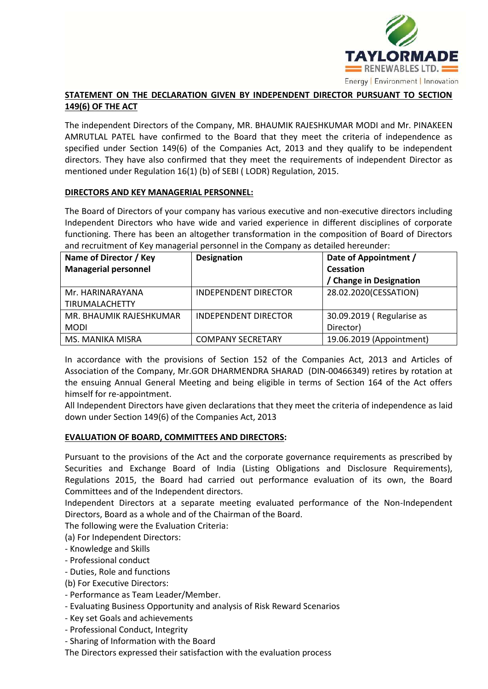

# **STATEMENT ON THE DECLARATION GIVEN BY INDEPENDENT DIRECTOR PURSUANT TO SECTION 149(6) OF THE ACT**

The independent Directors of the Company, MR. BHAUMIK RAJESHKUMAR MODI and Mr. PINAKEEN AMRUTLAL PATEL have confirmed to the Board that they meet the criteria of independence as specified under Section 149(6) of the Companies Act, 2013 and they qualify to be independent directors. They have also confirmed that they meet the requirements of independent Director as mentioned under Regulation 16(1) (b) of SEBI ( LODR) Regulation, 2015.

### **DIRECTORS AND KEY MANAGERIAL PERSONNEL:**

The Board of Directors of your company has various executive and non-executive directors including Independent Directors who have wide and varied experience in different disciplines of corporate functioning. There has been an altogether transformation in the composition of Board of Directors and recruitment of Key managerial personnel in the Company as detailed hereunder:

| Name of Director / Key      | <b>Designation</b>          | Date of Appointment /     |
|-----------------------------|-----------------------------|---------------------------|
| <b>Managerial personnel</b> |                             | Cessation                 |
|                             |                             | / Change in Designation   |
| Mr. HARINARAYANA            | INDEPENDENT DIRECTOR        | 28.02.2020(CESSATION)     |
| <b>TIRUMALACHETTY</b>       |                             |                           |
| MR. BHAUMIK RAJESHKUMAR     | <b>INDEPENDENT DIRECTOR</b> | 30.09.2019 (Regularise as |
| <b>MODI</b>                 |                             | Director)                 |
| MS. MANIKA MISRA            | <b>COMPANY SECRETARY</b>    | 19.06.2019 (Appointment)  |

In accordance with the provisions of Section 152 of the Companies Act, 2013 and Articles of Association of the Company, Mr.GOR DHARMENDRA SHARAD (DIN-00466349) retires by rotation at the ensuing Annual General Meeting and being eligible in terms of Section 164 of the Act offers himself for re-appointment.

All Independent Directors have given declarations that they meet the criteria of independence as laid down under Section 149(6) of the Companies Act, 2013

## **EVALUATION OF BOARD, COMMITTEES AND DIRECTORS:**

Pursuant to the provisions of the Act and the corporate governance requirements as prescribed by Securities and Exchange Board of India (Listing Obligations and Disclosure Requirements), Regulations 2015, the Board had carried out performance evaluation of its own, the Board Committees and of the Independent directors.

Independent Directors at a separate meeting evaluated performance of the Non-Independent Directors, Board as a whole and of the Chairman of the Board.

The following were the Evaluation Criteria:

(a) For Independent Directors:

- Knowledge and Skills
- Professional conduct
- Duties, Role and functions
- (b) For Executive Directors:
- Performance as Team Leader/Member.
- Evaluating Business Opportunity and analysis of Risk Reward Scenarios
- Key set Goals and achievements
- Professional Conduct, Integrity
- Sharing of Information with the Board

The Directors expressed their satisfaction with the evaluation process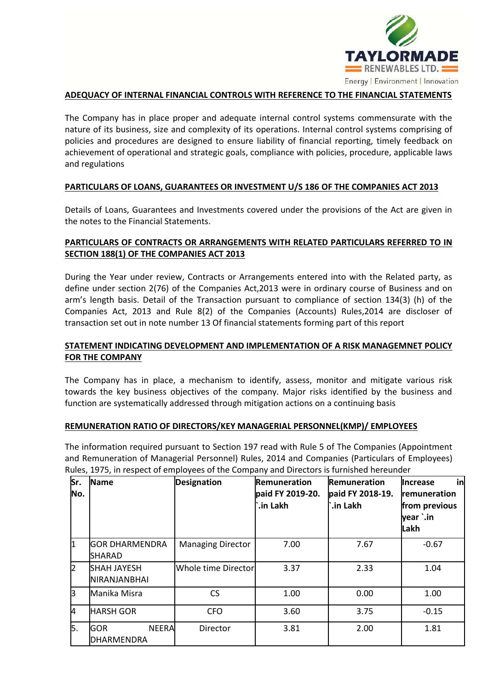

### **ADEQUACY OF INTERNAL FINANCIAL CONTROLS WITH REFERENCE TO THE FINANCIAL STATEMENTS**

The Company has in place proper and adequate internal control systems commensurate with the nature of its business, size and complexity of its operations. Internal control systems comprising of policies and procedures are designed to ensure liability of financial reporting, timely feedback on achievement of operational and strategic goals, compliance with policies, procedure, applicable laws and regulations

### **PARTICULARS OF LOANS, GUARANTEES OR INVESTMENT U/S 186 OF THE COMPANIES ACT 2013**

Details of Loans, Guarantees and Investments covered under the provisions of the Act are given in the notes to the Financial Statements.

# **PARTICULARS OF CONTRACTS OR ARRANGEMENTS WITH RELATED PARTICULARS REFERRED TO IN SECTION 188(1) OF THE COMPANIES ACT 2013**

During the Year under review, Contracts or Arrangements entered into with the Related party, as define under section 2(76) of the Companies Act,2013 were in ordinary course of Business and on arm's length basis. Detail of the Transaction pursuant to compliance of section 134(3) (h) of the Companies Act, 2013 and Rule 8(2) of the Companies (Accounts) Rules,2014 are discloser of transaction set out in note number 13 Of financial statements forming part of this report

# **STATEMENT INDICATING DEVELOPMENT AND IMPLEMENTATION OF A RISK MANAGEMNET POLICY FOR THE COMPANY**

The Company has in place, a mechanism to identify, assess, monitor and mitigate various risk towards the key business objectives of the company. Major risks identified by the business and function are systematically addressed through mitigation actions on a continuing basis

### **REMUNERATION RATIO OF DIRECTORS/KEY MANAGERIAL PERSONNEL(KMP)/ EMPLOYEES**

The information required pursuant to Section 197 read with Rule 5 of The Companies (Appointment and Remuneration of Managerial Personnel) Rules, 2014 and Companies (Particulars of Employees) Rules, 1975, in respect of employees of the Company and Directors is furnished hereunder

| Sr.<br>No.     | Name                                            | <b>Designation</b>       | Remuneration<br>paid FY 2019-20.<br>`.in Lakh | Remuneration<br>paid FY 2018-19.<br>`.in Lakh | in<br><b>Increase</b><br>remuneration<br>from previous<br>year `.in<br>Lakh |
|----------------|-------------------------------------------------|--------------------------|-----------------------------------------------|-----------------------------------------------|-----------------------------------------------------------------------------|
| I1             | <b>GOR DHARMENDRA</b><br>SHARAD                 | <b>Managing Director</b> | 7.00                                          | 7.67                                          | $-0.67$                                                                     |
| $\overline{2}$ | <b>SHAH JAYESH</b><br>NIRANJANBHAI              | Whole time Director      | 3.37                                          | 2.33                                          | 1.04                                                                        |
| ß              | Manika Misra                                    | CS                       | 1.00                                          | 0.00                                          | 1.00                                                                        |
| 4              | <b>HARSH GOR</b>                                | <b>CFO</b>               | 3.60                                          | 3.75                                          | $-0.15$                                                                     |
| 5.             | <b>GOR</b><br><b>NEERA</b><br><b>DHARMENDRA</b> | Director                 | 3.81                                          | 2.00                                          | 1.81                                                                        |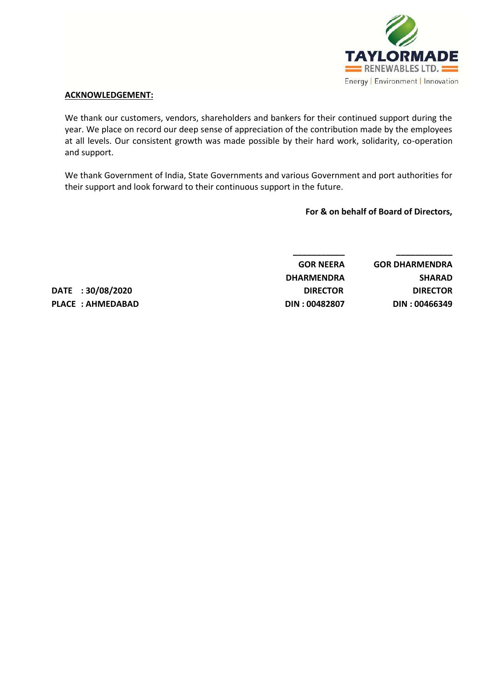

### **ACKNOWLEDGEMENT:**

We thank our customers, vendors, shareholders and bankers for their continued support during the year. We place on record our deep sense of appreciation of the contribution made by the employees at all levels. Our consistent growth was made possible by their hard work, solidarity, co-operation and support.

We thank Government of India, State Governments and various Government and port authorities for their support and look forward to their continuous support in the future.

**For & on behalf of Board of Directors,**

| <b>GOR DHARMENDRA</b> | <b>GOR NEERA</b>  |
|-----------------------|-------------------|
| <b>SHARAD</b>         | <b>DHARMENDRA</b> |
| <b>DIRECTOR</b>       | <b>DIRECTOR</b>   |
| DIN: 00466349         | DIN: 00482807     |

**DATE : 30/08/2020 PLACE : AHMEDABAD**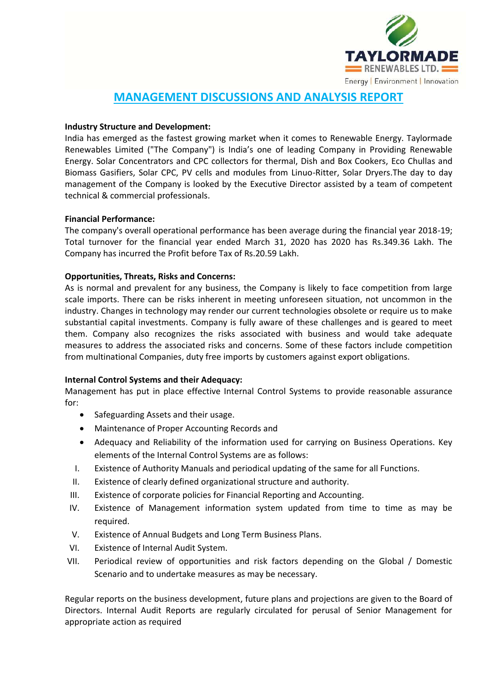

# **MANAGEMENT DISCUSSIONS AND ANALYSIS REPORT**

## **Industry Structure and Development:**

India has emerged as the fastest growing market when it comes to Renewable Energy. Taylormade Renewables Limited ("The Company") is India's one of leading Company in Providing Renewable Energy. Solar Concentrators and CPC collectors for thermal, Dish and Box Cookers, Eco Chullas and Biomass Gasifiers, Solar CPC, PV cells and modules from Linuo-Ritter, Solar Dryers.The day to day management of the Company is looked by the Executive Director assisted by a team of competent technical & commercial professionals.

### **Financial Performance:**

The company's overall operational performance has been average during the financial year 2018-19; Total turnover for the financial year ended March 31, 2020 has 2020 has Rs.349.36 Lakh. The Company has incurred the Profit before Tax of Rs.20.59 Lakh.

### **Opportunities, Threats, Risks and Concerns:**

As is normal and prevalent for any business, the Company is likely to face competition from large scale imports. There can be risks inherent in meeting unforeseen situation, not uncommon in the industry. Changes in technology may render our current technologies obsolete or require us to make substantial capital investments. Company is fully aware of these challenges and is geared to meet them. Company also recognizes the risks associated with business and would take adequate measures to address the associated risks and concerns. Some of these factors include competition from multinational Companies, duty free imports by customers against export obligations.

## **Internal Control Systems and their Adequacy:**

Management has put in place effective Internal Control Systems to provide reasonable assurance for:

- Safeguarding Assets and their usage.
- Maintenance of Proper Accounting Records and
- Adequacy and Reliability of the information used for carrying on Business Operations. Key elements of the Internal Control Systems are as follows:
- I. Existence of Authority Manuals and periodical updating of the same for all Functions.
- II. Existence of clearly defined organizational structure and authority.
- III. Existence of corporate policies for Financial Reporting and Accounting.
- IV. Existence of Management information system updated from time to time as may be required.
- V. Existence of Annual Budgets and Long Term Business Plans.
- VI. Existence of Internal Audit System.
- VII. Periodical review of opportunities and risk factors depending on the Global / Domestic Scenario and to undertake measures as may be necessary.

Regular reports on the business development, future plans and projections are given to the Board of Directors. Internal Audit Reports are regularly circulated for perusal of Senior Management for appropriate action as required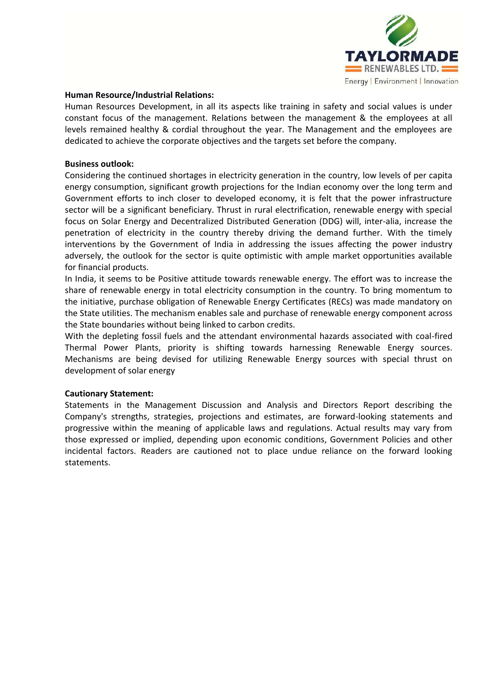

### **Human Resource/Industrial Relations:**

Human Resources Development, in all its aspects like training in safety and social values is under constant focus of the management. Relations between the management & the employees at all levels remained healthy & cordial throughout the year. The Management and the employees are dedicated to achieve the corporate objectives and the targets set before the company.

### **Business outlook:**

Considering the continued shortages in electricity generation in the country, low levels of per capita energy consumption, significant growth projections for the Indian economy over the long term and Government efforts to inch closer to developed economy, it is felt that the power infrastructure sector will be a significant beneficiary. Thrust in rural electrification, renewable energy with special focus on Solar Energy and Decentralized Distributed Generation (DDG) will, inter-alia, increase the penetration of electricity in the country thereby driving the demand further. With the timely interventions by the Government of India in addressing the issues affecting the power industry adversely, the outlook for the sector is quite optimistic with ample market opportunities available for financial products.

In India, it seems to be Positive attitude towards renewable energy. The effort was to increase the share of renewable energy in total electricity consumption in the country. To bring momentum to the initiative, purchase obligation of Renewable Energy Certificates (RECs) was made mandatory on the State utilities. The mechanism enables sale and purchase of renewable energy component across the State boundaries without being linked to carbon credits.

With the depleting fossil fuels and the attendant environmental hazards associated with coal-fired Thermal Power Plants, priority is shifting towards harnessing Renewable Energy sources. Mechanisms are being devised for utilizing Renewable Energy sources with special thrust on development of solar energy

### **Cautionary Statement:**

Statements in the Management Discussion and Analysis and Directors Report describing the Company's strengths, strategies, projections and estimates, are forward-looking statements and progressive within the meaning of applicable laws and regulations. Actual results may vary from those expressed or implied, depending upon economic conditions, Government Policies and other incidental factors. Readers are cautioned not to place undue reliance on the forward looking statements.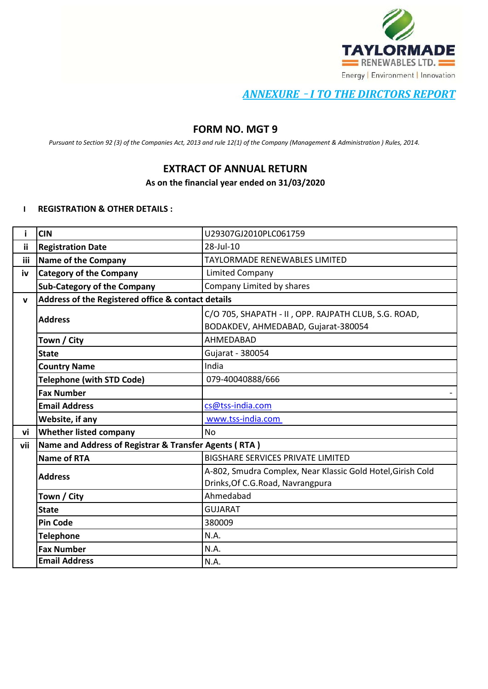

# *ANNEXURE* – *I TO THE DIRCTORS REPORT*

# **FORM NO. MGT 9**

*Pursuant to Section 92 (3) of the Companies Act, 2013 and rule 12(1) of the Company (Management & Administration ) Rules, 2014.*

# **EXTRACT OF ANNUAL RETURN**

**As on the financial year ended on 31/03/2020**

### **I REGISTRATION & OTHER DETAILS :**

|     | <b>CIN</b>                                            | U29307GJ2010PLC061759                                       |
|-----|-------------------------------------------------------|-------------------------------------------------------------|
| iί  | <b>Registration Date</b>                              | 28-Jul-10                                                   |
| iii | <b>Name of the Company</b>                            | <b>TAYLORMADE RENEWABLES LIMITED</b>                        |
| iv  | <b>Category of the Company</b>                        | <b>Limited Company</b>                                      |
|     | <b>Sub-Category of the Company</b>                    | Company Limited by shares                                   |
| V   | Address of the Registered office & contact details    |                                                             |
|     | <b>Address</b>                                        | C/O 705, SHAPATH - II, OPP. RAJPATH CLUB, S.G. ROAD,        |
|     |                                                       | BODAKDEV, AHMEDABAD, Gujarat-380054                         |
|     | Town / City                                           | AHMEDABAD                                                   |
|     | <b>State</b>                                          | Gujarat - 380054                                            |
|     | <b>Country Name</b>                                   | India                                                       |
|     | <b>Telephone (with STD Code)</b>                      | 079-40040888/666                                            |
|     | <b>Fax Number</b>                                     |                                                             |
|     | <b>Email Address</b>                                  | cs@tss-india.com                                            |
|     | Website, if any                                       | www.tss-india.com                                           |
| vi  | <b>Whether listed company</b>                         | <b>No</b>                                                   |
| vii | Name and Address of Registrar & Transfer Agents (RTA) |                                                             |
|     | <b>Name of RTA</b>                                    | <b>BIGSHARE SERVICES PRIVATE LIMITED</b>                    |
|     | <b>Address</b>                                        | A-802, Smudra Complex, Near Klassic Gold Hotel, Girish Cold |
|     |                                                       | Drinks, Of C.G. Road, Navrangpura                           |
|     | Town / City                                           | Ahmedabad                                                   |
|     | <b>State</b>                                          | <b>GUJARAT</b>                                              |
|     | <b>Pin Code</b>                                       | 380009                                                      |
|     | <b>Telephone</b>                                      | N.A.                                                        |
|     | <b>Fax Number</b>                                     | N.A.                                                        |
|     | <b>Email Address</b>                                  | N.A.                                                        |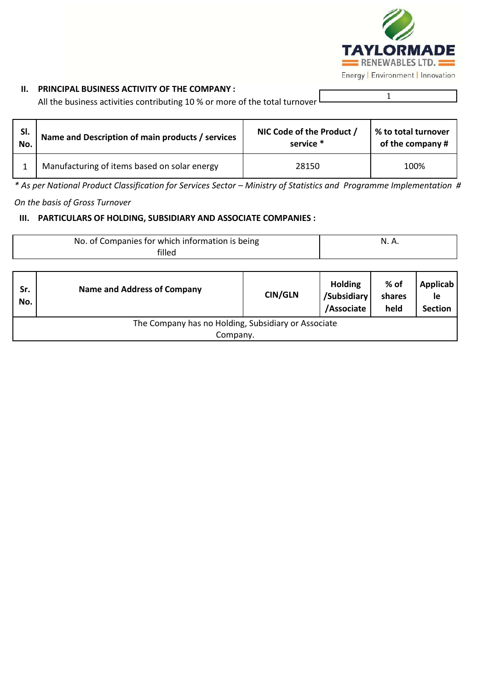

# **II. PRINCIPAL BUSINESS ACTIVITY OF THE COMPANY :**

All the business activities contributing 10 % or more of the total turnover

1

| SI. | Name and Description of main products / services | NIC Code of the Product / | % to total turnover |
|-----|--------------------------------------------------|---------------------------|---------------------|
| No. |                                                  | service *                 | of the company #    |
|     | Manufacturing of items based on solar energy     | 28150                     | 100%                |

\* As per National Product Classification for Services Sector – Ministry of Statistics and Programme Implementation #

*On the basis of Gross Turnover*

# **III. PARTICULARS OF HOLDING, SUBSIDIARY AND ASSOCIATE COMPANIES :**

|            | No. of Companies for which information is being<br>filled |                | N. A.                                       |                        |                                         |  |  |  |  |  |
|------------|-----------------------------------------------------------|----------------|---------------------------------------------|------------------------|-----------------------------------------|--|--|--|--|--|
| Sr.<br>No. | <b>Name and Address of Company</b>                        | <b>CIN/GLN</b> | <b>Holding</b><br>/Subsidiary<br>/Associate | % of<br>shares<br>held | <b>Applicab</b><br>le<br><b>Section</b> |  |  |  |  |  |
|            | The Company has no Holding, Subsidiary or Associate       |                |                                             |                        |                                         |  |  |  |  |  |
|            | Company.                                                  |                |                                             |                        |                                         |  |  |  |  |  |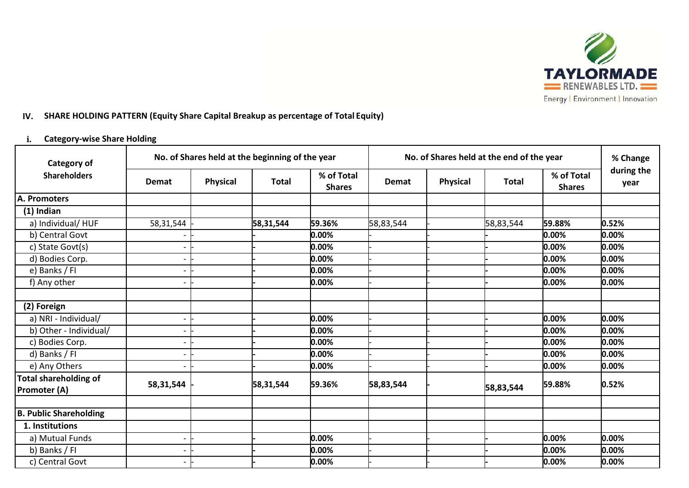

# **IV. SHARE HOLDING PATTERN (Equity Share Capital Breakup as percentage of Total Equity)**

# **i. Category-wise Share Holding**

| <b>Category of</b>                                  | No. of Shares held at the beginning of the year |                 |              |                             | No. of Shares held at the end of the year | % Change        |              |                             |                    |
|-----------------------------------------------------|-------------------------------------------------|-----------------|--------------|-----------------------------|-------------------------------------------|-----------------|--------------|-----------------------------|--------------------|
| <b>Shareholders</b>                                 | Demat                                           | <b>Physical</b> | <b>Total</b> | % of Total<br><b>Shares</b> | Demat                                     | <b>Physical</b> | <b>Total</b> | % of Total<br><b>Shares</b> | during the<br>year |
| A. Promoters                                        |                                                 |                 |              |                             |                                           |                 |              |                             |                    |
| $(1)$ Indian                                        |                                                 |                 |              |                             |                                           |                 |              |                             |                    |
| a) Individual/HUF                                   | 58,31,544                                       |                 | 58,31,544    | 59.36%                      | 58,83,544                                 |                 | 58,83,544    | 59.88%                      | 0.52%              |
| b) Central Govt                                     |                                                 |                 |              | 0.00%                       |                                           |                 |              | $0.00\%$                    | 0.00%              |
| c) State Govt(s)                                    |                                                 |                 |              | 0.00%                       |                                           |                 |              | 0.00%                       | 0.00%              |
| d) Bodies Corp.                                     |                                                 |                 |              | 0.00%                       |                                           |                 |              | $0.00\%$                    | 0.00%              |
| e) Banks / FI                                       |                                                 |                 |              | 0.00%                       |                                           |                 |              | 0.00%                       | 0.00%              |
| f) Any other                                        |                                                 |                 |              | 0.00%                       |                                           |                 |              | 0.00%                       | 0.00%              |
|                                                     |                                                 |                 |              |                             |                                           |                 |              |                             |                    |
| (2) Foreign                                         |                                                 |                 |              |                             |                                           |                 |              |                             |                    |
| a) NRI - Individual/                                |                                                 |                 |              | 0.00%                       |                                           |                 |              | 0.00%                       | 0.00%              |
| b) Other - Individual/                              |                                                 |                 |              | 0.00%                       |                                           |                 |              | 0.00%                       | 0.00%              |
| c) Bodies Corp.                                     |                                                 |                 |              | 0.00%                       |                                           |                 |              | 0.00%                       | 0.00%              |
| d) Banks / FI                                       |                                                 |                 |              | 0.00%                       |                                           |                 |              | 0.00%                       | 0.00%              |
| e) Any Others                                       |                                                 |                 |              | 0.00%                       |                                           |                 |              | 0.00%                       | 0.00%              |
| <b>Total shareholding of</b><br><b>Promoter (A)</b> | 58,31,544                                       |                 | 58,31,544    | 59.36%                      | 58,83,544                                 |                 | 58,83,544    | 59.88%                      | 0.52%              |
|                                                     |                                                 |                 |              |                             |                                           |                 |              |                             |                    |
| <b>B. Public Shareholding</b>                       |                                                 |                 |              |                             |                                           |                 |              |                             |                    |
| 1. Institutions                                     |                                                 |                 |              |                             |                                           |                 |              |                             |                    |
| a) Mutual Funds                                     |                                                 |                 |              | 0.00%                       |                                           |                 |              | 0.00%                       | 0.00%              |
| b) Banks / FI                                       |                                                 |                 |              | 0.00%                       |                                           |                 |              | 0.00%                       | 0.00%              |
| c) Central Govt                                     |                                                 |                 |              | 0.00%                       |                                           |                 |              | 0.00%                       | 0.00%              |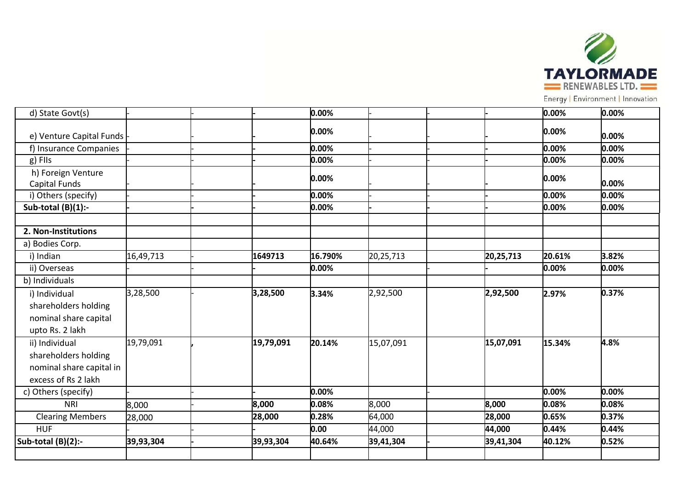

Energy | Environment | Innovation

| d) State Govt(s)         |           |           | 0.00%   |           |           | 0.00%    | 0.00% |
|--------------------------|-----------|-----------|---------|-----------|-----------|----------|-------|
| e) Venture Capital Funds |           |           | 0.00%   |           |           | $0.00\%$ | 0.00% |
| f) Insurance Companies   |           |           | 0.00%   |           |           | 0.00%    | 0.00% |
| $g)$ FIIs                |           |           | 0.00%   |           |           | 0.00%    | 0.00% |
| h) Foreign Venture       |           |           | 0.00%   |           |           | 0.00%    |       |
| Capital Funds            |           |           |         |           |           |          | 0.00% |
| i) Others (specify)      |           |           | 0.00%   |           |           | 0.00%    | 0.00% |
| Sub-total $(B)(1)$ :-    |           |           | 0.00%   |           |           | 0.00%    | 0.00% |
|                          |           |           |         |           |           |          |       |
| 2. Non-Institutions      |           |           |         |           |           |          |       |
| a) Bodies Corp.          |           |           |         |           |           |          |       |
| i) Indian                | 16,49,713 | 1649713   | 16.790% | 20,25,713 | 20,25,713 | 20.61%   | 3.82% |
| ii) Overseas             |           |           | 0.00%   |           |           | 0.00%    | 0.00% |
| b) Individuals           |           |           |         |           |           |          |       |
| i) Individual            | 3,28,500  | 3,28,500  | 3.34%   | 2,92,500  | 2,92,500  | 2.97%    | 0.37% |
| shareholders holding     |           |           |         |           |           |          |       |
| nominal share capital    |           |           |         |           |           |          |       |
| upto Rs. 2 lakh          |           |           |         |           |           |          |       |
| ii) Individual           | 19,79,091 | 19,79,091 | 20.14%  | 15,07,091 | 15,07,091 | 15.34%   | 4.8%  |
| shareholders holding     |           |           |         |           |           |          |       |
| nominal share capital in |           |           |         |           |           |          |       |
| excess of Rs 2 lakh      |           |           |         |           |           |          |       |
| c) Others (specify)      |           |           | 0.00%   |           |           | 0.00%    | 0.00% |
| <b>NRI</b>               | 8,000     | 8,000     | 0.08%   | 8,000     | 8,000     | 0.08%    | 0.08% |
| <b>Clearing Members</b>  | 28,000    | 28,000    | 0.28%   | 64,000    | 28,000    | 0.65%    | 0.37% |
| <b>HUF</b>               |           |           | 0.00    | 44,000    | 44,000    | 0.44%    | 0.44% |
| Sub-total $(B)(2)$ :-    | 39,93,304 | 39,93,304 | 40.64%  | 39,41,304 | 39,41,304 | 40.12%   | 0.52% |
|                          |           |           |         |           |           |          |       |
|                          |           |           |         |           |           |          |       |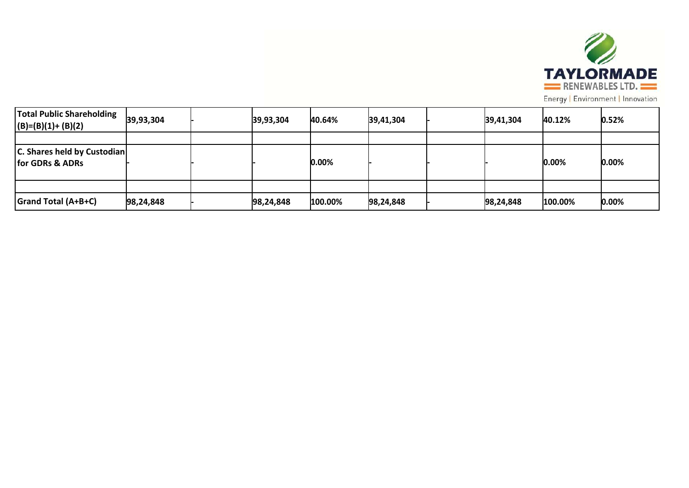

Energy | Environment | Innovation

| <b>Total Public Shareholding</b><br>$ (B)=(B)(1)+(B)(2)$ | 39,93,304 | 39,93,304 | 40.64%  | 39,41,304 | 39,41,304 | 40.12%  | 0.52%    |
|----------------------------------------------------------|-----------|-----------|---------|-----------|-----------|---------|----------|
|                                                          |           |           |         |           |           |         |          |
| <b>C. Shares held by Custodian</b><br>for GDRs & ADRs    |           |           | 0.00%   |           |           | 0.00%   | 0.00%    |
|                                                          |           |           |         |           |           |         |          |
| <b>Grand Total (A+B+C)</b>                               | 98,24,848 | 98,24,848 | 100.00% | 98,24,848 | 98,24,848 | 100.00% | $0.00\%$ |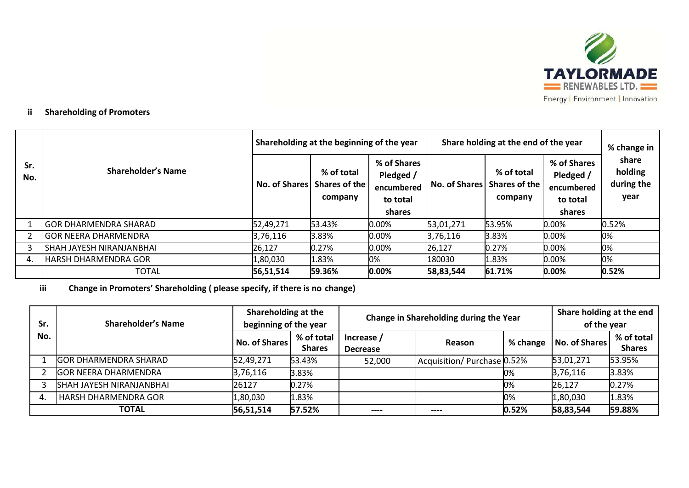

# **ii Shareholding of Promoters**

|            |                              | Shareholding at the beginning of the year |                                        |                                                              | Share holding at the end of the year | % change in                                          |                                                              |                                        |
|------------|------------------------------|-------------------------------------------|----------------------------------------|--------------------------------------------------------------|--------------------------------------|------------------------------------------------------|--------------------------------------------------------------|----------------------------------------|
| Sr.<br>No. | <b>Shareholder's Name</b>    | <b>No. of Shares</b>                      | % of total<br>Shares of the<br>company | % of Shares<br>Pledged /<br>encumbered<br>to total<br>shares |                                      | % of total<br>No. of Shares Shares of the<br>company | % of Shares<br>Pledged /<br>encumbered<br>to total<br>shares | share<br>holding<br>during the<br>year |
|            | <b>GOR DHARMENDRA SHARAD</b> | 52,49,271                                 | 53.43%                                 | $0.00\%$                                                     | 53,01,271                            | 53.95%                                               | $0.00\%$                                                     | 0.52%                                  |
|            | <b>GOR NEERA DHARMENDRA</b>  | 3,76,116                                  | 3.83%                                  | $0.00\%$                                                     | 3,76,116                             | 3.83%                                                | $0.00\%$                                                     | 0%                                     |
|            | SHAH JAYESH NIRANJANBHAI     | 26,127                                    | 0.27%                                  | $0.00\%$                                                     | 26,127                               | 0.27%                                                | $0.00\%$                                                     | 0%                                     |
| 4.         | <b>HARSH DHARMENDRA GOR</b>  | 1,80,030                                  | 1.83%                                  | 0%                                                           | 180030                               | 1.83%                                                | 0.00%                                                        | 0%                                     |
|            | <b>TOTAL</b>                 | 56,51,514                                 | 59.36%                                 | 0.00%                                                        | 58,83,544                            | 61.71%                                               | 0.00%                                                        | 0.52%                                  |

**iii Change in Promoters' Shareholding ( please specify, if there is no change)**

| Sr. | <b>Shareholder's Name</b>       | Shareholding at the<br>beginning of the year |                             | Change in Shareholding during the Year | Share holding at the end<br>of the year |          |                      |                             |
|-----|---------------------------------|----------------------------------------------|-----------------------------|----------------------------------------|-----------------------------------------|----------|----------------------|-----------------------------|
| No. |                                 | <b>No. of Shares</b>                         | % of total<br><b>Shares</b> | Increase /<br><b>Decrease</b>          | Reason                                  | % change | <b>No. of Shares</b> | % of total<br><b>Shares</b> |
|     | <b>GOR DHARMENDRA SHARAD</b>    | 52,49,271                                    | 53.43%                      | 52,000                                 | Acquisition/Purchase 0.52%              |          | 53,01,271            | 53.95%                      |
|     | <b>GOR NEERA DHARMENDRA</b>     | 3,76,116                                     | 3.83%                       |                                        |                                         | 0%       | 3,76,116             | 3.83%                       |
|     | <b>SHAH JAYESH NIRANJANBHAI</b> | 26127                                        | 0.27%                       |                                        |                                         | 0%       | 26,127               | 0.27%                       |
| 4.  | <b>HARSH DHARMENDRA GOR</b>     | 1,80,030                                     | 1.83%                       |                                        |                                         | 0%       | 1,80,030             | 1.83%                       |
|     | TOTAL                           | 56,51,514                                    | 57.52%                      | $---$                                  | ----                                    | 0.52%    | 58,83,544            | 59.88%                      |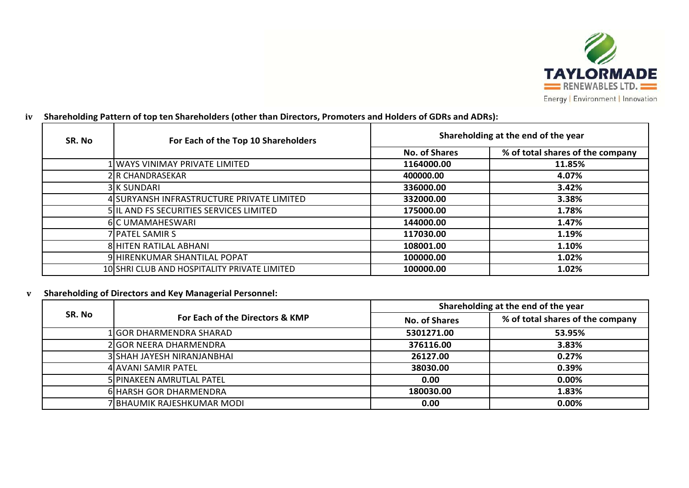

| SR. No | For Each of the Top 10 Shareholders          | Shareholding at the end of the year |                                  |  |  |  |
|--------|----------------------------------------------|-------------------------------------|----------------------------------|--|--|--|
|        |                                              | <b>No. of Shares</b>                | % of total shares of the company |  |  |  |
|        | 1 WAYS VINIMAY PRIVATE LIMITED               | 1164000.00                          | 11.85%                           |  |  |  |
|        | <b>2 R CHANDRASEKAR</b>                      | 400000.00                           | 4.07%                            |  |  |  |
|        | 3 K SUNDARI                                  | 336000.00                           | 3.42%                            |  |  |  |
|        | 4 SURYANSH INFRASTRUCTURE PRIVATE LIMITED    | 332000.00                           | 3.38%                            |  |  |  |
|        | 5 IL AND FS SECURITIES SERVICES LIMITED      | 175000.00                           | 1.78%                            |  |  |  |
|        | 6 C UMAMAHESWARI                             | 144000.00                           | 1.47%                            |  |  |  |
|        | 7 PATEL SAMIR S                              | 117030.00                           | 1.19%                            |  |  |  |
|        | 8 HITEN RATILAL ABHANI                       | 108001.00                           | 1.10%                            |  |  |  |
|        | 9 HIRENKUMAR SHANTILAL POPAT                 | 100000.00                           | 1.02%                            |  |  |  |
|        | 10 SHRI CLUB AND HOSPITALITY PRIVATE LIMITED | 100000.00                           | 1.02%                            |  |  |  |

# iv Shareholding Pattern of top ten Shareholders (other than Directors, Promoters and Holders of GDRs and ADRs):

# **v Shareholding of Directors and Key Managerial Personnel:**

|        |                                 | Shareholding at the end of the year |                                  |  |  |
|--------|---------------------------------|-------------------------------------|----------------------------------|--|--|
| SR. No | For Each of the Directors & KMP | <b>No. of Shares</b>                | % of total shares of the company |  |  |
|        | 1 GOR DHARMENDRA SHARAD         | 5301271.00                          | 53.95%                           |  |  |
|        | 2 GOR NEERA DHARMENDRA          | 376116.00                           | 3.83%                            |  |  |
|        | 3 SHAH JAYESH NIRANJANBHAI      | 26127.00                            | 0.27%                            |  |  |
|        | 4 AVANI SAMIR PATEL             | 38030.00                            | 0.39%                            |  |  |
|        | 5 PINAKEEN AMRUTLAL PATEL       | 0.00                                | $0.00\%$                         |  |  |
|        | 6 HARSH GOR DHARMENDRA          | 180030.00                           | 1.83%                            |  |  |
|        | 7 BHAUMIK RAJESHKUMAR MODI      | 0.00                                | 0.00%                            |  |  |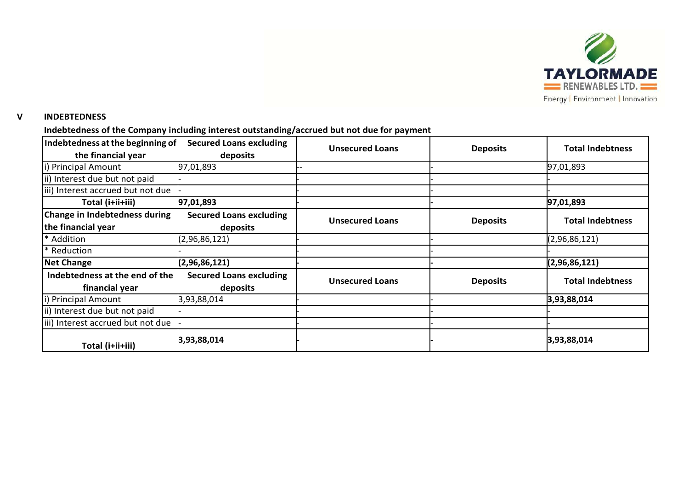

### **V INDEBTEDNESS**

# **Indebtedness of the Company including interest outstanding/accrued but not due for payment**

| Indebtedness at the beginning of<br><b>Secured Loans excluding</b> |                                | <b>Unsecured Loans</b> | <b>Deposits</b> | <b>Total Indebtness</b> |
|--------------------------------------------------------------------|--------------------------------|------------------------|-----------------|-------------------------|
| the financial year                                                 | deposits                       |                        |                 |                         |
| i) Principal Amount                                                | 97,01,893                      |                        |                 | 97,01,893               |
| ii) Interest due but not paid                                      |                                |                        |                 |                         |
| iii) Interest accrued but not due                                  |                                |                        |                 |                         |
| Total (i+ii+iii)                                                   | 97,01,893                      |                        |                 | 97,01,893               |
| Change in Indebtedness during                                      | <b>Secured Loans excluding</b> | <b>Unsecured Loans</b> | <b>Deposits</b> | <b>Total Indebtness</b> |
| the financial year                                                 | deposits                       |                        |                 |                         |
| * Addition                                                         | (2,96,86,121)                  |                        |                 | (2,96,86,121)           |
| * Reduction                                                        |                                |                        |                 |                         |
| <b>Net Change</b>                                                  | (2,96,86,121)                  |                        |                 | (2,96,86,121)           |
| Indebtedness at the end of the                                     | <b>Secured Loans excluding</b> | <b>Unsecured Loans</b> |                 |                         |
| financial year                                                     | deposits                       |                        | <b>Deposits</b> | <b>Total Indebtness</b> |
| i) Principal Amount                                                | 3,93,88,014                    |                        |                 | 3,93,88,014             |
| ii) Interest due but not paid                                      |                                |                        |                 |                         |
| iii) Interest accrued but not due                                  |                                |                        |                 |                         |
| Total (i+ii+iii)                                                   | 3,93,88,014                    |                        |                 | 3,93,88,014             |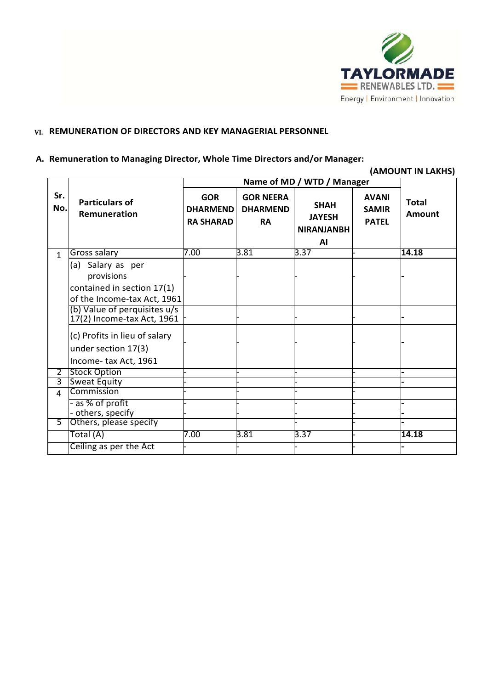

# **VI. REMUNERATION OF DIRECTORS AND KEY MANAGERIAL PERSONNEL**

### **A. Remuneration to Managing Director, Whole Time Directors and/or Manager:**

### **(AMOUNT IN LAKHS)**

|                |                                                            |                                                   |                                                  | Name of MD / WTD / Manager                              |                                              |                               |
|----------------|------------------------------------------------------------|---------------------------------------------------|--------------------------------------------------|---------------------------------------------------------|----------------------------------------------|-------------------------------|
| Sr.<br>No.     | <b>Particulars of</b><br>Remuneration                      | <b>GOR</b><br><b>DHARMEND</b><br><b>RA SHARAD</b> | <b>GOR NEERA</b><br><b>DHARMEND</b><br><b>RA</b> | <b>SHAH</b><br><b>JAYESH</b><br><b>NIRANJANBH</b><br>AI | <b>AVANI</b><br><b>SAMIR</b><br><b>PATEL</b> | <b>Total</b><br><b>Amount</b> |
| $\mathbf{1}$   | Gross salary                                               | 7.00                                              | 3.81                                             | 3.37                                                    |                                              | 14.18                         |
|                | (a) Salary as per<br>provisions                            |                                                   |                                                  |                                                         |                                              |                               |
|                | contained in section 17(1)<br>of the Income-tax Act, 1961  |                                                   |                                                  |                                                         |                                              |                               |
|                | (b) Value of perquisites u/s<br>17(2) Income-tax Act, 1961 |                                                   |                                                  |                                                         |                                              |                               |
|                | (c) Profits in lieu of salary                              |                                                   |                                                  |                                                         |                                              |                               |
|                | under section 17(3)                                        |                                                   |                                                  |                                                         |                                              |                               |
|                | Income-tax Act, 1961                                       |                                                   |                                                  |                                                         |                                              |                               |
| $\overline{2}$ | <b>Stock Option</b>                                        |                                                   |                                                  |                                                         |                                              |                               |
| 3              | <b>Sweat Equity</b><br>Commission                          |                                                   |                                                  |                                                         |                                              |                               |
| $\overline{4}$ |                                                            |                                                   |                                                  |                                                         |                                              |                               |
|                | - as % of profit<br>- others, specify                      |                                                   |                                                  |                                                         |                                              |                               |
| 5              | Others, please specify                                     |                                                   |                                                  |                                                         |                                              |                               |
|                | Total (A)                                                  | 7.00                                              | 3.81                                             | 3.37                                                    |                                              | 14.18                         |
|                | Ceiling as per the Act                                     |                                                   |                                                  |                                                         |                                              |                               |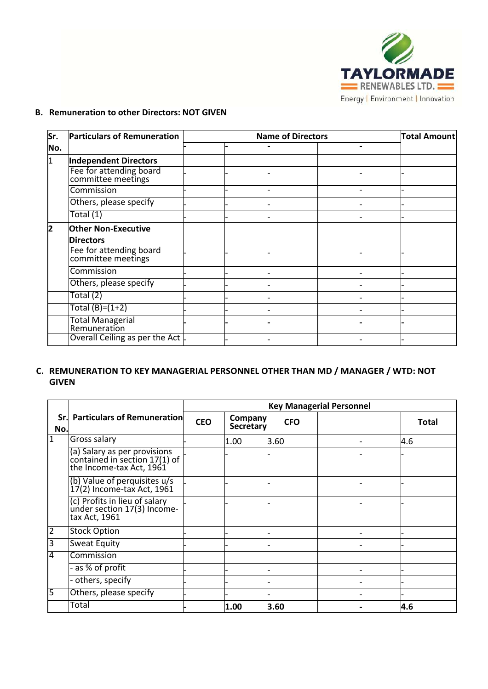

# **B. Remuneration to other Directors: NOT GIVEN**

| Sr.          | <b>Particulars of Remuneration</b>            |  | Total Amount |  |  |
|--------------|-----------------------------------------------|--|--------------|--|--|
| No.          |                                               |  |              |  |  |
| l1           | <b>Independent Directors</b>                  |  |              |  |  |
|              | Fee for attending board<br>committee meetings |  |              |  |  |
|              | Commission                                    |  |              |  |  |
|              | Others, please specify                        |  |              |  |  |
|              | Total $(1)$                                   |  |              |  |  |
| $\mathbf{2}$ | <b>Other Non-Executive</b>                    |  |              |  |  |
|              | <b>Directors</b>                              |  |              |  |  |
|              | Fee for attending board<br>committee meetings |  |              |  |  |
|              | Commission                                    |  |              |  |  |
|              | Others, please specify                        |  |              |  |  |
|              | Total (2)                                     |  |              |  |  |
|              | Total $(B)=(1+2)$                             |  |              |  |  |
|              | <b>Total Managerial</b><br>Remuneration       |  |              |  |  |
|              | Overall Ceiling as per the Act                |  |              |  |  |

## **C. REMUNERATION TO KEY MANAGERIAL PERSONNEL OTHER THAN MD / MANAGER / WTD: NOT GIVEN**

|                |                                                                                           |            | <b>Key Managerial Personnel</b> |            |  |              |  |  |  |
|----------------|-------------------------------------------------------------------------------------------|------------|---------------------------------|------------|--|--------------|--|--|--|
| Sr.l<br>No.    | <b>Particulars of Remuneration</b>                                                        | <b>CEO</b> | <b>Company</b><br>Secretary     | <b>CFO</b> |  | <b>Total</b> |  |  |  |
| $\overline{1}$ | Gross salary                                                                              |            | 1.00                            | 3.60       |  | 4.6          |  |  |  |
|                | (a) Salary as per provisions<br>contained in section 17(1) of<br>the Income-tax Act, 1961 |            |                                 |            |  |              |  |  |  |
|                | (b) Value of perquisites u/s<br>17(2) Income-tax Act, 1961                                |            |                                 |            |  |              |  |  |  |
|                | (c) Profits in lieu of salary<br>under section 17(3) Income-<br>tax Act, 1961             |            |                                 |            |  |              |  |  |  |
| $\overline{2}$ | <b>Stock Option</b>                                                                       |            |                                 |            |  |              |  |  |  |
| 3              | <b>Sweat Equity</b>                                                                       |            |                                 |            |  |              |  |  |  |
| $\overline{4}$ | Commission                                                                                |            |                                 |            |  |              |  |  |  |
|                | - as % of profit                                                                          |            |                                 |            |  |              |  |  |  |
|                | - others, specify                                                                         |            |                                 |            |  |              |  |  |  |
| 5              | Others, please specify                                                                    |            |                                 |            |  |              |  |  |  |
|                | Total                                                                                     |            | 1.00                            | 3.60       |  | 4.6          |  |  |  |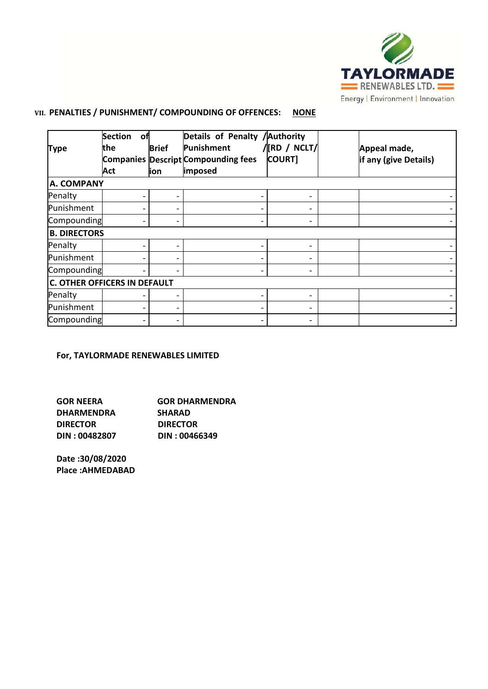

# **VII. PENALTIES / PUNISHMENT/ COMPOUNDING OF OFFENCES: NONE**

|                                     | <b>Section</b><br>оf |              | Details of Penalty / Authority             |               |                       |
|-------------------------------------|----------------------|--------------|--------------------------------------------|---------------|-----------------------|
| <b>Type</b>                         | the.                 | <b>Brief</b> | Punishment                                 | /[RD / NCLT/  | Appeal made,          |
|                                     |                      |              | <b>Companies Descript Compounding fees</b> | <b>COURT]</b> | if any (give Details) |
|                                     | Act                  | lion         | imposed                                    |               |                       |
| A. COMPANY                          |                      |              |                                            |               |                       |
| Penalty                             |                      |              |                                            | -             |                       |
| Punishment                          |                      |              |                                            |               |                       |
| Compounding                         |                      |              |                                            |               |                       |
| <b>B. DIRECTORS</b>                 |                      |              |                                            |               |                       |
| Penalty                             |                      |              |                                            | -             |                       |
| Punishment                          |                      |              |                                            |               |                       |
| Compounding                         |                      |              |                                            | -             |                       |
| <b>C. OTHER OFFICERS IN DEFAULT</b> |                      |              |                                            |               |                       |
| Penalty                             |                      |              |                                            |               |                       |
| Punishment                          |                      |              |                                            |               |                       |
| Compounding                         |                      |              |                                            |               |                       |

# **For, TAYLORMADE RENEWABLES LIMITED**

| <b>GOR NEERA</b>  | <b>GOR DHARMENDRA</b> |
|-------------------|-----------------------|
| <b>DHARMENDRA</b> | <b>SHARAD</b>         |
| <b>DIRECTOR</b>   | <b>DIRECTOR</b>       |
| DIN: 00482807     | DIN: 00466349         |

**Date :30/08/2020 Place :AHMEDABAD**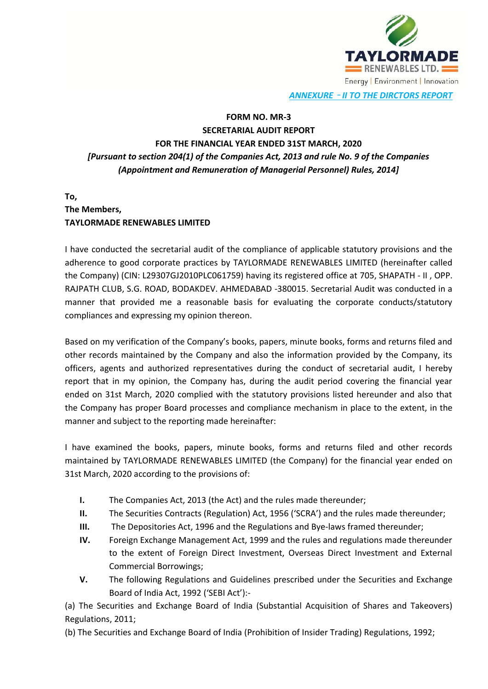

*ANNEXURE* – *II TO THE DIRCTORS REPORT*

# **FORM NO. MR-3 SECRETARIAL AUDIT REPORT FOR THE FINANCIAL YEAR ENDED 31ST MARCH, 2020** *[Pursuant to section 204(1) of the Companies Act, 2013 and rule No. 9 of the Companies (Appointment and Remuneration of Managerial Personnel) Rules, 2014]*

# **To, The Members, TAYLORMADE RENEWABLES LIMITED**

I have conducted the secretarial audit of the compliance of applicable statutory provisions and the adherence to good corporate practices by TAYLORMADE RENEWABLES LIMITED (hereinafter called the Company) (CIN: L29307GJ2010PLC061759) having its registered office at 705, SHAPATH - II , OPP. RAJPATH CLUB, S.G. ROAD, BODAKDEV. AHMEDABAD -380015. Secretarial Audit was conducted in a manner that provided me a reasonable basis for evaluating the corporate conducts/statutory compliances and expressing my opinion thereon.

Based on my verification of the Company's books, papers, minute books, forms and returns filed and other records maintained by the Company and also the information provided by the Company, its officers, agents and authorized representatives during the conduct of secretarial audit, I hereby report that in my opinion, the Company has, during the audit period covering the financial year ended on 31st March, 2020 complied with the statutory provisions listed hereunder and also that the Company has proper Board processes and compliance mechanism in place to the extent, in the manner and subject to the reporting made hereinafter:

I have examined the books, papers, minute books, forms and returns filed and other records maintained by TAYLORMADE RENEWABLES LIMITED (the Company) for the financial year ended on 31st March, 2020 according to the provisions of:

- **I.** The Companies Act, 2013 (the Act) and the rules made thereunder;
- **II.** The Securities Contracts (Regulation) Act, 1956 ('SCRA') and the rules made thereunder;
- **III.** The Depositories Act, 1996 and the Regulations and Bye-laws framed thereunder;
- **IV.** Foreign Exchange Management Act, 1999 and the rules and regulations made thereunder to the extent of Foreign Direct Investment, Overseas Direct Investment and External Commercial Borrowings;
- **V.** The following Regulations and Guidelines prescribed under the Securities and Exchange Board of India Act, 1992 ('SEBI Act'):-

(a) The Securities and Exchange Board of India (Substantial Acquisition of Shares and Takeovers) Regulations, 2011;

(b) The Securities and Exchange Board of India (Prohibition of Insider Trading) Regulations, 1992;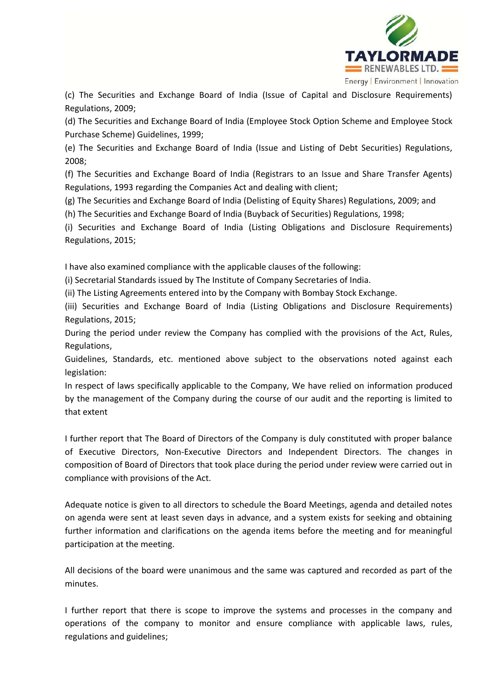

(c) The Securities and Exchange Board of India (Issue of Capital and Disclosure Requirements) Regulations, 2009;

(d) The Securities and Exchange Board of India (Employee Stock Option Scheme and Employee Stock Purchase Scheme) Guidelines, 1999;

(e) The Securities and Exchange Board of India (Issue and Listing of Debt Securities) Regulations, 2008;

(f) The Securities and Exchange Board of India (Registrars to an Issue and Share Transfer Agents) Regulations, 1993 regarding the Companies Act and dealing with client;

(g) The Securities and Exchange Board of India (Delisting of Equity Shares) Regulations, 2009; and

(h) The Securities and Exchange Board of India (Buyback of Securities) Regulations, 1998;

(i) Securities and Exchange Board of India (Listing Obligations and Disclosure Requirements) Regulations, 2015;

I have also examined compliance with the applicable clauses of the following:

(i) Secretarial Standards issued by The Institute of Company Secretaries of India.

(ii) The Listing Agreements entered into by the Company with Bombay Stock Exchange.

(iii) Securities and Exchange Board of India (Listing Obligations and Disclosure Requirements) Regulations, 2015;

During the period under review the Company has complied with the provisions of the Act, Rules, Regulations,

Guidelines, Standards, etc. mentioned above subject to the observations noted against each legislation:

In respect of laws specifically applicable to the Company, We have relied on information produced by the management of the Company during the course of our audit and the reporting is limited to that extent

I further report that The Board of Directors of the Company is duly constituted with proper balance of Executive Directors, Non-Executive Directors and Independent Directors. The changes in composition of Board of Directors that took place during the period under review were carried out in compliance with provisions of the Act.

Adequate notice is given to all directors to schedule the Board Meetings, agenda and detailed notes on agenda were sent at least seven days in advance, and a system exists for seeking and obtaining further information and clarifications on the agenda items before the meeting and for meaningful participation at the meeting.

All decisions of the board were unanimous and the same was captured and recorded as part of the minutes.

I further report that there is scope to improve the systems and processes in the company and operations of the company to monitor and ensure compliance with applicable laws, rules, regulations and guidelines;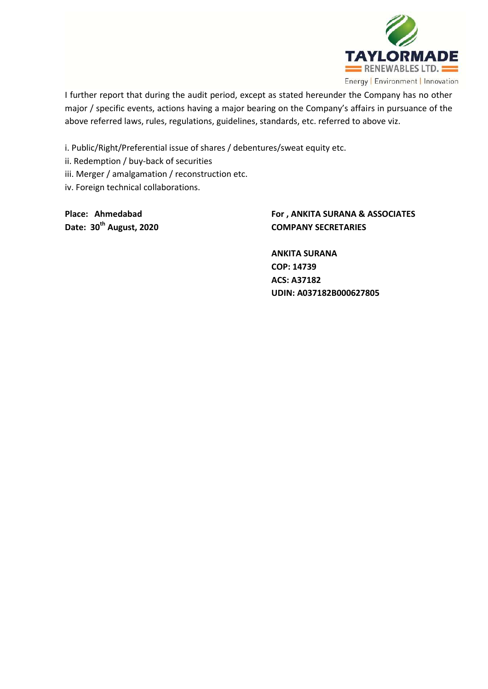

I further report that during the audit period, except as stated hereunder the Company has no other major / specific events, actions having a major bearing on the Company's affairs in pursuance of the above referred laws, rules, regulations, guidelines, standards, etc. referred to above viz.

i. Public/Right/Preferential issue of shares / debentures/sweat equity etc.

ii. Redemption / buy-back of securities

iii. Merger / amalgamation / reconstruction etc.

iv. Foreign technical collaborations.

**Place: Ahmedabad For , ANKITA SURANA & ASSOCIATES Date: 30th August, 2020 COMPANY SECRETARIES**

> **ANKITA SURANA COP: 14739 ACS: A37182 UDIN: A037182B000627805**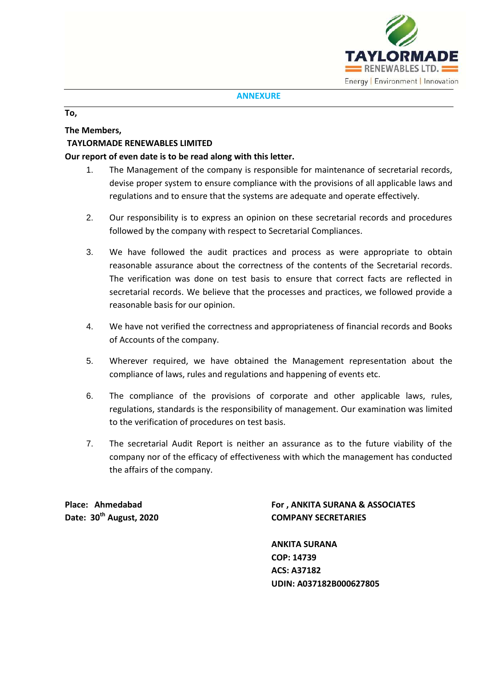

#### **ANNEXURE**

### **To,**

## **The Members,**

# **TAYLORMADE RENEWABLES LIMITED**

### **Our report of even date is to be read along with this letter.**

- 1. The Management of the company is responsible for maintenance of secretarial records, devise proper system to ensure compliance with the provisions of all applicable laws and regulations and to ensure that the systems are adequate and operate effectively.
- 2. Our responsibility is to express an opinion on these secretarial records and procedures followed by the company with respect to Secretarial Compliances.
- 3. We have followed the audit practices and process as were appropriate to obtain reasonable assurance about the correctness of the contents of the Secretarial records. The verification was done on test basis to ensure that correct facts are reflected in secretarial records. We believe that the processes and practices, we followed provide a reasonable basis for our opinion.
- 4. We have not verified the correctness and appropriateness of financial records and Books of Accounts of the company.
- 5. Wherever required, we have obtained the Management representation about the compliance of laws, rules and regulations and happening of events etc.
- 6. The compliance of the provisions of corporate and other applicable laws, rules, regulations, standards is the responsibility of management. Our examination was limited to the verification of procedures on test basis.
- 7. The secretarial Audit Report is neither an assurance as to the future viability of the company nor of the efficacy of effectiveness with which the management has conducted the affairs of the company.

**Date: 30th August, 2020 COMPANY SECRETARIES**

**Place: Ahmedabad For , ANKITA SURANA & ASSOCIATES**

**ANKITA SURANA COP: 14739 ACS: A37182 UDIN: A037182B000627805**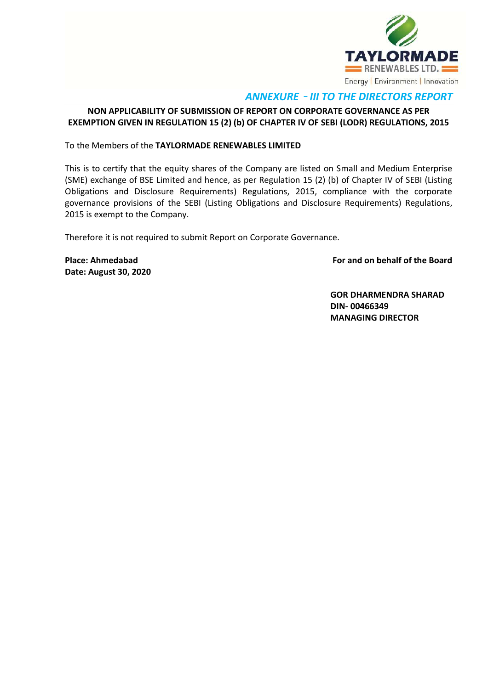

# *ANNEXURE* – *III TO THE DIRECTORS REPORT*

# **NON APPLICABILITY OF SUBMISSION OF REPORT ON CORPORATE GOVERNANCE AS PER EXEMPTION GIVEN IN REGULATION 15 (2) (b) OF CHAPTER IV OF SEBI (LODR) REGULATIONS, 2015**

To the Members of the **TAYLORMADE RENEWABLES LIMITED**

This is to certify that the equity shares of the Company are listed on Small and Medium Enterprise (SME) exchange of BSE Limited and hence, as per Regulation 15 (2) (b) of Chapter IV of SEBI (Listing Obligations and Disclosure Requirements) Regulations, 2015, compliance with the corporate governance provisions of the SEBI (Listing Obligations and Disclosure Requirements) Regulations, 2015 is exempt to the Company.

Therefore it is not required to submit Report on Corporate Governance.

**Date: August 30, 2020**

**Place: Ahmedabad For and on behalf of the Board**

**GOR DHARMENDRA SHARAD DIN- 00466349 MANAGING DIRECTOR**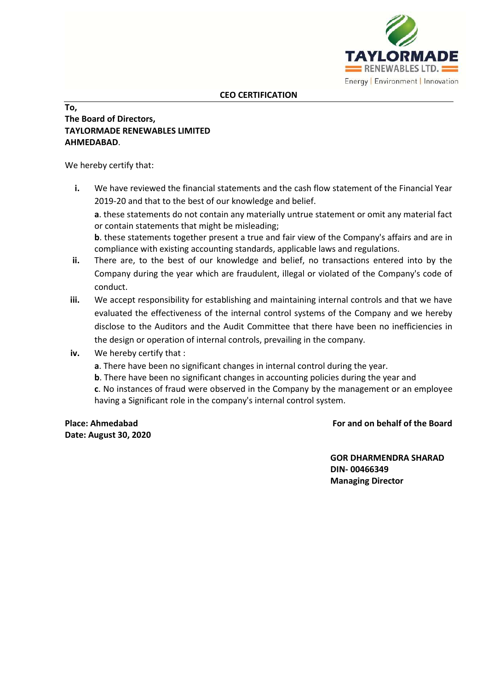

# **To, The Board of Directors, TAYLORMADE RENEWABLES LIMITED AHMEDABAD**.

We hereby certify that:

**i.** We have reviewed the financial statements and the cash flow statement of the Financial Year 2019-20 and that to the best of our knowledge and belief.

**a**. these statements do not contain any materially untrue statement or omit any material fact or contain statements that might be misleading;

**b**. these statements together present a true and fair view of the Company's affairs and are in compliance with existing accounting standards, applicable laws and regulations.

- **ii.** There are, to the best of our knowledge and belief, no transactions entered into by the Company during the year which are fraudulent, illegal or violated of the Company's code of conduct.
- **iii.** We accept responsibility for establishing and maintaining internal controls and that we have evaluated the effectiveness of the internal control systems of the Company and we hereby disclose to the Auditors and the Audit Committee that there have been no inefficiencies in the design or operation of internal controls, prevailing in the company.
- **iv.** We hereby certify that :
	- **a**. There have been no significant changes in internal control during the year.
	- **b**. There have been no significant changes in accounting policies during the year and

**c**. No instances of fraud were observed in the Company by the management or an employee having a Significant role in the company's internal control system.

**Date: August 30, 2020**

**Place: Ahmedabad For and on behalf of the Board**

**GOR DHARMENDRA SHARAD DIN- 00466349 Managing Director**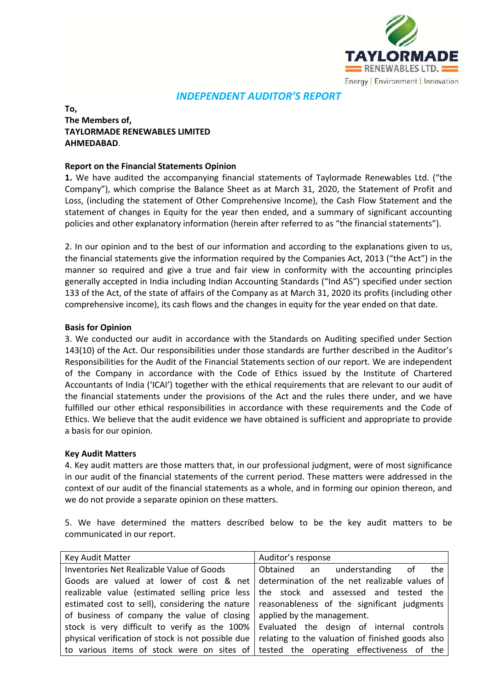

# *INDEPENDENT AUDITOR'S REPORT*

## **To, The Members of, TAYLORMADE RENEWABLES LIMITED AHMEDABAD**.

### **Report on the Financial Statements Opinion**

**1.** We have audited the accompanying financial statements of Taylormade Renewables Ltd. ("the Company"), which comprise the Balance Sheet as at March 31, 2020, the Statement of Profit and Loss, (including the statement of Other Comprehensive Income), the Cash Flow Statement and the statement of changes in Equity for the year then ended, and a summary of significant accounting policies and other explanatory information (herein after referred to as "the financial statements").

2. In our opinion and to the best of our information and according to the explanations given to us, the financial statements give the information required by the Companies Act, 2013 ("the Act") in the manner so required and give a true and fair view in conformity with the accounting principles generally accepted in India including Indian Accounting Standards ("Ind AS") specified under section 133 of the Act, of the state of affairs of the Company as at March 31, 2020 its profits (including other comprehensive income), its cash flows and the changes in equity for the year ended on that date.

### **Basis for Opinion**

3. We conducted our audit in accordance with the Standards on Auditing specified under Section 143(10) of the Act. Our responsibilities under those standards are further described in the Auditor's Responsibilities for the Audit of the Financial Statements section of our report. We are independent of the Company in accordance with the Code of Ethics issued by the Institute of Chartered Accountants of India ('ICAI') together with the ethical requirements that are relevant to our audit of the financial statements under the provisions of the Act and the rules there under, and we have fulfilled our other ethical responsibilities in accordance with these requirements and the Code of Ethics. We believe that the audit evidence we have obtained is sufficient and appropriate to provide a basis for our opinion.

### **Key Audit Matters**

4. Key audit matters are those matters that, in our professional judgment, were of most significance in our audit of the financial statements of the current period. These matters were addressed in the context of our audit of the financial statements as a whole, and in forming our opinion thereon, and we do not provide a separate opinion on these matters.

5. We have determined the matters described below to be the key audit matters to be communicated in our report.

| Key Audit Matter                                                       | Auditor's response                                                                            |  |  |  |
|------------------------------------------------------------------------|-----------------------------------------------------------------------------------------------|--|--|--|
| Inventories Net Realizable Value of Goods                              | Obtained an understanding of<br>the                                                           |  |  |  |
|                                                                        | Goods are valued at lower of cost & net determination of the net realizable values of         |  |  |  |
|                                                                        | realizable value (estimated selling price less   the stock and assessed and tested the        |  |  |  |
|                                                                        | estimated cost to sell), considering the nature   reasonableness of the significant judgments |  |  |  |
| of business of company the value of closing applied by the management. |                                                                                               |  |  |  |
|                                                                        | stock is very difficult to verify as the 100% Evaluated the design of internal controls       |  |  |  |
| physical verification of stock is not possible due                     | relating to the valuation of finished goods also                                              |  |  |  |
|                                                                        | to various items of stock were on sites of tested the operating effectiveness of the          |  |  |  |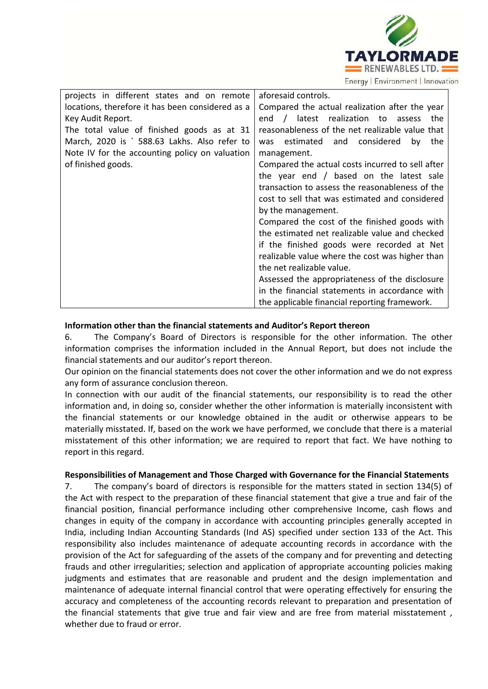

| projects in different states and on remote       | aforesaid controls.                              |
|--------------------------------------------------|--------------------------------------------------|
| locations, therefore it has been considered as a | Compared the actual realization after the year   |
| Key Audit Report.                                | end / latest realization to<br>the<br>assess     |
| The total value of finished goods as at 31       | reasonableness of the net realizable value that  |
| March, 2020 is ` 588.63 Lakhs. Also refer to     | estimated and considered<br>by<br>the<br>was     |
| Note IV for the accounting policy on valuation   | management.                                      |
| of finished goods.                               | Compared the actual costs incurred to sell after |
|                                                  | the year end $/$ based on the latest sale        |
|                                                  | transaction to assess the reasonableness of the  |
|                                                  | cost to sell that was estimated and considered   |
|                                                  | by the management.                               |
|                                                  | Compared the cost of the finished goods with     |
|                                                  | the estimated net realizable value and checked   |
|                                                  | if the finished goods were recorded at Net       |
|                                                  | realizable value where the cost was higher than  |
|                                                  | the net realizable value.                        |
|                                                  | Assessed the appropriateness of the disclosure   |
|                                                  | in the financial statements in accordance with   |
|                                                  | the applicable financial reporting framework.    |

## **Information other than the financial statements and Auditor's Report thereon**

6. The Company's Board of Directors is responsible for the other information. The other information comprises the information included in the Annual Report, but does not include the financial statements and our auditor's report thereon.

Our opinion on the financial statements does not cover the other information and we do not express any form of assurance conclusion thereon.

In connection with our audit of the financial statements, our responsibility is to read the other information and, in doing so, consider whether the other information is materially inconsistent with the financial statements or our knowledge obtained in the audit or otherwise appears to be materially misstated. If, based on the work we have performed, we conclude that there is a material misstatement of this other information; we are required to report that fact. We have nothing to report in this regard.

### **Responsibilities of Management and Those Charged with Governance for the Financial Statements**

7. The company's board of directors is responsible for the matters stated in section 134(5) of the Act with respect to the preparation of these financial statement that give a true and fair of the financial position, financial performance including other comprehensive Income, cash flows and changes in equity of the company in accordance with accounting principles generally accepted in India, including Indian Accounting Standards (Ind AS) specified under section 133 of the Act. This responsibility also includes maintenance of adequate accounting records in accordance with the provision of the Act for safeguarding of the assets of the company and for preventing and detecting frauds and other irregularities; selection and application of appropriate accounting policies making judgments and estimates that are reasonable and prudent and the design implementation and maintenance of adequate internal financial control that were operating effectively for ensuring the accuracy and completeness of the accounting records relevant to preparation and presentation of the financial statements that give true and fair view and are free from material misstatement , whether due to fraud or error.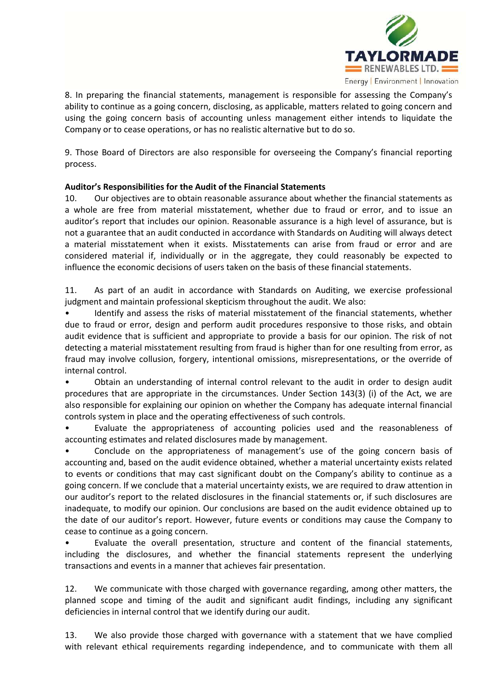

8. In preparing the financial statements, management is responsible for assessing the Company's ability to continue as a going concern, disclosing, as applicable, matters related to going concern and using the going concern basis of accounting unless management either intends to liquidate the Company or to cease operations, or has no realistic alternative but to do so.

9. Those Board of Directors are also responsible for overseeing the Company's financial reporting process.

## **Auditor's Responsibilities for the Audit of the Financial Statements**

10. Our objectives are to obtain reasonable assurance about whether the financial statements as a whole are free from material misstatement, whether due to fraud or error, and to issue an auditor's report that includes our opinion. Reasonable assurance is a high level of assurance, but is not a guarantee that an audit conducted in accordance with Standards on Auditing will always detect a material misstatement when it exists. Misstatements can arise from fraud or error and are considered material if, individually or in the aggregate, they could reasonably be expected to influence the economic decisions of users taken on the basis of these financial statements.

11. As part of an audit in accordance with Standards on Auditing, we exercise professional judgment and maintain professional skepticism throughout the audit. We also:

Identify and assess the risks of material misstatement of the financial statements, whether due to fraud or error, design and perform audit procedures responsive to those risks, and obtain audit evidence that is sufficient and appropriate to provide a basis for our opinion. The risk of not detecting a material misstatement resulting from fraud is higher than for one resulting from error, as fraud may involve collusion, forgery, intentional omissions, misrepresentations, or the override of internal control.

• Obtain an understanding of internal control relevant to the audit in order to design audit procedures that are appropriate in the circumstances. Under Section 143(3) (i) of the Act, we are also responsible for explaining our opinion on whether the Company has adequate internal financial controls system in place and the operating effectiveness of such controls.

• Evaluate the appropriateness of accounting policies used and the reasonableness of accounting estimates and related disclosures made by management.

Conclude on the appropriateness of management's use of the going concern basis of accounting and, based on the audit evidence obtained, whether a material uncertainty exists related to events or conditions that may cast significant doubt on the Company's ability to continue as a going concern. If we conclude that a material uncertainty exists, we are required to draw attention in our auditor's report to the related disclosures in the financial statements or, if such disclosures are inadequate, to modify our opinion. Our conclusions are based on the audit evidence obtained up to the date of our auditor's report. However, future events or conditions may cause the Company to cease to continue as a going concern.

• Evaluate the overall presentation, structure and content of the financial statements, including the disclosures, and whether the financial statements represent the underlying transactions and events in a manner that achieves fair presentation.

12. We communicate with those charged with governance regarding, among other matters, the planned scope and timing of the audit and significant audit findings, including any significant deficiencies in internal control that we identify during our audit.

13. We also provide those charged with governance with a statement that we have complied with relevant ethical requirements regarding independence, and to communicate with them all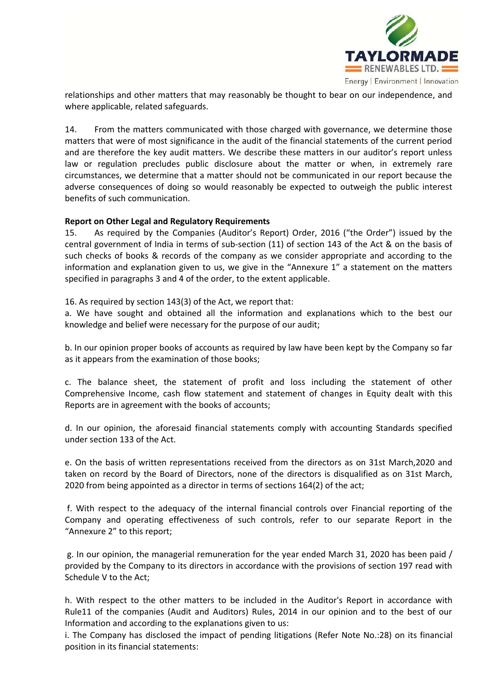

relationships and other matters that may reasonably be thought to bear on our independence, and where applicable, related safeguards.

14. From the matters communicated with those charged with governance, we determine those matters that were of most significance in the audit of the financial statements of the current period and are therefore the key audit matters. We describe these matters in our auditor's report unless law or regulation precludes public disclosure about the matter or when, in extremely rare circumstances, we determine that a matter should not be communicated in our report because the adverse consequences of doing so would reasonably be expected to outweigh the public interest benefits of such communication.

## **Report on Other Legal and Regulatory Requirements**

15. As required by the Companies (Auditor's Report) Order, 2016 ("the Order") issued by the central government of India in terms of sub-section (11) of section 143 of the Act & on the basis of such checks of books & records of the company as we consider appropriate and according to the information and explanation given to us, we give in the "Annexure 1" a statement on the matters specified in paragraphs 3 and 4 of the order, to the extent applicable.

16. As required by section 143(3) of the Act, we report that:

a. We have sought and obtained all the information and explanations which to the best our knowledge and belief were necessary for the purpose of our audit;

b. In our opinion proper books of accounts as required by law have been kept by the Company so far as it appears from the examination of those books;

c. The balance sheet, the statement of profit and loss including the statement of other Comprehensive Income, cash flow statement and statement of changes in Equity dealt with this Reports are in agreement with the books of accounts;

d. In our opinion, the aforesaid financial statements comply with accounting Standards specified under section 133 of the Act.

e. On the basis of written representations received from the directors as on 31st March,2020 and taken on record by the Board of Directors, none of the directors is disqualified as on 31st March, 2020 from being appointed as a director in terms of sections 164(2) of the act;

f. With respect to the adequacy of the internal financial controls over Financial reporting of the Company and operating effectiveness of such controls, refer to our separate Report in the "Annexure 2" to this report;

g. In our opinion, the managerial remuneration for the year ended March 31, 2020 has been paid / provided by the Company to its directors in accordance with the provisions of section 197 read with Schedule V to the Act;

h. With respect to the other matters to be included in the Auditor's Report in accordance with Rule11 of the companies (Audit and Auditors) Rules, 2014 in our opinion and to the best of our Information and according to the explanations given to us:

i. The Company has disclosed the impact of pending litigations (Refer Note No.:28) on its financial position in its financial statements: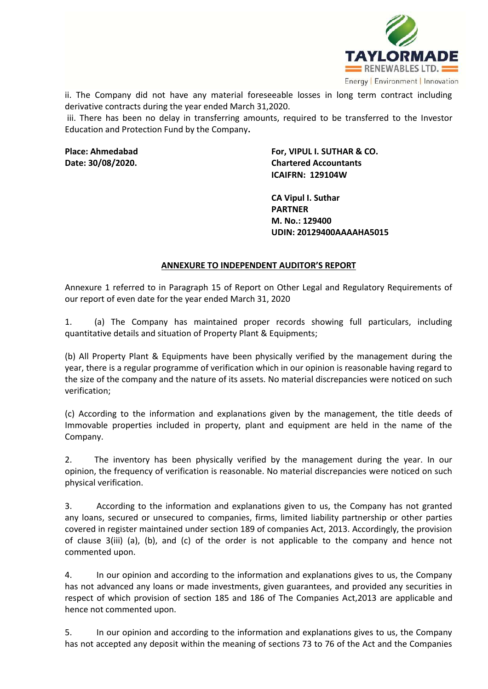

ii. The Company did not have any material foreseeable losses in long term contract including derivative contracts during the year ended March 31,2020.

iii. There has been no delay in transferring amounts, required to be transferred to the Investor Education and Protection Fund by the Company**.** 

**Place: Ahmedabad For, VIPUL I. SUTHAR & CO. Date: 30/08/2020. Chartered Accountants ICAIFRN: 129104W**

> **CA Vipul I. Suthar PARTNER M. No.: 129400 UDIN: 20129400AAAAHA5015**

### **ANNEXURE TO INDEPENDENT AUDITOR'S REPORT**

Annexure 1 referred to in Paragraph 15 of Report on Other Legal and Regulatory Requirements of our report of even date for the year ended March 31, 2020

1. (a) The Company has maintained proper records showing full particulars, including quantitative details and situation of Property Plant & Equipments;

(b) All Property Plant & Equipments have been physically verified by the management during the year, there is a regular programme of verification which in our opinion is reasonable having regard to the size of the company and the nature of its assets. No material discrepancies were noticed on such verification;

(c) According to the information and explanations given by the management, the title deeds of Immovable properties included in property, plant and equipment are held in the name of the Company.

2. The inventory has been physically verified by the management during the year. In our opinion, the frequency of verification is reasonable. No material discrepancies were noticed on such physical verification.

3. According to the information and explanations given to us, the Company has not granted any loans, secured or unsecured to companies, firms, limited liability partnership or other parties covered in register maintained under section 189 of companies Act, 2013. Accordingly, the provision of clause 3(iii) (a), (b), and (c) of the order is not applicable to the company and hence not commented upon.

4. In our opinion and according to the information and explanations gives to us, the Company has not advanced any loans or made investments, given guarantees, and provided any securities in respect of which provision of section 185 and 186 of The Companies Act,2013 are applicable and hence not commented upon.

5. In our opinion and according to the information and explanations gives to us, the Company has not accepted any deposit within the meaning of sections 73 to 76 of the Act and the Companies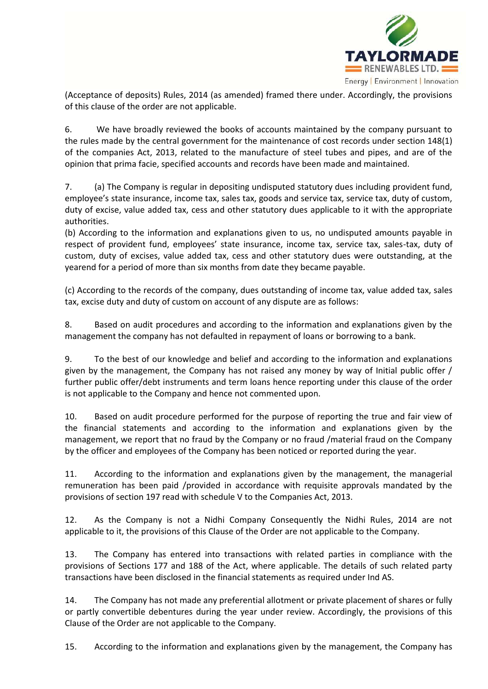

(Acceptance of deposits) Rules, 2014 (as amended) framed there under. Accordingly, the provisions of this clause of the order are not applicable.

6. We have broadly reviewed the books of accounts maintained by the company pursuant to the rules made by the central government for the maintenance of cost records under section 148(1) of the companies Act, 2013, related to the manufacture of steel tubes and pipes, and are of the opinion that prima facie, specified accounts and records have been made and maintained.

7. (a) The Company is regular in depositing undisputed statutory dues including provident fund, employee's state insurance, income tax, sales tax, goods and service tax, service tax, duty of custom, duty of excise, value added tax, cess and other statutory dues applicable to it with the appropriate authorities.

(b) According to the information and explanations given to us, no undisputed amounts payable in respect of provident fund, employees' state insurance, income tax, service tax, sales-tax, duty of custom, duty of excises, value added tax, cess and other statutory dues were outstanding, at the yearend for a period of more than six months from date they became payable.

(c) According to the records of the company, dues outstanding of income tax, value added tax, sales tax, excise duty and duty of custom on account of any dispute are as follows:

8. Based on audit procedures and according to the information and explanations given by the management the company has not defaulted in repayment of loans or borrowing to a bank.

9. To the best of our knowledge and belief and according to the information and explanations given by the management, the Company has not raised any money by way of Initial public offer / further public offer/debt instruments and term loans hence reporting under this clause of the order is not applicable to the Company and hence not commented upon.

10. Based on audit procedure performed for the purpose of reporting the true and fair view of the financial statements and according to the information and explanations given by the management, we report that no fraud by the Company or no fraud /material fraud on the Company by the officer and employees of the Company has been noticed or reported during the year.

11. According to the information and explanations given by the management, the managerial remuneration has been paid /provided in accordance with requisite approvals mandated by the provisions of section 197 read with schedule V to the Companies Act, 2013.

12. As the Company is not a Nidhi Company Consequently the Nidhi Rules, 2014 are not applicable to it, the provisions of this Clause of the Order are not applicable to the Company.

13. The Company has entered into transactions with related parties in compliance with the provisions of Sections 177 and 188 of the Act, where applicable. The details of such related party transactions have been disclosed in the financial statements as required under Ind AS.

14. The Company has not made any preferential allotment or private placement of shares or fully or partly convertible debentures during the year under review. Accordingly, the provisions of this Clause of the Order are not applicable to the Company.

15. According to the information and explanations given by the management, the Company has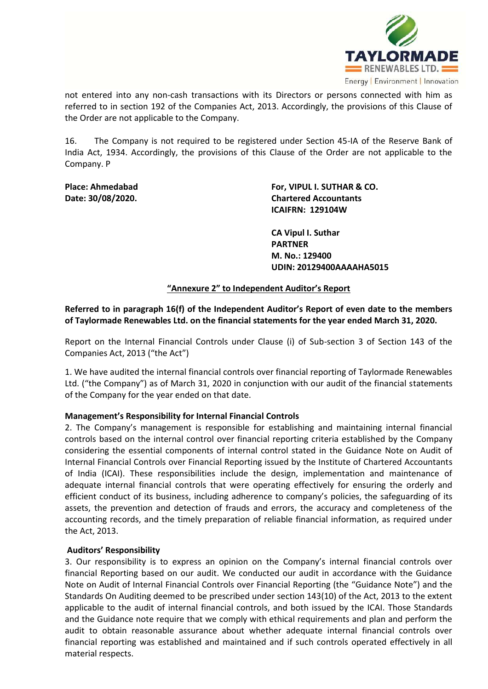

not entered into any non-cash transactions with its Directors or persons connected with him as referred to in section 192 of the Companies Act, 2013. Accordingly, the provisions of this Clause of the Order are not applicable to the Company.

16. The Company is not required to be registered under Section 45-IA of the Reserve Bank of India Act, 1934. Accordingly, the provisions of this Clause of the Order are not applicable to the Company. P

**Place: Ahmedabad For, VIPUL I. SUTHAR & CO. Date: 30/08/2020. Chartered Accountants ICAIFRN: 129104W**

> **CA Vipul I. Suthar PARTNER M. No.: 129400 UDIN: 20129400AAAAHA5015**

**"Annexure 2" to Independent Auditor's Report**

**Referred to in paragraph 16(f) of the Independent Auditor's Report of even date to the members of Taylormade Renewables Ltd. on the financial statements for the year ended March 31, 2020.** 

Report on the Internal Financial Controls under Clause (i) of Sub-section 3 of Section 143 of the Companies Act, 2013 ("the Act")

1. We have audited the internal financial controls over financial reporting of Taylormade Renewables Ltd. ("the Company") as of March 31, 2020 in conjunction with our audit of the financial statements of the Company for the year ended on that date.

## **Management's Responsibility for Internal Financial Controls**

2. The Company's management is responsible for establishing and maintaining internal financial controls based on the internal control over financial reporting criteria established by the Company considering the essential components of internal control stated in the Guidance Note on Audit of Internal Financial Controls over Financial Reporting issued by the Institute of Chartered Accountants of India (ICAI). These responsibilities include the design, implementation and maintenance of adequate internal financial controls that were operating effectively for ensuring the orderly and efficient conduct of its business, including adherence to company's policies, the safeguarding of its assets, the prevention and detection of frauds and errors, the accuracy and completeness of the accounting records, and the timely preparation of reliable financial information, as required under the Act, 2013.

### **Auditors' Responsibility**

3. Our responsibility is to express an opinion on the Company's internal financial controls over financial Reporting based on our audit. We conducted our audit in accordance with the Guidance Note on Audit of Internal Financial Controls over Financial Reporting (the "Guidance Note") and the Standards On Auditing deemed to be prescribed under section 143(10) of the Act, 2013 to the extent applicable to the audit of internal financial controls, and both issued by the ICAI. Those Standards and the Guidance note require that we comply with ethical requirements and plan and perform the audit to obtain reasonable assurance about whether adequate internal financial controls over financial reporting was established and maintained and if such controls operated effectively in all material respects.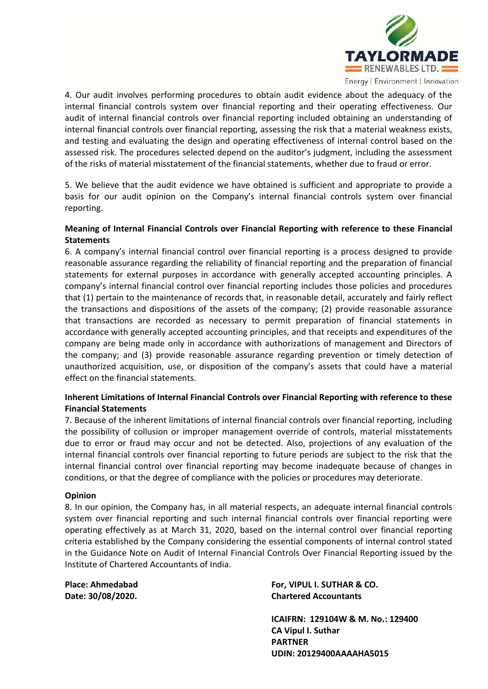

4. Our audit involves performing procedures to obtain audit evidence about the adequacy of the internal financial controls system over financial reporting and their operating effectiveness. Our audit of internal financial controls over financial reporting included obtaining an understanding of internal financial controls over financial reporting, assessing the risk that a material weakness exists, and testing and evaluating the design and operating effectiveness of internal control based on the assessed risk. The procedures selected depend on the auditor's judgment, including the assessment of the risks of material misstatement of the financial statements, whether due to fraud or error.

5. We believe that the audit evidence we have obtained is sufficient and appropriate to provide a basis for our audit opinion on the Company's internal financial controls system over financial reporting.

# **Meaning of Internal Financial Controls over Financial Reporting with reference to these Financial Statements**

6. A company's internal financial control over financial reporting is a process designed to provide reasonable assurance regarding the reliability of financial reporting and the preparation of financial statements for external purposes in accordance with generally accepted accounting principles. A company's internal financial control over financial reporting includes those policies and procedures that (1) pertain to the maintenance of records that, in reasonable detail, accurately and fairly reflect the transactions and dispositions of the assets of the company; (2) provide reasonable assurance that transactions are recorded as necessary to permit preparation of financial statements in accordance with generally accepted accounting principles, and that receipts and expenditures of the company are being made only in accordance with authorizations of management and Directors of the company; and (3) provide reasonable assurance regarding prevention or timely detection of unauthorized acquisition, use, or disposition of the company's assets that could have a material effect on the financial statements.

# **Inherent Limitations of Internal Financial Controls over Financial Reporting with reference to these Financial Statements**

7. Because of the inherent limitations of internal financial controls over financial reporting, including the possibility of collusion or improper management override of controls, material misstatements due to error or fraud may occur and not be detected. Also, projections of any evaluation of the internal financial controls over financial reporting to future periods are subject to the risk that the internal financial control over financial reporting may become inadequate because of changes in conditions, or that the degree of compliance with the policies or procedures may deteriorate.

## **Opinion**

8. In our opinion, the Company has, in all material respects, an adequate internal financial controls system over financial reporting and such internal financial controls over financial reporting were operating effectively as at March 31, 2020, based on the internal control over financial reporting criteria established by the Company considering the essential components of internal control stated in the Guidance Note on Audit of Internal Financial Controls Over Financial Reporting issued by the Institute of Chartered Accountants of India.

**Place: Ahmedabad For, VIPUL I. SUTHAR & CO. Date: 30/08/2020. Chartered Accountants** 

> **ICAIFRN: 129104W & M. No.: 129400 CA Vipul I. Suthar PARTNER UDIN: 20129400AAAAHA5015**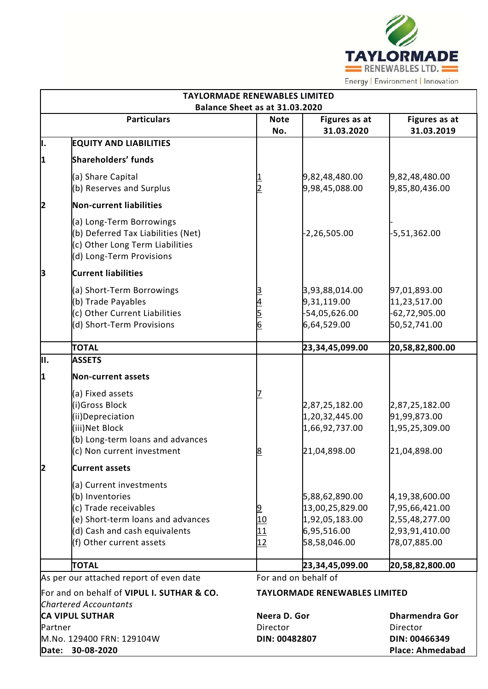

| <b>TAYLORMADE RENEWABLES LIMITED</b> |                                                                                                                                                                       |                                   |                                                                                    |                                                                                      |  |  |
|--------------------------------------|-----------------------------------------------------------------------------------------------------------------------------------------------------------------------|-----------------------------------|------------------------------------------------------------------------------------|--------------------------------------------------------------------------------------|--|--|
| Balance Sheet as at 31.03.2020       |                                                                                                                                                                       |                                   |                                                                                    |                                                                                      |  |  |
|                                      | <b>Particulars</b>                                                                                                                                                    | <b>Note</b><br>No.                | Figures as at<br>31.03.2020                                                        | <b>Figures as at</b><br>31.03.2019                                                   |  |  |
| þ.                                   | <b>EQUITY AND LIABILITIES</b>                                                                                                                                         |                                   |                                                                                    |                                                                                      |  |  |
| 1                                    | Shareholders' funds                                                                                                                                                   |                                   |                                                                                    |                                                                                      |  |  |
|                                      | (a) Share Capital                                                                                                                                                     |                                   | 9,82,48,480.00                                                                     | 9,82,48,480.00                                                                       |  |  |
|                                      | (b) Reserves and Surplus                                                                                                                                              |                                   | 9,98,45,088.00                                                                     | 9,85,80,436.00                                                                       |  |  |
| 2                                    | Non-current liabilities                                                                                                                                               |                                   |                                                                                    |                                                                                      |  |  |
|                                      | (a) Long-Term Borrowings<br>(b) Deferred Tax Liabilities (Net)<br>(c) Other Long Term Liabilities<br>(d) Long-Term Provisions                                         |                                   | $-2,26,505.00$                                                                     | $-5,51,362.00$                                                                       |  |  |
| þЗ                                   | <b>Current liabilities</b>                                                                                                                                            |                                   |                                                                                    |                                                                                      |  |  |
|                                      | (a) Short-Term Borrowings                                                                                                                                             |                                   | 3,93,88,014.00                                                                     | 97,01,893.00                                                                         |  |  |
|                                      | (b) Trade Payables                                                                                                                                                    |                                   | 9,31,119.00                                                                        | 11,23,517.00                                                                         |  |  |
|                                      | (c) Other Current Liabilities                                                                                                                                         | $\frac{4}{5}$ $\frac{5}{6}$       | -54,05,626.00                                                                      | $-62,72,905.00$                                                                      |  |  |
|                                      | (d) Short-Term Provisions                                                                                                                                             |                                   | 6,64,529.00                                                                        | 50,52,741.00                                                                         |  |  |
|                                      | <b>TOTAL</b>                                                                                                                                                          |                                   | 23,34,45,099.00                                                                    | 20,58,82,800.00                                                                      |  |  |
| İ۱.                                  | <b>ASSETS</b>                                                                                                                                                         |                                   |                                                                                    |                                                                                      |  |  |
| 1                                    | Non-current assets                                                                                                                                                    |                                   |                                                                                    |                                                                                      |  |  |
|                                      | (a) Fixed assets<br>(i)Gross Block<br>(ii)Depreciation<br>(iii) Net Block<br>(b) Long-term loans and advances<br>(c) Non current investment                           | <u>8</u>                          | 2,87,25,182.00<br>1,20,32,445.00<br>1,66,92,737.00<br>21,04,898.00                 | 2,87,25,182.00<br>91,99,873.00<br>1,95,25,309.00<br>21,04,898.00                     |  |  |
| 2                                    | <b>Current assets</b>                                                                                                                                                 |                                   |                                                                                    |                                                                                      |  |  |
|                                      | (a) Current investments<br>(b) Inventories<br>(c) Trade receivables<br>(e) Short-term loans and advances<br>(d) Cash and cash equivalents<br>(f) Other current assets | $\frac{9}{10}$<br>$\frac{11}{12}$ | 5,88,62,890.00<br>13,00,25,829.00<br>1,92,05,183.00<br>6,95,516.00<br>58,58,046.00 | 4,19,38,600.00<br>7,95,66,421.00<br>2,55,48,277.00<br>2,93,91,410.00<br>78,07,885.00 |  |  |
|                                      | <b>TOTAL</b>                                                                                                                                                          |                                   | 23,34,45,099.00                                                                    | 20,58,82,800.00                                                                      |  |  |
|                                      | As per our attached report of even date                                                                                                                               |                                   | For and on behalf of                                                               |                                                                                      |  |  |
|                                      | For and on behalf of VIPUL I. SUTHAR & CO.                                                                                                                            |                                   | <b>TAYLORMADE RENEWABLES LIMITED</b>                                               |                                                                                      |  |  |
|                                      | <b>Chartered Accountants</b><br><b>CA VIPUL SUTHAR</b>                                                                                                                | Neera D. Gor                      |                                                                                    | <b>Dharmendra Gor</b>                                                                |  |  |
| Partner                              |                                                                                                                                                                       | Director                          |                                                                                    | Director                                                                             |  |  |
|                                      | M.No. 129400 FRN: 129104W<br>Date: 30-08-2020                                                                                                                         | DIN: 00482807                     |                                                                                    | DIN: 00466349<br><b>Place: Ahmedabad</b>                                             |  |  |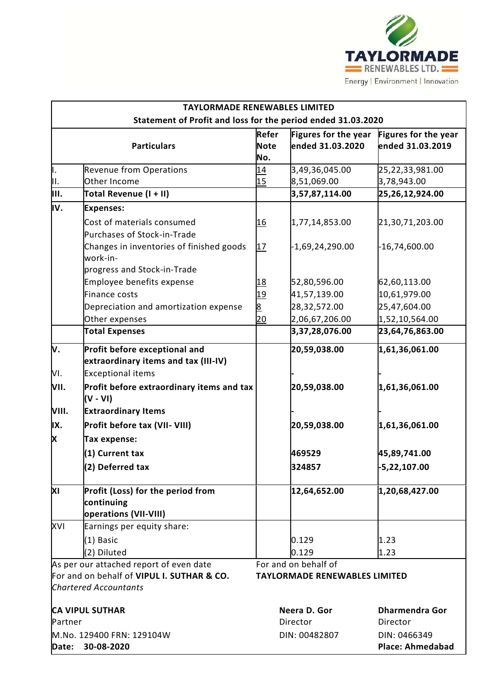

| <b>TAYLORMADE RENEWABLES LIMITED</b>                         |                                                                                     |                             |                                          |                                          |  |
|--------------------------------------------------------------|-------------------------------------------------------------------------------------|-----------------------------|------------------------------------------|------------------------------------------|--|
| Statement of Profit and loss for the period ended 31.03.2020 |                                                                                     |                             |                                          |                                          |  |
|                                                              | <b>Particulars</b>                                                                  | Refer<br><b>Note</b><br>No. | Figures for the year<br>ended 31.03.2020 | Figures for the year<br>ended 31.03.2019 |  |
| þ.                                                           | <b>Revenue from Operations</b>                                                      | 14                          | 3,49,36,045.00                           | 25,22,33,981.00                          |  |
| ļн.                                                          | Other Income                                                                        | 15                          | 8,51,069.00                              | 3,78,943.00                              |  |
| Iш.                                                          | Total Revenue (I + II)                                                              |                             | 3,57,87,114.00                           | 25,26,12,924.00                          |  |
| IV.                                                          | <b>Expenses:</b>                                                                    |                             |                                          |                                          |  |
|                                                              | Cost of materials consumed                                                          | <u> 16</u>                  | 1,77,14,853.00                           | 21,30,71,203.00                          |  |
|                                                              | Purchases of Stock-in-Trade                                                         |                             |                                          |                                          |  |
|                                                              | Changes in inventories of finished goods<br>work-in-                                | 17                          | $-1,69,24,290.00$                        | $-16,74,600.00$                          |  |
|                                                              | progress and Stock-in-Trade                                                         |                             |                                          |                                          |  |
|                                                              | Employee benefits expense                                                           | <u> 18</u>                  | 52,80,596.00                             | 62,60,113.00                             |  |
|                                                              | <b>Finance costs</b>                                                                | <u>19</u>                   | 41,57,139.00                             | 10,61,979.00                             |  |
|                                                              | Depreciation and amortization expense                                               | 8                           | 28,32,572.00                             | 25,47,604.00                             |  |
|                                                              | Other expenses                                                                      | 20                          | 2,06,67,206.00                           | 1,52,10,564.00                           |  |
|                                                              | <b>Total Expenses</b>                                                               |                             | 3,37,28,076.00                           | 23,64,76,863.00                          |  |
| V.                                                           | Profit before exceptional and<br>extraordinary items and tax (III-IV)               |                             | 20,59,038.00                             | 1,61,36,061.00                           |  |
| VI.<br>VII.                                                  | <b>Exceptional items</b><br>Profit before extraordinary items and tax<br>$(V - VI)$ |                             | 20,59,038.00                             | 1,61,36,061.00                           |  |
| VIII.                                                        | <b>Extraordinary Items</b>                                                          |                             |                                          |                                          |  |
| IX.                                                          | Profit before tax (VII- VIII)                                                       |                             | 20,59,038.00                             | 1,61,36,061.00                           |  |
| X                                                            | Tax expense:                                                                        |                             |                                          |                                          |  |
|                                                              | (1) Current tax                                                                     |                             | 469529                                   | 45,89,741.00                             |  |
|                                                              | (2) Deferred tax                                                                    |                             | 324857                                   | -5,22,107.00                             |  |
|                                                              |                                                                                     |                             |                                          |                                          |  |
| ΧI                                                           | Profit (Loss) for the period from<br>continuing<br><b>operations (VII-VIII)</b>     |                             | 12,64,652.00                             | 1,20,68,427.00                           |  |
| XVI                                                          | Earnings per equity share:                                                          |                             |                                          |                                          |  |
|                                                              | (1) Basic                                                                           |                             | 0.129                                    | 1.23                                     |  |
|                                                              | (2) Diluted                                                                         |                             | 0.129                                    | 1.23                                     |  |
|                                                              | As per our attached report of even date                                             |                             | For and on behalf of                     |                                          |  |
|                                                              | For and on behalf of VIPUL I. SUTHAR & CO.<br><b>Chartered Accountants</b>          |                             | <b>TAYLORMADE RENEWABLES LIMITED</b>     |                                          |  |
|                                                              | <b>CA VIPUL SUTHAR</b>                                                              |                             | Neera D. Gor                             | <b>Dharmendra Gor</b>                    |  |
| Partner                                                      |                                                                                     |                             | Director                                 | Director                                 |  |
| Date:                                                        | M.No. 129400 FRN: 129104W<br>30-08-2020                                             |                             | DIN: 00482807                            | DIN: 0466349<br><b>Place: Ahmedabad</b>  |  |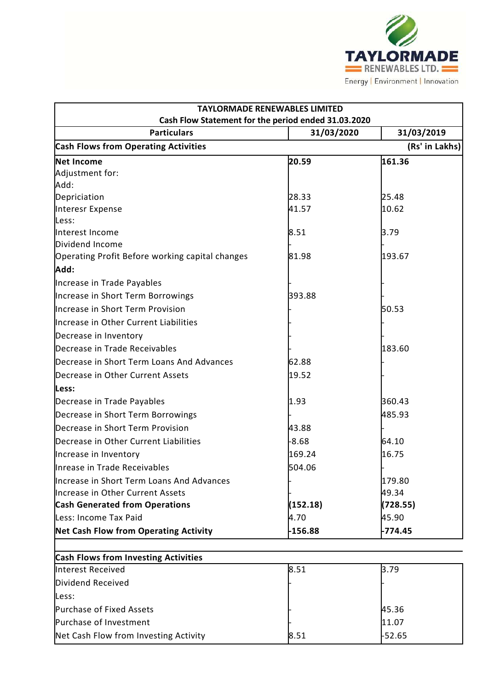

| <b>TAYLORMADE RENEWABLES LIMITED</b>                |            |                |  |  |  |
|-----------------------------------------------------|------------|----------------|--|--|--|
| Cash Flow Statement for the period ended 31.03.2020 |            |                |  |  |  |
| <b>Particulars</b>                                  | 31/03/2020 | 31/03/2019     |  |  |  |
| <b>Cash Flows from Operating Activities</b>         |            | (Rs' in Lakhs) |  |  |  |
| <b>Net Income</b>                                   | 20.59      | 161.36         |  |  |  |
| Adjustment for:                                     |            |                |  |  |  |
| Add:                                                |            |                |  |  |  |
| Depriciation                                        | 28.33      | 25.48          |  |  |  |
| Interesr Expense                                    | 41.57      | 10.62          |  |  |  |
| Less:                                               |            |                |  |  |  |
| Interest Income<br>Dividend Income                  | 8.51       | 3.79           |  |  |  |
| Operating Profit Before working capital changes     | 81.98      | 193.67         |  |  |  |
| Add:                                                |            |                |  |  |  |
| Increase in Trade Payables                          |            |                |  |  |  |
| Increase in Short Term Borrowings                   | 393.88     |                |  |  |  |
| Increase in Short Term Provision                    |            | 50.53          |  |  |  |
| Increase in Other Current Liabilities               |            |                |  |  |  |
| Decrease in Inventory                               |            |                |  |  |  |
| Decrease in Trade Receivables                       |            | 183.60         |  |  |  |
| Decrease in Short Term Loans And Advances           | 62.88      |                |  |  |  |
| Decrease in Other Current Assets                    | 19.52      |                |  |  |  |
| Less:                                               |            |                |  |  |  |
| Decrease in Trade Payables                          | 1.93       | 360.43         |  |  |  |
| Decrease in Short Term Borrowings                   |            | 485.93         |  |  |  |
| Decrease in Short Term Provision                    | 43.88      |                |  |  |  |
| Decrease in Other Current Liabilities               | $-8.68$    | 64.10          |  |  |  |
| Increase in Inventory                               | 169.24     | 16.75          |  |  |  |
| Inrease in Trade Receivables                        | 504.06     |                |  |  |  |
| Increase in Short Term Loans And Advances           |            | 179.80         |  |  |  |
| Increase in Other Current Assets                    |            | 49.34          |  |  |  |
| <b>Cash Generated from Operations</b>               | (152.18)   | (728.55)       |  |  |  |
| Less: Income Tax Paid                               | 4.70       | 45.90          |  |  |  |
| Net Cash Flow from Operating Activity               | $-156.88$  | $-774.45$      |  |  |  |
| <b>Cash Flows from Investing Activities</b>         |            |                |  |  |  |
| Interest Received                                   | 8.51       | 3.79           |  |  |  |
| Dividend Received                                   |            |                |  |  |  |
| Less:                                               |            |                |  |  |  |

| Less.                                 |      |               |
|---------------------------------------|------|---------------|
| Purchase of Fixed Assets              |      | 45.36         |
| Purchase of Investment                |      | 11.07         |
| Net Cash Flow from Investing Activity | 8.51 | <b>F52.65</b> |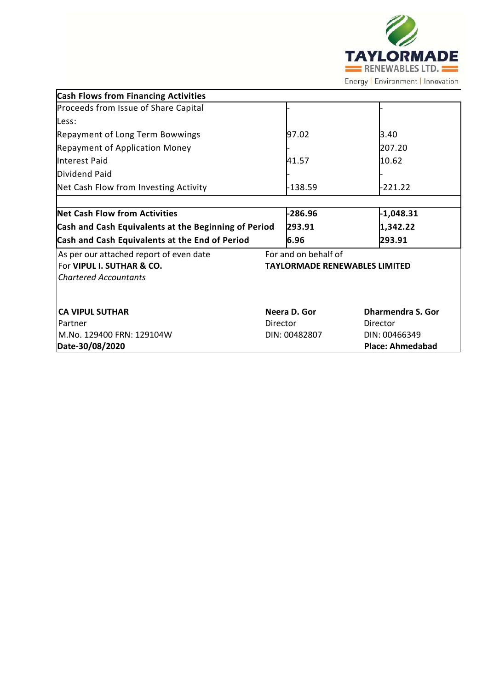

| <b>Cash Flows from Financing Activities</b>                                                          |          |                                                              |          |                                          |
|------------------------------------------------------------------------------------------------------|----------|--------------------------------------------------------------|----------|------------------------------------------|
| Proceeds from Issue of Share Capital                                                                 |          |                                                              |          |                                          |
| Less:                                                                                                |          |                                                              |          |                                          |
| <b>Repayment of Long Term Bowwings</b>                                                               |          | 97.02                                                        |          | 3.40                                     |
| <b>Repayment of Application Money</b>                                                                |          |                                                              |          | 207.20                                   |
| Interest Paid                                                                                        |          | 41.57                                                        |          | 10.62                                    |
| Dividend Paid                                                                                        |          |                                                              |          |                                          |
| Net Cash Flow from Investing Activity                                                                |          | $-138.59$                                                    |          | $-221.22$                                |
|                                                                                                      |          |                                                              |          |                                          |
| <b>Net Cash Flow from Activities</b>                                                                 |          | $-286.96$                                                    |          | $-1,048.31$                              |
| Cash and Cash Equivalents at the Beginning of Period                                                 |          | 293.91                                                       |          | 1,342.22                                 |
| Cash and Cash Equivalents at the End of Period                                                       |          | 6.96                                                         |          | 293.91                                   |
| As per our attached report of even date<br>For VIPUL I. SUTHAR & CO.<br><b>Chartered Accountants</b> |          | For and on behalf of<br><b>TAYLORMADE RENEWABLES LIMITED</b> |          |                                          |
| <b>CA VIPUL SUTHAR</b><br>Partner                                                                    | Director | Neera D. Gor                                                 | Director | <b>Dharmendra S. Gor</b>                 |
| M.No. 129400 FRN: 129104W<br>Date-30/08/2020                                                         |          | DIN: 00482807                                                |          | DIN: 00466349<br><b>Place: Ahmedabad</b> |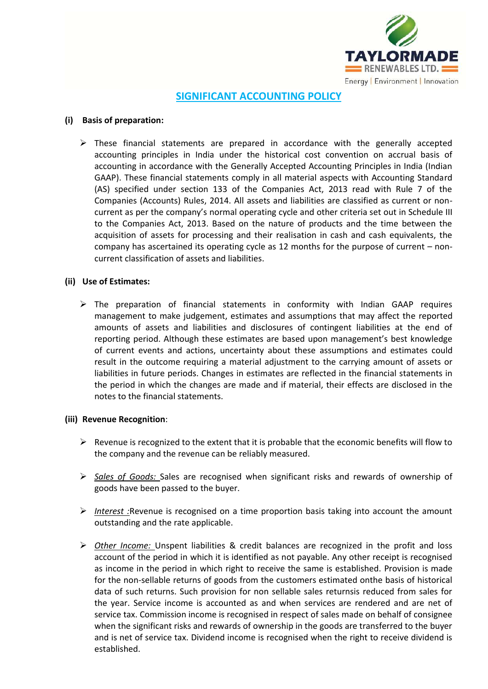

# **SIGNIFICANT ACCOUNTING POLICY**

### **(i) Basis of preparation:**

 $\triangleright$  These financial statements are prepared in accordance with the generally accepted accounting principles in India under the historical cost convention on accrual basis of accounting in accordance with the Generally Accepted Accounting Principles in India (Indian GAAP). These financial statements comply in all material aspects with Accounting Standard (AS) specified under section 133 of the Companies Act, 2013 read with Rule 7 of the Companies (Accounts) Rules, 2014. All assets and liabilities are classified as current or noncurrent as per the company's normal operating cycle and other criteria set out in Schedule III to the Companies Act, 2013. Based on the nature of products and the time between the acquisition of assets for processing and their realisation in cash and cash equivalents, the company has ascertained its operating cycle as 12 months for the purpose of current – noncurrent classification of assets and liabilities.

## **(ii) Use of Estimates:**

 $\triangleright$  The preparation of financial statements in conformity with Indian GAAP requires management to make judgement, estimates and assumptions that may affect the reported amounts of assets and liabilities and disclosures of contingent liabilities at the end of reporting period. Although these estimates are based upon management's best knowledge of current events and actions, uncertainty about these assumptions and estimates could result in the outcome requiring a material adjustment to the carrying amount of assets or liabilities in future periods. Changes in estimates are reflected in the financial statements in the period in which the changes are made and if material, their effects are disclosed in the notes to the financial statements.

### **(iii) Revenue Recognition**:

- $\triangleright$  Revenue is recognized to the extent that it is probable that the economic benefits will flow to the company and the revenue can be reliably measured.
- *Sales of Goods:* Sales are recognised when significant risks and rewards of ownership of goods have been passed to the buyer.
- *Interest :*Revenue is recognised on a time proportion basis taking into account the amount outstanding and the rate applicable.
- *Other Income:* Unspent liabilities & credit balances are recognized in the profit and loss account of the period in which it is identified as not payable. Any other receipt is recognised as income in the period in which right to receive the same is established. Provision is made for the non-sellable returns of goods from the customers estimated onthe basis of historical data of such returns. Such provision for non sellable sales returnsis reduced from sales for the year. Service income is accounted as and when services are rendered and are net of service tax. Commission income is recognised in respect of sales made on behalf of consignee when the significant risks and rewards of ownership in the goods are transferred to the buyer and is net of service tax. Dividend income is recognised when the right to receive dividend is established.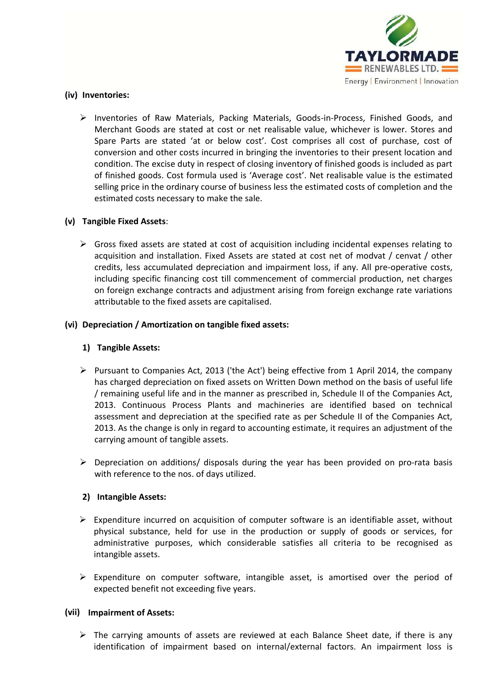

## **(iv) Inventories:**

 $\triangleright$  Inventories of Raw Materials, Packing Materials, Goods-in-Process, Finished Goods, and Merchant Goods are stated at cost or net realisable value, whichever is lower. Stores and Spare Parts are stated 'at or below cost'. Cost comprises all cost of purchase, cost of conversion and other costs incurred in bringing the inventories to their present location and condition. The excise duty in respect of closing inventory of finished goods is included as part of finished goods. Cost formula used is 'Average cost'. Net realisable value is the estimated selling price in the ordinary course of business less the estimated costs of completion and the estimated costs necessary to make the sale.

### **(v) Tangible Fixed Assets**:

 $\triangleright$  Gross fixed assets are stated at cost of acquisition including incidental expenses relating to acquisition and installation. Fixed Assets are stated at cost net of modvat / cenvat / other credits, less accumulated depreciation and impairment loss, if any. All pre-operative costs, including specific financing cost till commencement of commercial production, net charges on foreign exchange contracts and adjustment arising from foreign exchange rate variations attributable to the fixed assets are capitalised.

### **(vi) Depreciation / Amortization on tangible fixed assets:**

### **1) Tangible Assets:**

- Pursuant to Companies Act, 2013 ('the Act') being effective from 1 April 2014, the company has charged depreciation on fixed assets on Written Down method on the basis of useful life / remaining useful life and in the manner as prescribed in, Schedule II of the Companies Act, 2013. Continuous Process Plants and machineries are identified based on technical assessment and depreciation at the specified rate as per Schedule II of the Companies Act, 2013. As the change is only in regard to accounting estimate, it requires an adjustment of the carrying amount of tangible assets.
- $\triangleright$  Depreciation on additions/ disposals during the year has been provided on pro-rata basis with reference to the nos. of days utilized.

## **2) Intangible Assets:**

- $\triangleright$  Expenditure incurred on acquisition of computer software is an identifiable asset, without physical substance, held for use in the production or supply of goods or services, for administrative purposes, which considerable satisfies all criteria to be recognised as intangible assets.
- $\triangleright$  Expenditure on computer software, intangible asset, is amortised over the period of expected benefit not exceeding five years.

### **(vii) Impairment of Assets:**

 $\triangleright$  The carrying amounts of assets are reviewed at each Balance Sheet date, if there is any identification of impairment based on internal/external factors. An impairment loss is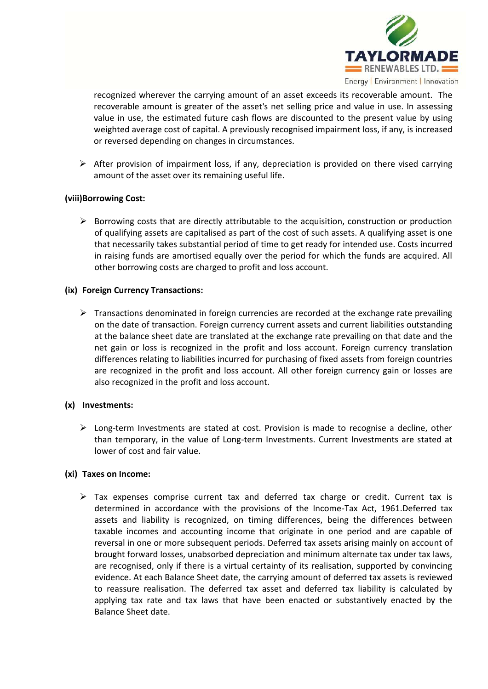

recognized wherever the carrying amount of an asset exceeds its recoverable amount. The recoverable amount is greater of the asset's net selling price and value in use. In assessing value in use, the estimated future cash flows are discounted to the present value by using weighted average cost of capital. A previously recognised impairment loss, if any, is increased or reversed depending on changes in circumstances.

 $\triangleright$  After provision of impairment loss, if any, depreciation is provided on there vised carrying amount of the asset over its remaining useful life.

## **(viii)Borrowing Cost:**

 $\triangleright$  Borrowing costs that are directly attributable to the acquisition, construction or production of qualifying assets are capitalised as part of the cost of such assets. A qualifying asset is one that necessarily takes substantial period of time to get ready for intended use. Costs incurred in raising funds are amortised equally over the period for which the funds are acquired. All other borrowing costs are charged to profit and loss account.

### **(ix) Foreign Currency Transactions:**

 $\triangleright$  Transactions denominated in foreign currencies are recorded at the exchange rate prevailing on the date of transaction. Foreign currency current assets and current liabilities outstanding at the balance sheet date are translated at the exchange rate prevailing on that date and the net gain or loss is recognized in the profit and loss account. Foreign currency translation differences relating to liabilities incurred for purchasing of fixed assets from foreign countries are recognized in the profit and loss account. All other foreign currency gain or losses are also recognized in the profit and loss account.

## **(x) Investments:**

 $\triangleright$  Long-term Investments are stated at cost. Provision is made to recognise a decline, other than temporary, in the value of Long-term Investments. Current Investments are stated at lower of cost and fair value.

### **(xi) Taxes on Income:**

 $\triangleright$  Tax expenses comprise current tax and deferred tax charge or credit. Current tax is determined in accordance with the provisions of the Income-Tax Act, 1961.Deferred tax assets and liability is recognized, on timing differences, being the differences between taxable incomes and accounting income that originate in one period and are capable of reversal in one or more subsequent periods. Deferred tax assets arising mainly on account of brought forward losses, unabsorbed depreciation and minimum alternate tax under tax laws, are recognised, only if there is a virtual certainty of its realisation, supported by convincing evidence. At each Balance Sheet date, the carrying amount of deferred tax assets is reviewed to reassure realisation. The deferred tax asset and deferred tax liability is calculated by applying tax rate and tax laws that have been enacted or substantively enacted by the Balance Sheet date.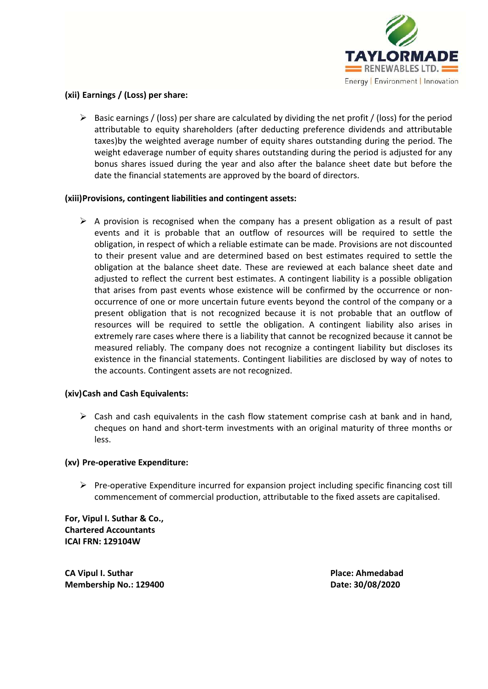

# **(xii) Earnings / (Loss) per share:**

 $\triangleright$  Basic earnings / (loss) per share are calculated by dividing the net profit / (loss) for the period attributable to equity shareholders (after deducting preference dividends and attributable taxes)by the weighted average number of equity shares outstanding during the period. The weight edaverage number of equity shares outstanding during the period is adjusted for any bonus shares issued during the year and also after the balance sheet date but before the date the financial statements are approved by the board of directors.

### **(xiii)Provisions, contingent liabilities and contingent assets:**

 $\triangleright$  A provision is recognised when the company has a present obligation as a result of past events and it is probable that an outflow of resources will be required to settle the obligation, in respect of which a reliable estimate can be made. Provisions are not discounted to their present value and are determined based on best estimates required to settle the obligation at the balance sheet date. These are reviewed at each balance sheet date and adjusted to reflect the current best estimates. A contingent liability is a possible obligation that arises from past events whose existence will be confirmed by the occurrence or nonoccurrence of one or more uncertain future events beyond the control of the company or a present obligation that is not recognized because it is not probable that an outflow of resources will be required to settle the obligation. A contingent liability also arises in extremely rare cases where there is a liability that cannot be recognized because it cannot be measured reliably. The company does not recognize a contingent liability but discloses its existence in the financial statements. Contingent liabilities are disclosed by way of notes to the accounts. Contingent assets are not recognized.

## **(xiv)Cash and Cash Equivalents:**

 $\triangleright$  Cash and cash equivalents in the cash flow statement comprise cash at bank and in hand, cheques on hand and short-term investments with an original maturity of three months or less.

### **(xv) Pre-operative Expenditure:**

 $\triangleright$  Pre-operative Expenditure incurred for expansion project including specific financing cost till commencement of commercial production, attributable to the fixed assets are capitalised.

**For, Vipul I. Suthar & Co., Chartered Accountants ICAI FRN: 129104W**

**CA Vipul I. Suthar Place: Ahmedabad Membership No.: 129400 Date: 30/08/2020**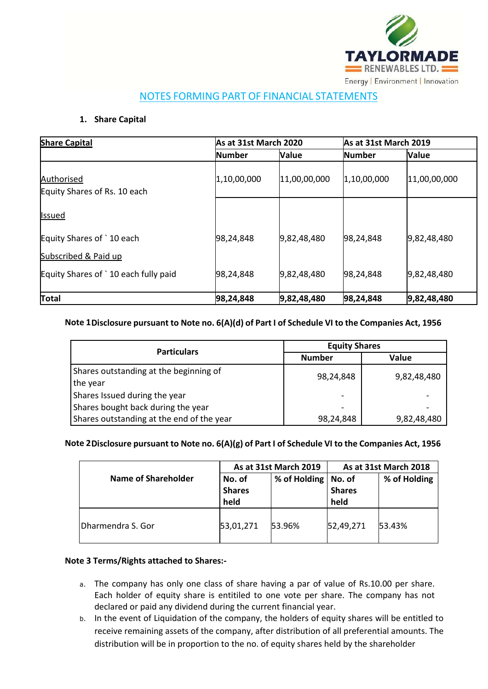

# NOTES FORMING PART OF FINANCIAL STATEMENTS

# **1. Share Capital**

| <b>Share Capital</b>                       | As at 31st March 2020 |              | As at 31st March 2019 |              |
|--------------------------------------------|-----------------------|--------------|-----------------------|--------------|
|                                            | <b>Number</b>         | <b>Value</b> | <b>Number</b>         | <b>Value</b> |
| Authorised<br>Equity Shares of Rs. 10 each | 1,10,00,000           | 11,00,00,000 | 1,10,00,000           | 11,00,00,000 |
| <b>Issued</b>                              |                       |              |                       |              |
| Equity Shares of `10 each                  | 98,24,848             | 9,82,48,480  | 98,24,848             | 9,82,48,480  |
| Subscribed & Paid up                       |                       |              |                       |              |
| Equity Shares of `10 each fully paid       | 98,24,848             | 9,82,48,480  | 98,24,848             | 9,82,48,480  |
| Total                                      | 98,24,848             | 9,82,48,480  | 98,24,848             | 9,82,48,480  |

# **Note 1Disclosure pursuant to Note no. 6(A)(d) of Part I of Schedule VI to the Companies Act, 1956**

| <b>Particulars</b>                        | <b>Equity Shares</b>     |             |  |
|-------------------------------------------|--------------------------|-------------|--|
|                                           | <b>Number</b>            | Value       |  |
| Shares outstanding at the beginning of    | 98,24,848<br>9,82,48,480 |             |  |
| the year                                  |                          |             |  |
| Shares Issued during the year             |                          |             |  |
| Shares bought back during the year        | $\overline{\phantom{0}}$ |             |  |
| Shares outstanding at the end of the year | 98,24,848                | 9,82,48,480 |  |

## **Note 2Disclosure pursuant to Note no. 6(A)(g) of Part I of Schedule VI to the Companies Act, 1956**

|                            |                                 | As at 31st March 2019 | As at 31st March 2018           |              |
|----------------------------|---------------------------------|-----------------------|---------------------------------|--------------|
| <b>Name of Shareholder</b> | No. of<br><b>Shares</b><br>held | % of Holding          | No. of<br><b>Shares</b><br>held | % of Holding |
| Dharmendra S. Gor          | 53,01,271                       | 53.96%                | 52,49,271                       | 53.43%       |

## **Note 3 Terms/Rights attached to Shares:-**

- a. The company has only one class of share having a par of value of Rs.10.00 per share. Each holder of equity share is entitiled to one vote per share. The company has not declared or paid any dividend during the current financial year.
- b. In the event of Liquidation of the company, the holders of equity shares will be entitled to receive remaining assets of the company, after distribution of all preferential amounts. The distribution will be in proportion to the no. of equity shares held by the shareholder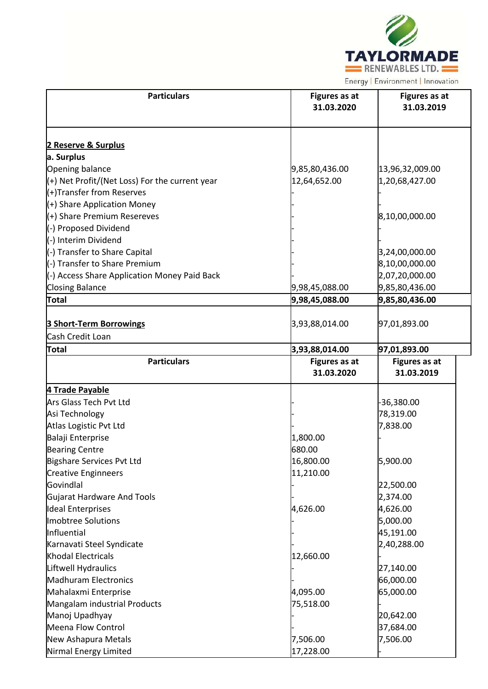

| <b>Particulars</b>                             | <b>Figures as at</b><br>31.03.2020 | <b>Figures as at</b><br>31.03.2019 |  |
|------------------------------------------------|------------------------------------|------------------------------------|--|
| 2 Reserve & Surplus                            |                                    |                                    |  |
| a. Surplus                                     |                                    |                                    |  |
| Opening balance                                | 9,85,80,436.00                     | 13,96,32,009.00                    |  |
| (+) Net Profit/(Net Loss) For the current year | 12,64,652.00                       | 1,20,68,427.00                     |  |
| (+)Transfer from Reserves                      |                                    |                                    |  |
| (+) Share Application Money                    |                                    |                                    |  |
| (+) Share Premium Resereves                    |                                    | 8,10,00,000.00                     |  |
| (-) Proposed Dividend                          |                                    |                                    |  |
| (-) Interim Dividend                           |                                    |                                    |  |
| (-) Transfer to Share Capital                  |                                    | 3,24,00,000.00                     |  |
| (-) Transfer to Share Premium                  |                                    | 8,10,00,000.00                     |  |
| (-) Access Share Application Money Paid Back   |                                    | 2,07,20,000.00                     |  |
| <b>Closing Balance</b>                         | 9,98,45,088.00                     | 9,85,80,436.00                     |  |
| Total                                          | 9,98,45,088.00                     | 9,85,80,436.00                     |  |
| <b>3 Short-Term Borrowings</b>                 | 3,93,88,014.00                     | 97,01,893.00                       |  |
| Cash Credit Loan                               |                                    |                                    |  |
| Total                                          | 3,93,88,014.00                     | 97,01,893.00                       |  |
| <b>Particulars</b>                             | <b>Figures as at</b><br>31.03.2020 | Figures as at<br>31.03.2019        |  |
| 4 Trade Payable                                |                                    |                                    |  |
| Ars Glass Tech Pvt Ltd                         |                                    | $-36,380.00$                       |  |
| Asi Technology                                 |                                    | 78,319.00                          |  |
| Atlas Logistic Pvt Ltd                         |                                    | 7,838.00                           |  |
| Balaji Enterprise                              | 1,800.00                           |                                    |  |
| <b>Bearing Centre</b>                          | 680.00                             |                                    |  |
| Bigshare Services Pvt Ltd                      | 16,800.00                          | 5,900.00                           |  |
| <b>Creative Enginneers</b>                     | 11,210.00                          |                                    |  |
| Govindlal                                      |                                    | 22,500.00                          |  |
| <b>Gujarat Hardware And Tools</b>              |                                    | 2,374.00                           |  |
| <b>Ideal Enterprises</b>                       | 4,626.00                           | 4,626.00                           |  |
| Imobtree Solutions                             |                                    | 5,000.00                           |  |
| Influential                                    |                                    | 45,191.00                          |  |
| Karnavati Steel Syndicate                      |                                    | 2,40,288.00                        |  |
| <b>Khodal Electricals</b>                      | 12,660.00                          |                                    |  |
| Liftwell Hydraulics                            |                                    | 27,140.00                          |  |
| <b>Madhuram Electronics</b>                    |                                    | 66,000.00                          |  |
| Mahalaxmi Enterprise                           | 4,095.00                           | 65,000.00                          |  |
| Mangalam industrial Products                   | 75,518.00                          |                                    |  |
| Manoj Upadhyay                                 |                                    | 20,642.00                          |  |
| Meena Flow Control                             |                                    | 37,684.00                          |  |
| New Ashapura Metals                            | 7,506.00                           | 7,506.00                           |  |
| Nirmal Energy Limited                          | 17,228.00                          |                                    |  |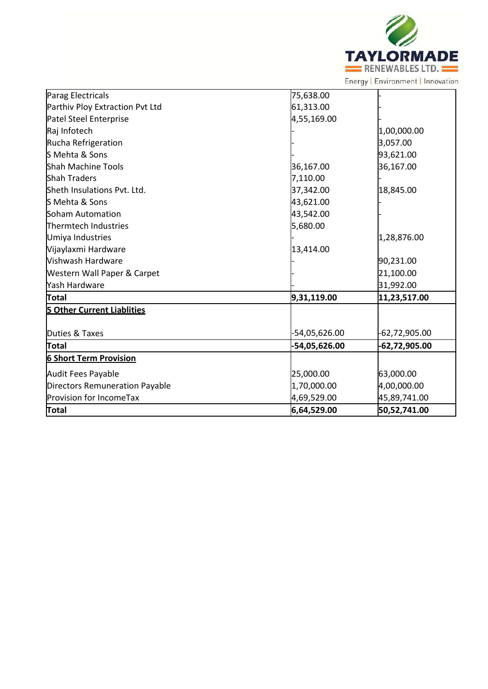

| Parag Electricals                 | 75,638.00     |                 |
|-----------------------------------|---------------|-----------------|
| Parthiv Ploy Extraction Pvt Ltd   | 61,313.00     |                 |
| Patel Steel Enterprise            | 4,55,169.00   |                 |
| Raj Infotech                      |               | 1,00,000.00     |
| Rucha Refrigeration               |               | 3,057.00        |
| S Mehta & Sons                    |               | 93,621.00       |
| <b>Shah Machine Tools</b>         | 36,167.00     | 36,167.00       |
| <b>Shah Traders</b>               | 7,110.00      |                 |
| Sheth Insulations Pvt. Ltd.       | 37,342.00     | 18,845.00       |
| S Mehta & Sons                    | 43,621.00     |                 |
| Soham Automation                  | 43,542.00     |                 |
| Thermtech Industries              | 5,680.00      |                 |
| Umiya Industries                  |               | 1,28,876.00     |
| Vijaylaxmi Hardware               | 13,414.00     |                 |
| <b>Vishwash Hardware</b>          |               | 90,231.00       |
| Western Wall Paper & Carpet       |               | 21,100.00       |
| Yash Hardware                     |               | 31,992.00       |
| Total                             | 9,31,119.00   | 11,23,517.00    |
| <b>5 Other Current Liablities</b> |               |                 |
| Duties & Taxes                    | -54,05,626.00 | $-62,72,905.00$ |
| Total                             | -54,05,626.00 | -62,72,905.00   |
| <b>6 Short Term Provision</b>     |               |                 |
| Audit Fees Payable                | 25,000.00     | 63,000.00       |
| Directors Remuneration Payable    | 1,70,000.00   | 4,00,000.00     |
| Provision for IncomeTax           | 4,69,529.00   | 45,89,741.00    |
| Total                             | 6,64,529.00   | 50,52,741.00    |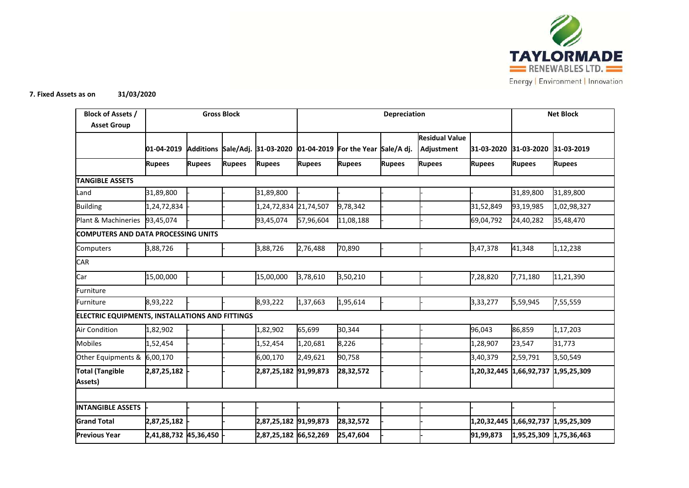

#### **7. Fixed Assets as on 31/03/2020**

| <b>Block of Assets /</b><br><b>Asset Group</b>         |                       |               | <b>Gross Block</b> |                                | Depreciation  |                                    | <b>Net Block</b> |                                     |               |                         |               |
|--------------------------------------------------------|-----------------------|---------------|--------------------|--------------------------------|---------------|------------------------------------|------------------|-------------------------------------|---------------|-------------------------|---------------|
|                                                        | 01-04-2019            |               |                    | Additions Sale/Adj. 31-03-2020 |               | 01-04-2019 For the Year Sale/A dj. |                  | <b>Residual Value</b><br>Adjustment | 31-03-2020    | 31-03-2020              | 31-03-2019    |
|                                                        | <b>Rupees</b>         | <b>Rupees</b> | <b>Rupees</b>      | <b>Rupees</b>                  | <b>Rupees</b> | <b>Rupees</b>                      | <b>Rupees</b>    | <b>Rupees</b>                       | <b>Rupees</b> | <b>Rupees</b>           | <b>Rupees</b> |
| <b>TANGIBLE ASSETS</b>                                 |                       |               |                    |                                |               |                                    |                  |                                     |               |                         |               |
| Land                                                   | 31,89,800             |               |                    | 31,89,800                      |               |                                    |                  |                                     |               | 31,89,800               | 31,89,800     |
| <b>Building</b>                                        | 1,24,72,834           |               |                    | 1,24,72,834                    | 21,74,507     | 9,78,342                           |                  |                                     | 31,52,849     | 93,19,985               | 1,02,98,327   |
| Plant & Machineries                                    | 93,45,074             |               |                    | 93,45,074                      | 57,96,604     | 11,08,188                          |                  |                                     | 69,04,792     | 24,40,282               | 35,48,470     |
| <b>COMPUTERS AND DATA PROCESSING UNITS</b>             |                       |               |                    |                                |               |                                    |                  |                                     |               |                         |               |
| Computers                                              | 3,88,726              |               |                    | 3,88,726                       | 2,76,488      | 70,890                             |                  |                                     | 3,47,378      | 41,348                  | 1,12,238      |
| <b>CAR</b>                                             |                       |               |                    |                                |               |                                    |                  |                                     |               |                         |               |
| Car                                                    | 15,00,000             |               |                    | 15,00,000                      | 3,78,610      | 3,50,210                           |                  |                                     | 7,28,820      | 7,71,180                | 11,21,390     |
| Furniture                                              |                       |               |                    |                                |               |                                    |                  |                                     |               |                         |               |
| Furniture                                              | 8,93,222              |               |                    | 8,93,222                       | 1,37,663      | 1,95,614                           |                  |                                     | 3,33,277      | 5,59,945                | 7,55,559      |
| <b>ELECTRIC EQUIPMENTS, INSTALLATIONS AND FITTINGS</b> |                       |               |                    |                                |               |                                    |                  |                                     |               |                         |               |
| <b>Air Condition</b>                                   | 1,82,902              |               |                    | 1,82,902                       | 65,699        | 30,344                             |                  |                                     | 96,043        | 86,859                  | 1,17,203      |
| <b>Mobiles</b>                                         | 1,52,454              |               |                    | 1,52,454                       | 1,20,681      | 8,226                              |                  |                                     | 1,28,907      | 23,547                  | 31,773        |
| Other Equipments & 6,00,170                            |                       |               |                    | 6,00,170                       | 2,49,621      | 90,758                             |                  |                                     | 3,40,379      | 2,59,791                | 3,50,549      |
| <b>Total (Tangible</b><br>Assets)                      | 2,87,25,182           |               |                    | 2,87,25,182 91,99,873          |               | 28,32,572                          |                  |                                     |               | 1,20,32,445 1,66,92,737 | 1,95,25,309   |
|                                                        |                       |               |                    |                                |               |                                    |                  |                                     |               |                         |               |
| <b>INTANGIBLE ASSETS</b>                               |                       |               |                    |                                |               |                                    |                  |                                     |               |                         |               |
| <b>Grand Total</b>                                     | 2,87,25,182           |               |                    | 2,87,25,182 91,99,873          |               | 28,32,572                          |                  |                                     | 1,20,32,445   | 1,66,92,737             | 1,95,25,309   |
| <b>Previous Year</b>                                   | 2,41,88,732 45,36,450 |               |                    | 2,87,25,182 66,52,269          |               | 25,47,604                          |                  |                                     | 91,99,873     | 1,95,25,309 1,75,36,463 |               |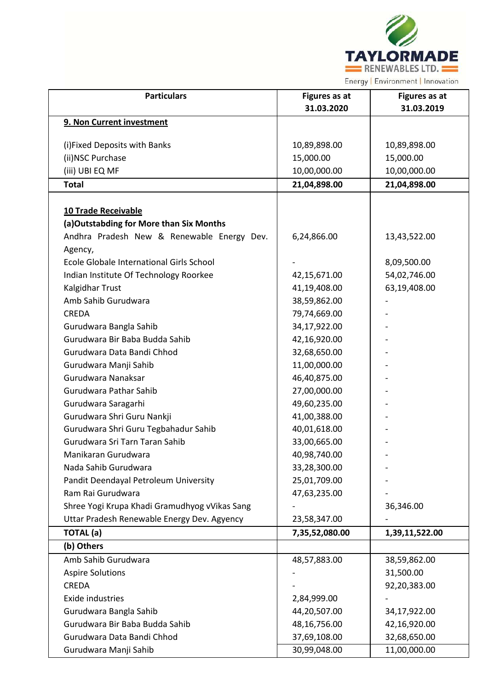

| <b>Particulars</b>                            | <b>Figures as at</b><br>31.03.2020 | Figures as at<br>31.03.2019 |
|-----------------------------------------------|------------------------------------|-----------------------------|
| 9. Non Current investment                     |                                    |                             |
|                                               |                                    |                             |
| (i) Fixed Deposits with Banks                 | 10,89,898.00                       | 10,89,898.00                |
| (ii) NSC Purchase                             | 15,000.00                          | 15,000.00                   |
| (iii) UBI EQ MF                               | 10,00,000.00                       | 10,00,000.00                |
| <b>Total</b>                                  | 21,04,898.00                       | 21,04,898.00                |
| 10 Trade Receivable                           |                                    |                             |
| (a)Outstabding for More than Six Months       |                                    |                             |
| Andhra Pradesh New & Renewable Energy Dev.    | 6,24,866.00                        | 13,43,522.00                |
| Agency,                                       |                                    |                             |
| Ecole Globale International Girls School      |                                    | 8,09,500.00                 |
| Indian Institute Of Technology Roorkee        | 42,15,671.00                       | 54,02,746.00                |
| Kalgidhar Trust                               | 41,19,408.00                       | 63,19,408.00                |
| Amb Sahib Gurudwara                           | 38,59,862.00                       |                             |
| <b>CREDA</b>                                  | 79,74,669.00                       |                             |
| Gurudwara Bangla Sahib                        | 34,17,922.00                       |                             |
| Gurudwara Bir Baba Budda Sahib                | 42,16,920.00                       |                             |
| Gurudwara Data Bandi Chhod                    | 32,68,650.00                       |                             |
| Gurudwara Manji Sahib                         | 11,00,000.00                       |                             |
| Gurudwara Nanaksar                            | 46,40,875.00                       |                             |
| Gurudwara Pathar Sahib                        | 27,00,000.00                       |                             |
| Gurudwara Saragarhi                           | 49,60,235.00                       |                             |
| Gurudwara Shri Guru Nankji                    | 41,00,388.00                       |                             |
| Gurudwara Shri Guru Tegbahadur Sahib          | 40,01,618.00                       |                             |
| Gurudwara Sri Tarn Taran Sahib                | 33,00,665.00                       |                             |
| Manikaran Gurudwara                           | 40,98,740.00                       |                             |
| Nada Sahib Gurudwara                          | 33,28,300.00                       |                             |
| Pandit Deendayal Petroleum University         | 25,01,709.00                       |                             |
| Ram Rai Gurudwara                             | 47,63,235.00                       |                             |
| Shree Yogi Krupa Khadi Gramudhyog vVikas Sang |                                    | 36,346.00                   |
| Uttar Pradesh Renewable Energy Dev. Agyency   | 23,58,347.00                       |                             |
| <b>TOTAL</b> (a)                              | 7,35,52,080.00                     | 1,39,11,522.00              |
| (b) Others                                    |                                    |                             |
| Amb Sahib Gurudwara                           | 48,57,883.00                       | 38,59,862.00                |
| <b>Aspire Solutions</b>                       |                                    | 31,500.00                   |
| <b>CREDA</b>                                  |                                    | 92,20,383.00                |
| Exide industries                              | 2,84,999.00                        |                             |
| Gurudwara Bangla Sahib                        | 44,20,507.00                       | 34,17,922.00                |
| Gurudwara Bir Baba Budda Sahib                | 48,16,756.00                       | 42,16,920.00                |
| Gurudwara Data Bandi Chhod                    | 37,69,108.00                       | 32,68,650.00                |
| Gurudwara Manji Sahib                         | 30,99,048.00                       | 11,00,000.00                |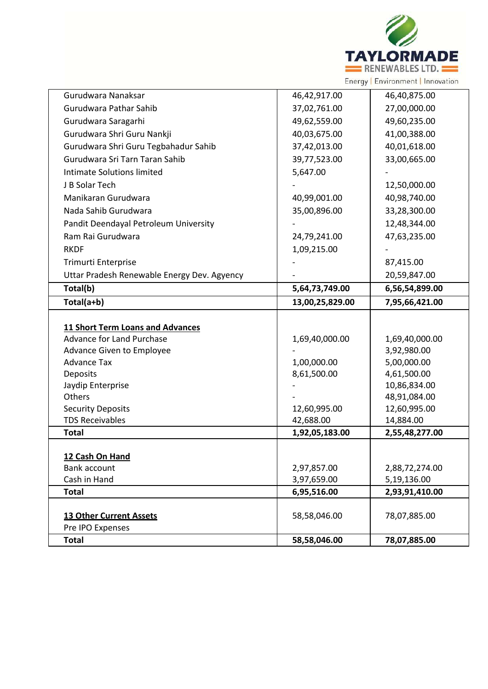

| Gurudwara Nanaksar                          | 46,42,917.00    | 46,40,875.00   |
|---------------------------------------------|-----------------|----------------|
| Gurudwara Pathar Sahib                      | 37,02,761.00    | 27,00,000.00   |
| Gurudwara Saragarhi                         | 49,62,559.00    | 49,60,235.00   |
| Gurudwara Shri Guru Nankji                  | 40,03,675.00    | 41,00,388.00   |
| Gurudwara Shri Guru Tegbahadur Sahib        | 37,42,013.00    | 40,01,618.00   |
| Gurudwara Sri Tarn Taran Sahib              | 39,77,523.00    | 33,00,665.00   |
| Intimate Solutions limited                  | 5,647.00        |                |
| J B Solar Tech                              |                 | 12,50,000.00   |
| Manikaran Gurudwara                         | 40,99,001.00    | 40,98,740.00   |
| Nada Sahib Gurudwara                        | 35,00,896.00    | 33,28,300.00   |
| Pandit Deendayal Petroleum University       |                 | 12,48,344.00   |
| Ram Rai Gurudwara                           | 24,79,241.00    | 47,63,235.00   |
| <b>RKDF</b>                                 | 1,09,215.00     |                |
| Trimurti Enterprise                         |                 | 87,415.00      |
| Uttar Pradesh Renewable Energy Dev. Agyency |                 | 20,59,847.00   |
| Total(b)                                    | 5,64,73,749.00  | 6,56,54,899.00 |
| Total(a+b)                                  | 13,00,25,829.00 | 7,95,66,421.00 |
|                                             |                 |                |
| <b>11 Short Term Loans and Advances</b>     |                 |                |
| Advance for Land Purchase                   | 1,69,40,000.00  | 1,69,40,000.00 |
| Advance Given to Employee                   |                 | 3,92,980.00    |
| <b>Advance Tax</b>                          | 1,00,000.00     | 5,00,000.00    |
| <b>Deposits</b>                             | 8,61,500.00     | 4,61,500.00    |
| Jaydip Enterprise                           |                 | 10,86,834.00   |
| Others                                      |                 | 48,91,084.00   |
| <b>Security Deposits</b>                    | 12,60,995.00    | 12,60,995.00   |
| <b>TDS Receivables</b><br><b>Total</b>      | 42,688.00       | 14,884.00      |
|                                             | 1,92,05,183.00  | 2,55,48,277.00 |
| 12 Cash On Hand                             |                 |                |
| <b>Bank account</b>                         |                 |                |
|                                             |                 |                |
|                                             | 2,97,857.00     | 2,88,72,274.00 |
| Cash in Hand<br><b>Total</b>                | 3,97,659.00     | 5,19,136.00    |
|                                             | 6,95,516.00     | 2,93,91,410.00 |
| <b>13 Other Current Assets</b>              | 58,58,046.00    | 78,07,885.00   |
| Pre IPO Expenses                            |                 |                |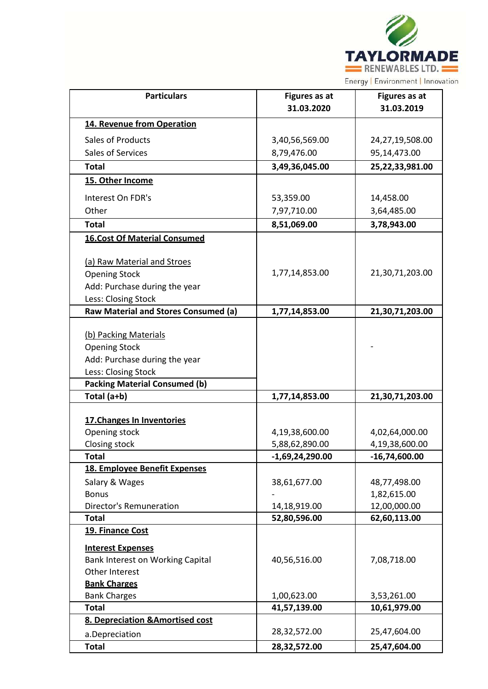

| <b>Particulars</b>                                  | <b>Figures as at</b> | <b>Figures as at</b> |
|-----------------------------------------------------|----------------------|----------------------|
|                                                     | 31.03.2020           | 31.03.2019           |
| 14. Revenue from Operation                          |                      |                      |
| Sales of Products                                   | 3,40,56,569.00       | 24,27,19,508.00      |
| Sales of Services                                   | 8,79,476.00          | 95,14,473.00         |
| <b>Total</b>                                        | 3,49,36,045.00       | 25,22,33,981.00      |
| 15. Other Income                                    |                      |                      |
| Interest On FDR's                                   | 53,359.00            | 14,458.00            |
| Other                                               | 7,97,710.00          | 3,64,485.00          |
| <b>Total</b>                                        | 8,51,069.00          | 3,78,943.00          |
| <b>16.Cost Of Material Consumed</b>                 |                      |                      |
|                                                     |                      |                      |
| (a) Raw Material and Stroes<br><b>Opening Stock</b> | 1,77,14,853.00       | 21,30,71,203.00      |
| Add: Purchase during the year                       |                      |                      |
| Less: Closing Stock                                 |                      |                      |
| Raw Material and Stores Consumed (a)                | 1,77,14,853.00       | 21,30,71,203.00      |
|                                                     |                      |                      |
| (b) Packing Materials                               |                      |                      |
| <b>Opening Stock</b>                                |                      |                      |
| Add: Purchase during the year                       |                      |                      |
| Less: Closing Stock                                 |                      |                      |
| <b>Packing Material Consumed (b)</b>                |                      |                      |
| Total (a+b)                                         | 1,77,14,853.00       | 21,30,71,203.00      |
|                                                     |                      |                      |
| 17. Changes In Inventories                          |                      |                      |
| Opening stock                                       | 4,19,38,600.00       | 4,02,64,000.00       |
| Closing stock                                       | 5,88,62,890.00       | 4,19,38,600.00       |
| Total                                               | $-1,69,24,290.00$    | $-16,74,600.00$      |
| 18. Employee Benefit Expenses                       |                      |                      |
| Salary & Wages                                      | 38,61,677.00         | 48,77,498.00         |
| <b>Bonus</b>                                        |                      | 1,82,615.00          |
| <b>Director's Remuneration</b>                      | 14,18,919.00         | 12,00,000.00         |
| <b>Total</b>                                        | 52,80,596.00         | 62,60,113.00         |
| 19. Finance Cost                                    |                      |                      |
| <b>Interest Expenses</b>                            |                      |                      |
| Bank Interest on Working Capital                    | 40,56,516.00         | 7,08,718.00          |
| Other Interest                                      |                      |                      |
| <b>Bank Charges</b>                                 |                      |                      |
| <b>Bank Charges</b>                                 | 1,00,623.00          | 3,53,261.00          |
| <b>Total</b>                                        | 41,57,139.00         | 10,61,979.00         |
| 8. Depreciation & Amortised cost                    |                      |                      |
| a.Depreciation                                      | 28,32,572.00         | 25,47,604.00         |
| <b>Total</b>                                        | 28,32,572.00         | 25,47,604.00         |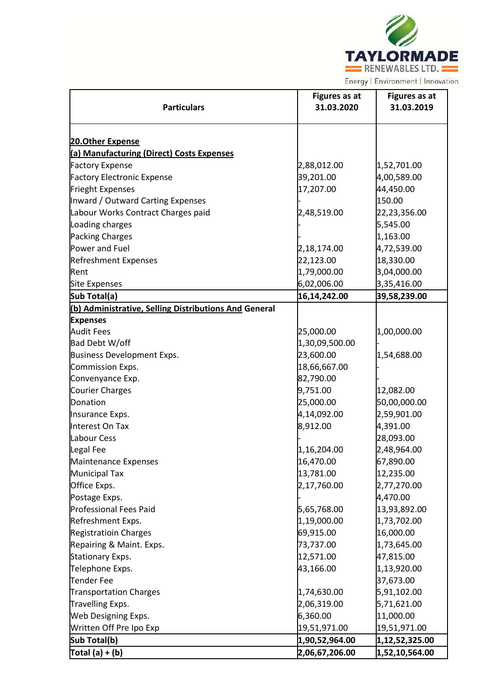

|                                                       | <b>Figures as at</b> | <b>Figures as at</b> |
|-------------------------------------------------------|----------------------|----------------------|
| <b>Particulars</b>                                    | 31.03.2020           | 31.03.2019           |
|                                                       |                      |                      |
| <b>20.Other Expense</b>                               |                      |                      |
| (a) Manufacturing (Direct) Costs Expenses             |                      |                      |
| <b>Factory Expense</b>                                | 2,88,012.00          | 1,52,701.00          |
| <b>Factory Electronic Expense</b>                     | 39,201.00            | 4,00,589.00          |
| <b>Frieght Expenses</b>                               | 17,207.00            | 44,450.00            |
| Inward / Outward Carting Expenses                     |                      | 150.00               |
| Labour Works Contract Charges paid                    | 2,48,519.00          | 22,23,356.00         |
| Loading charges                                       |                      | 5,545.00             |
| <b>Packing Charges</b>                                |                      | 1,163.00             |
| Power and Fuel                                        | 2,18,174.00          | 4,72,539.00          |
| <b>Refreshment Expenses</b>                           | 22,123.00            | 18,330.00            |
| Rent                                                  | 1,79,000.00          | 3,04,000.00          |
| <b>Site Expenses</b>                                  | 6,02,006.00          | 3,35,416.00          |
| Sub Total(a)                                          | 16,14,242.00         | 39,58,239.00         |
| (b) Administrative, Selling Distributions And General |                      |                      |
| <b>Expenses</b>                                       |                      |                      |
| <b>Audit Fees</b>                                     | 25,000.00            | 1,00,000.00          |
| Bad Debt W/off                                        | 1,30,09,500.00       |                      |
| <b>Business Development Exps.</b>                     | 23,600.00            | 1,54,688.00          |
| Commission Exps.                                      | 18,66,667.00         |                      |
| Convenyance Exp.                                      | 82,790.00            |                      |
| <b>Courier Charges</b>                                | 9,751.00             | 12,082.00            |
| Donation                                              | 25,000.00            | 50,00,000.00         |
| Insurance Exps.                                       | 4,14,092.00          | 2,59,901.00          |
| Interest On Tax                                       | 8,912.00             | 4,391.00             |
| Labour Cess                                           |                      | 28,093.00            |
| Legal Fee                                             | 1,16,204.00          | 2,48,964.00          |
| Maintenance Expenses                                  | 16,470.00            | 67,890.00            |
| <b>Municipal Tax</b>                                  | 13,781.00            | 12,235.00            |
| Office Exps.                                          | 2,17,760.00          | 2,77,270.00          |
| Postage Exps.                                         |                      | 4,470.00             |
| Professional Fees Paid                                | 5,65,768.00          | 13,93,892.00         |
| Refreshment Exps.                                     | 1,19,000.00          | 1,73,702.00          |
| Registratioin Charges                                 | 69,915.00            | 16,000.00            |
| Repairing & Maint. Exps.                              | 73,737.00            | 1,73,645.00          |
| <b>Stationary Exps.</b>                               | 12,571.00            | 47,815.00            |
| Telephone Exps.                                       | 43,166.00            | 1,13,920.00          |
| <b>Tender Fee</b>                                     |                      | 37,673.00            |
| <b>Transportation Charges</b>                         | 1,74,630.00          | 5,91,102.00          |
| Travelling Exps.                                      | 2,06,319.00          | 5,71,621.00          |
| Web Designing Exps.                                   | 6,360.00             | 11,000.00            |
| Written Off Pre Ipo Exp                               | 19,51,971.00         | 19,51,971.00         |
| Sub Total(b)                                          | 1,90,52,964.00       | 1,12,52,325.00       |
| Total $(a) + (b)$                                     | 2,06,67,206.00       | 1,52,10,564.00       |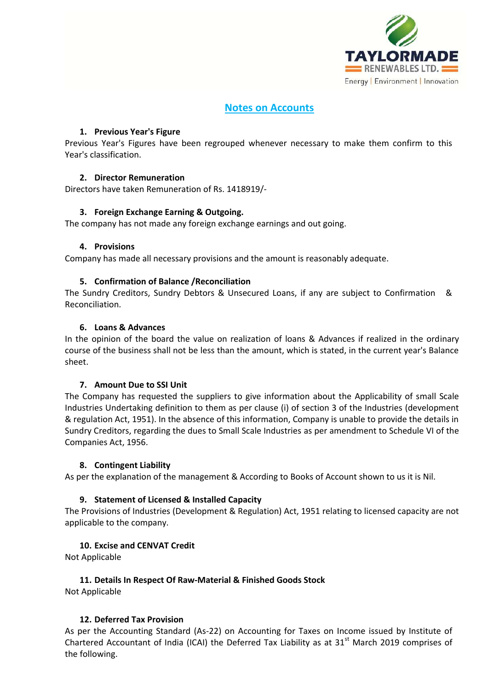

# **Notes on Accounts**

## **1. Previous Year's Figure**

Previous Year's Figures have been regrouped whenever necessary to make them confirm to this Year's classification.

# **2. Director Remuneration**

Directors have taken Remuneration of Rs. 1418919/-

# **3. Foreign Exchange Earning & Outgoing.**

The company has not made any foreign exchange earnings and out going.

## **4. Provisions**

Company has made all necessary provisions and the amount is reasonably adequate.

# **5. Confirmation of Balance /Reconciliation**

The Sundry Creditors, Sundry Debtors & Unsecured Loans, if any are subject to Confirmation & Reconciliation.

# **6. Loans & Advances**

In the opinion of the board the value on realization of loans & Advances if realized in the ordinary course of the business shall not be less than the amount, which is stated, in the current year's Balance sheet.

## **7. Amount Due to SSI Unit**

The Company has requested the suppliers to give information about the Applicability of small Scale Industries Undertaking definition to them as per clause (i) of section 3 of the Industries (development & regulation Act, 1951). In the absence of this information, Company is unable to provide the details in Sundry Creditors, regarding the dues to Small Scale Industries as per amendment to Schedule VI of the Companies Act, 1956.

## **8. Contingent Liability**

As per the explanation of the management & According to Books of Account shown to us it is Nil.

# **9. Statement of Licensed & Installed Capacity**

The Provisions of Industries (Development & Regulation) Act, 1951 relating to licensed capacity are not applicable to the company.

## **10. Excise and CENVAT Credit**

Not Applicable

## **11. Details In Respect Of Raw-Material & Finished Goods Stock**

Not Applicable

# **12. Deferred Tax Provision**

As per the Accounting Standard (As-22) on Accounting for Taxes on Income issued by Institute of Chartered Accountant of India (ICAI) the Deferred Tax Liability as at  $31<sup>st</sup>$  March 2019 comprises of the following.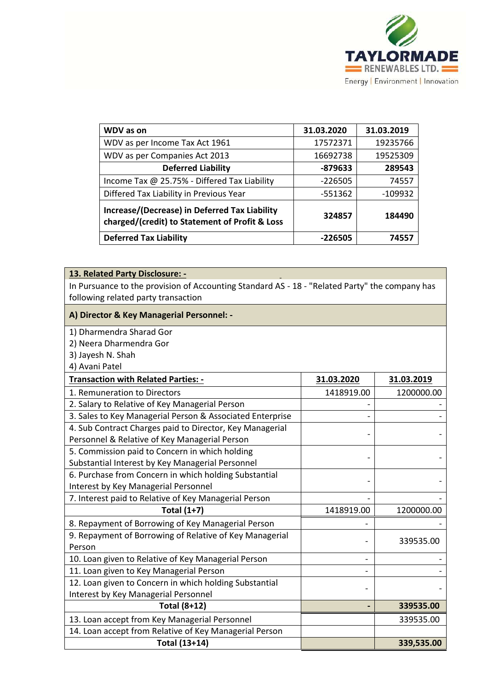

| <b>WDV</b> as on                                                                                | 31.03.2020 | 31.03.2019 |
|-------------------------------------------------------------------------------------------------|------------|------------|
| WDV as per Income Tax Act 1961                                                                  | 17572371   | 19235766   |
| WDV as per Companies Act 2013                                                                   | 16692738   | 19525309   |
| <b>Deferred Liability</b>                                                                       | -879633    | 289543     |
| Income Tax @ 25.75% - Differed Tax Liability                                                    | $-226505$  | 74557      |
| Differed Tax Liability in Previous Year                                                         | -551362    | -109932    |
| Increase/(Decrease) in Deferred Tax Liability<br>charged/(credit) to Statement of Profit & Loss | 324857     | 184490     |
| <b>Deferred Tax Liability</b>                                                                   | -226505    | 74557      |

# **13. Related Party Disclosure: -**

In Pursuance to the provision of Accounting Standard AS - 18 - "Related Party" the company has following related party transaction

### **A) Director & Key Managerial Personnel: -**

1) Dharmendra Sharad Gor

2) Neera Dharmendra Gor

3) Jayesh N. Shah

4) Avani Patel

| <b>Transaction with Related Parties: -</b>                | 31.03.2020 | 31.03.2019 |
|-----------------------------------------------------------|------------|------------|
| 1. Remuneration to Directors                              | 1418919.00 | 1200000.00 |
| 2. Salary to Relative of Key Managerial Person            |            |            |
| 3. Sales to Key Managerial Person & Associated Enterprise |            |            |
| 4. Sub Contract Charges paid to Director, Key Managerial  |            |            |
| Personnel & Relative of Key Managerial Person             |            |            |
| 5. Commission paid to Concern in which holding            |            |            |
| Substantial Interest by Key Managerial Personnel          |            |            |
| 6. Purchase from Concern in which holding Substantial     |            |            |
| Interest by Key Managerial Personnel                      |            |            |
| 7. Interest paid to Relative of Key Managerial Person     |            |            |
| <b>Total (1+7)</b>                                        | 1418919.00 | 1200000.00 |
| 8. Repayment of Borrowing of Key Managerial Person        |            |            |
| 9. Repayment of Borrowing of Relative of Key Managerial   |            | 339535.00  |
| Person                                                    |            |            |
| 10. Loan given to Relative of Key Managerial Person       |            |            |
| 11. Loan given to Key Managerial Person                   |            |            |
| 12. Loan given to Concern in which holding Substantial    |            |            |
| Interest by Key Managerial Personnel                      |            |            |
| <b>Total (8+12)</b>                                       |            | 339535.00  |
| 13. Loan accept from Key Managerial Personnel             |            | 339535.00  |
| 14. Loan accept from Relative of Key Managerial Person    |            |            |
| Total (13+14)                                             |            | 339,535.00 |